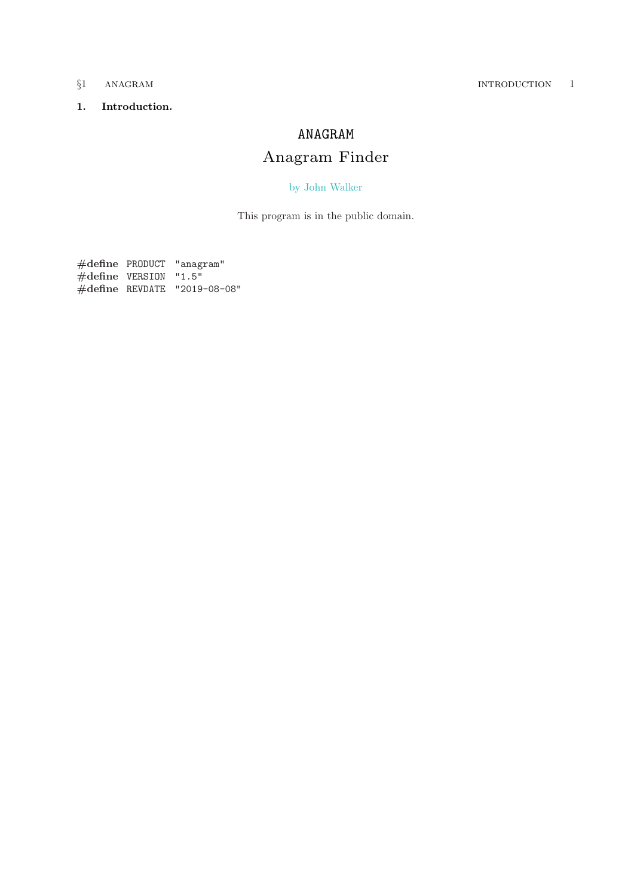## <span id="page-0-0"></span>1. Introduction.

# ANAGRAM

# Anagram Finder

## [by John Walker](http://www.fourmilab.ch/)

This program is in the public domain.

#define PRODUCT "anagram"  $#$ define VERSION "1.5" #define REVDATE "2019−08−08"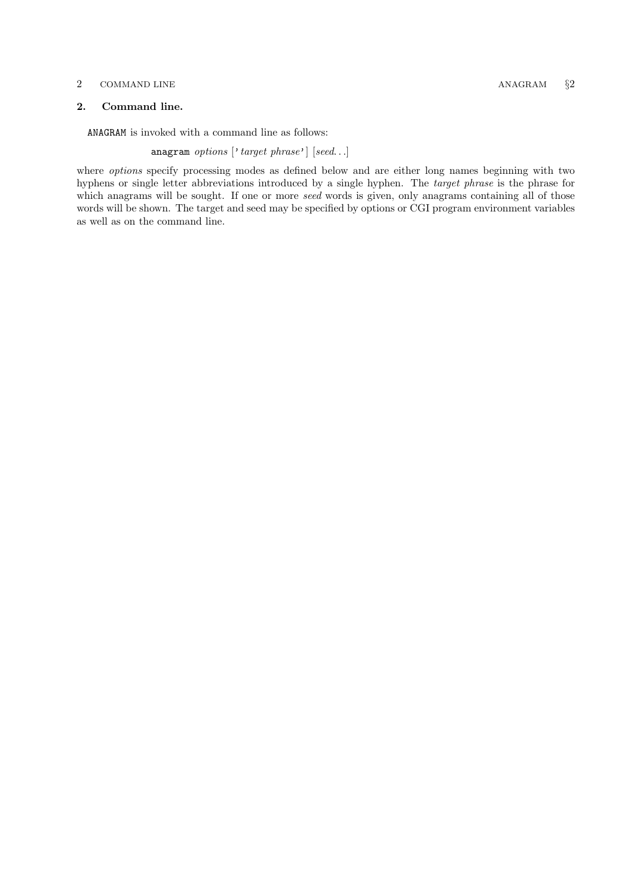### <span id="page-1-0"></span>2 COMMAND LINE ANAGRAM §2

## 2. Command line.

ANAGRAM is invoked with a command line as follows:

anagram options ['target phrase'] [seed...]

where options specify processing modes as defined below and are either long names beginning with two hyphens or single letter abbreviations introduced by a single hyphen. The target phrase is the phrase for which anagrams will be sought. If one or more seed words is given, only anagrams containing all of those words will be shown. The target and seed may be specified by options or CGI program environment variables as well as on the command line.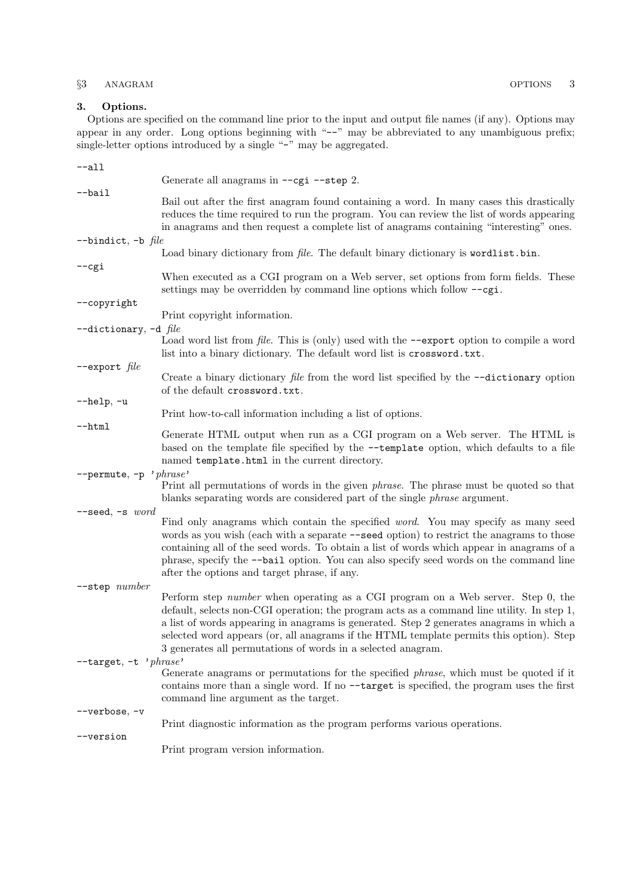## <span id="page-2-0"></span>§3 ANAGRAM OPTIONS 3

Options are specified on the command line prior to the input and output file names (if any). Options may appear in any order. Long options beginning with "−−" may be abbreviated to any unambiguous prefix; single-letter options introduced by a single "−" may be aggregated.

| --all                     |                                                                                                                                                                                                                                                                                                                                                                                                                                       |
|---------------------------|---------------------------------------------------------------------------------------------------------------------------------------------------------------------------------------------------------------------------------------------------------------------------------------------------------------------------------------------------------------------------------------------------------------------------------------|
|                           | Generate all anagrams in --cgi --step 2.                                                                                                                                                                                                                                                                                                                                                                                              |
| --bail                    | Bail out after the first anagram found containing a word. In many cases this drastically<br>reduces the time required to run the program. You can review the list of words appearing<br>in anagrams and then request a complete list of anagrams containing "interesting" ones.                                                                                                                                                       |
| --bindict, -b $file$      |                                                                                                                                                                                                                                                                                                                                                                                                                                       |
|                           | Load binary dictionary from file. The default binary dictionary is wordlist.bin.                                                                                                                                                                                                                                                                                                                                                      |
| --cgi                     | When executed as a CGI program on a Web server, set options from form fields. These<br>settings may be overridden by command line options which follow $-\text{cgi}$ .                                                                                                                                                                                                                                                                |
| --copyright               |                                                                                                                                                                                                                                                                                                                                                                                                                                       |
|                           | Print copyright information.                                                                                                                                                                                                                                                                                                                                                                                                          |
| --dictionary, -d $file$   | Load word list from <i>file</i> . This is (only) used with the --export option to compile a word<br>list into a binary dictionary. The default word list is crossword.txt.                                                                                                                                                                                                                                                            |
| --export $file$           | Create a binary dictionary <i>file</i> from the word list specified by the $-\text{-dictionary option}$<br>of the default crossword.txt.                                                                                                                                                                                                                                                                                              |
| --help, -u                | Print how-to-call information including a list of options.                                                                                                                                                                                                                                                                                                                                                                            |
| --html                    | Generate HTML output when run as a CGI program on a Web server. The HTML is<br>based on the template file specified by the --template option, which defaults to a file<br>named template.html in the current directory.                                                                                                                                                                                                               |
| --permute, -p             | $'$ phrase'<br>Print all permutations of words in the given <i>phrase</i> . The phrase must be quoted so that<br>blanks separating words are considered part of the single <i>phrase</i> argument.                                                                                                                                                                                                                                    |
| $-$ seed, $-$ s word      | Find only anagrams which contain the specified <i>word</i> . You may specify as many seed<br>words as you wish (each with a separate --seed option) to restrict the anagrams to those<br>containing all of the seed words. To obtain a list of words which appear in anagrams of a<br>phrase, specify the --bail option. You can also specify seed words on the command line<br>after the options and target phrase, if any.          |
| --step number             |                                                                                                                                                                                                                                                                                                                                                                                                                                       |
|                           | Perform step number when operating as a CGI program on a Web server. Step 0, the<br>default, selects non-CGI operation; the program acts as a command line utility. In step 1,<br>a list of words appearing in anagrams is generated. Step 2 generates anagrams in which a<br>selected word appears (or, all anagrams if the HTML template permits this option). Step<br>3 generates all permutations of words in a selected anagram. |
| $-$ target, $-t$ 'phrase' | Generate anagrams or permutations for the specified <i>phrase</i> , which must be quoted if it<br>contains more than a single word. If no --target is specified, the program uses the first<br>command line argument as the target.                                                                                                                                                                                                   |
| --verbose, -v             | Print diagnostic information as the program performs various operations.                                                                                                                                                                                                                                                                                                                                                              |
| --version                 | Print program version information.                                                                                                                                                                                                                                                                                                                                                                                                    |
|                           |                                                                                                                                                                                                                                                                                                                                                                                                                                       |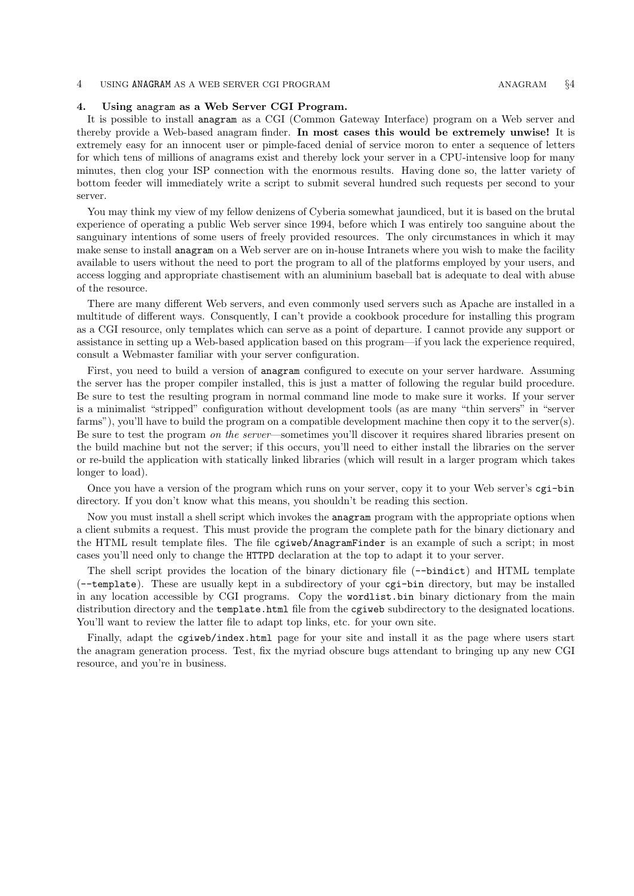### <span id="page-3-0"></span>4 USING ANAGRAM AS A WEB SERVER CGI PROGRAM **ANAGRAM** ANAGRAM  $\frac{64}{4}$

### 4. Using anagram as a Web Server CGI Program.

It is possible to install anagram as a CGI (Common Gateway Interface) program on a Web server and thereby provide a Web-based anagram finder. In most cases this would be extremely unwise! It is extremely easy for an innocent user or pimple-faced denial of service moron to enter a sequence of letters for which tens of millions of anagrams exist and thereby lock your server in a CPU-intensive loop for many minutes, then clog your ISP connection with the enormous results. Having done so, the latter variety of bottom feeder will immediately write a script to submit several hundred such requests per second to your server.

You may think my view of my fellow denizens of Cyberia somewhat jaundiced, but it is based on the brutal experience of operating a public Web server since 1994, before which I was entirely too sanguine about the sanguinary intentions of some users of freely provided resources. The only circumstances in which it may make sense to install anagram on a Web server are on in-house Intranets where you wish to make the facility available to users without the need to port the program to all of the platforms employed by your users, and access logging and appropriate chastisement with an aluminium baseball bat is adequate to deal with abuse of the resource.

There are many different Web servers, and even commonly used servers such as Apache are installed in a multitude of different ways. Consquently, I can't provide a cookbook procedure for installing this program as a CGI resource, only templates which can serve as a point of departure. I cannot provide any support or assistance in setting up a Web-based application based on this program—if you lack the experience required, consult a Webmaster familiar with your server configuration.

First, you need to build a version of anagram configured to execute on your server hardware. Assuming the server has the proper compiler installed, this is just a matter of following the regular build procedure. Be sure to test the resulting program in normal command line mode to make sure it works. If your server is a minimalist "stripped" configuration without development tools (as are many "thin servers" in "server farms"), you'll have to build the program on a compatible development machine then copy it to the server(s). Be sure to test the program on the server—sometimes you'll discover it requires shared libraries present on the build machine but not the server; if this occurs, you'll need to either install the libraries on the server or re-build the application with statically linked libraries (which will result in a larger program which takes longer to load).

Once you have a version of the program which runs on your server, copy it to your Web server's cgi−bin directory. If you don't know what this means, you shouldn't be reading this section.

Now you must install a shell script which invokes the anagram program with the appropriate options when a client submits a request. This must provide the program the complete path for the binary dictionary and the HTML result template files. The file cgiweb/AnagramFinder is an example of such a script; in most cases you'll need only to change the HTTPD declaration at the top to adapt it to your server.

The shell script provides the location of the binary dictionary file (−−bindict) and HTML template (−−template). These are usually kept in a subdirectory of your cgi−bin directory, but may be installed in any location accessible by CGI programs. Copy the wordlist.bin binary dictionary from the main distribution directory and the template.html file from the cgiweb subdirectory to the designated locations. You'll want to review the latter file to adapt top links, etc. for your own site.

Finally, adapt the cgiweb/index.html page for your site and install it as the page where users start the anagram generation process. Test, fix the myriad obscure bugs attendant to bringing up any new CGI resource, and you're in business.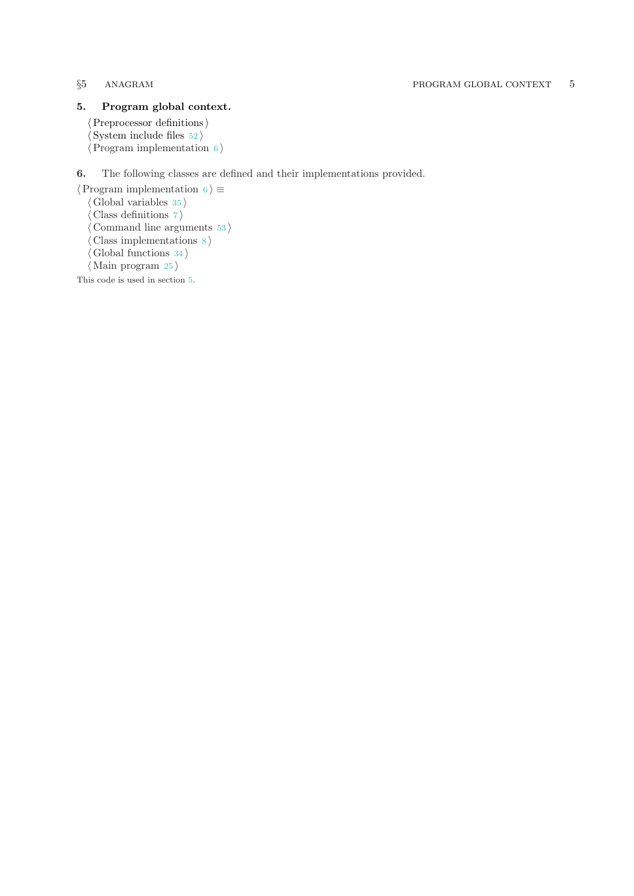## <span id="page-4-0"></span>5. Program global context.

 $\langle$  Preprocessor definitions $\rangle$  $\langle$  System include files [52](#page-32-0) $\rangle$  $\langle$  Program implementation 6 $\rangle$ 

## 6. The following classes are defined and their implementations provided.

 $\langle$  Program implementation 6 $\rangle \equiv$  $\langle$  Global variables [35](#page-24-0) $\rangle$ Class definitions  $7$ Command line arguments  $53$ ) Class implementations  $8$ Global functions  $34$  $\langle$  Main program [25](#page-19-0) $\rangle$ 

This code is used in section 5.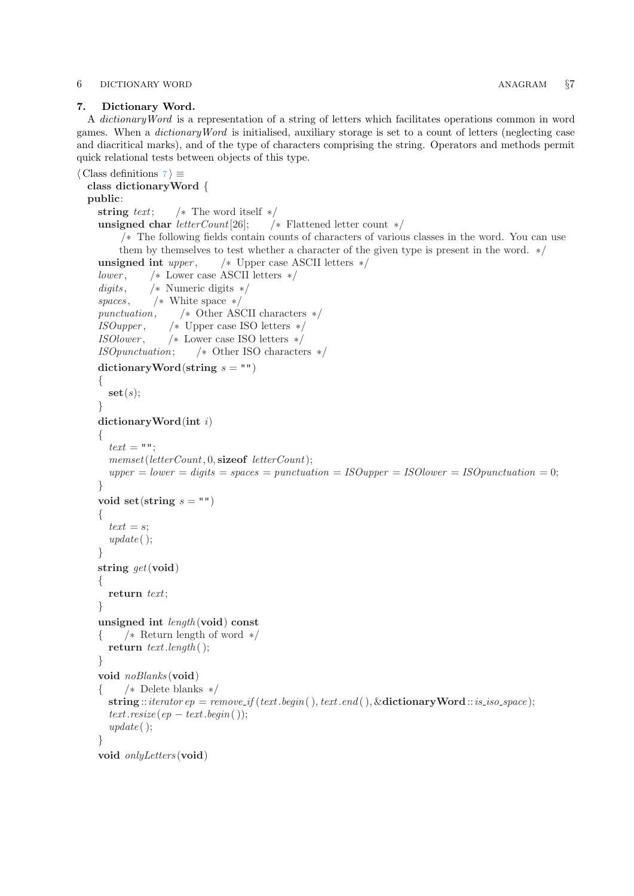### <span id="page-5-0"></span>6 DICTIONARY WORD ANAGRAM  $\S$ 7

## 7. Dictionary Word.

A dictionaryWord is a representation of a string of letters which facilitates operations common in word games. When a dictionaryWord is initialised, auxiliary storage is set to a count of letters (neglecting case and diacritical marks), and of the type of characters comprising the string. Operators and methods permit quick relational tests between objects of this type.

```
\langle Class definitions 7 \rangle \equivclass dictionaryWord {
  public:
    string text; /* The word itself */unsigned char letterCount[26]; /* Flattened letter count */
         /∗ The following fields contain counts of characters of various classes in the word. You can use
         them by themselves to test whether a character of the given type is present in the word. ∗/
    unsigned int upper, \frac{1}{2} /* Upper case ASCII letters */
    lower , /∗ Lower case ASCII letters ∗/
    digits, \qquad \frac{\times}{4} Numeric digits \frac{\times}{4}spaces, \frac{\text{ }}{\text{}} /* White space */
    punctuation, /∗ Other ASCII characters ∗/
    ISOupper , /∗ Upper case ISO letters ∗/
    ISOlower , /∗ Lower case ISO letters ∗/
    ISOpunctuation; /∗ Other ISO characters ∗/
    dictionaryWord(string s ="")
    {
      \mathbf{set}(s);}
    dictionaryWord(int i)
    {
      text = "memberCount, 0, \textbf{sizeof} letterCount);upper = lower = digits = spaces = punctuation = ISOupper = ISOlower = ISOpunctuation = 0;}
    void set (string s = ""){
      text = s;
      update( );}
    string get(void)\{return text;
    }
    unsigned int length (void) const
    { /∗ Return length of word ∗/
      return text.length();
    }
    void noBlanks (void)
    { /∗ Delete blanks ∗/
      string :: iterator ep = remove\_if (text.\text{begin}(), text.\text{end}(), \& dictionaryWord:: is\_iso\_space);text.resize (ep - text.begin());
      update( );
    }
    void onlyLetters (void)
```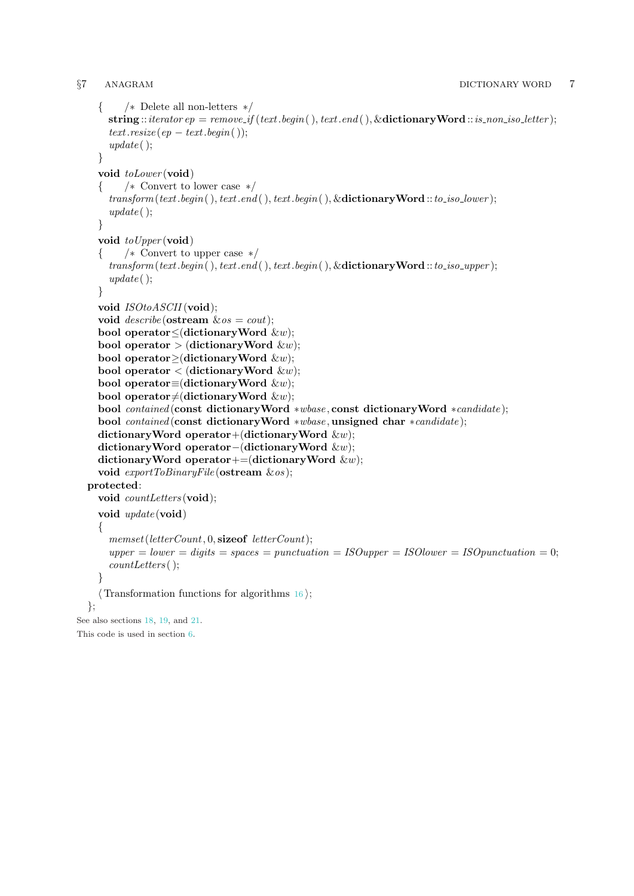```
{ /∗ Delete all non-letters ∗/
      string :: iterator ep = remove\_if (text.\text{begin}(), text.\text{end}(), \&\text{dictionaryWord}::is\_non\_iso\_letter);text.resize (ep - text.begin());
      update( );
    }
    void toLower (void)
    { /∗ Convert to lower case ∗/
      transform(text.begin), text.end( ), text.begin), ( .), text.begin). &dictionaryWord ::to iso lower);
      update( );
    }
    void toUpper (void)
    { /∗ Convert to upper case ∗/
      transform(text.begin), text.end(), text.begin(), text.begin(), \&\text{dictionaryWord}::to.iso\_upper);update();
    }
    void ISOtoASCH (void);
    void describe (ostream \&os = cout);bool operator≤(dictionaryWord &w);
    bool operator > (dictionary Word \&w);
    bool operator≥(dictionaryWord &w);
    bool operator \langle (dictionaryWord \&w);
    bool operator≡(dictionaryWord \&w);
    bool operator\neq(dictionaryWord \&w);
    bool contained (const dictionaryWord ∗wbase , const dictionaryWord ∗candidate );
    bool contained (const dictionaryWord ∗wbase , unsigned char ∗candidate );
    dictionaryWord operator+(dictionaryWord \&w);
    dictionaryWord operator−(dictionaryWord &w);
    dictionaryWord operator+=(dictionaryWord \&w);
    void \textit{exportToBinaryFile}(\textbf{ostream}~\&\textit{os});protected:
    void countLetters (void);
    void update (void)
    {
      memset(letterCount, 0, sizeof letterCount);
      upper = lower = digits = spaces = punctuation = ISOupper = ISOlower = ISOpunctuation = 0;countLetters ( );
    }
    \langle16\rangle;
  };
See also sections 18, 19, and 21.
This code is used in section 6.
```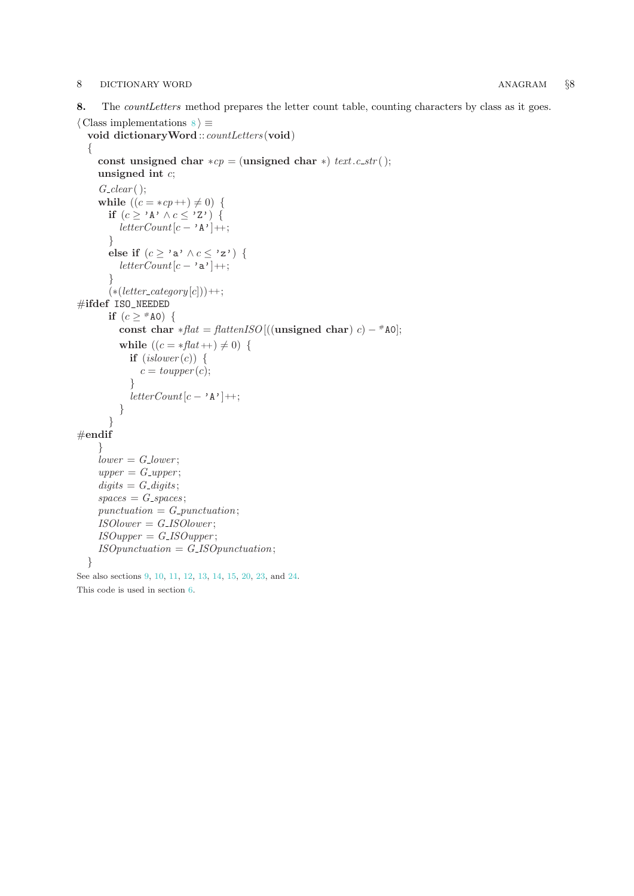### <span id="page-7-0"></span>8 DICTIONARY WORD **ANAGRAM** §8

8. The *countLetters* method prepares the letter count table, counting characters by class as it goes.

```
\langle Class implementations \langle \sigma}
  void dictionary Word :: countLetters (void)
  {
     const unsigned char *cp = (unsigned char *) text.c_str();
     unsigned int c;
     G_{\text{-}}clear( );
     while ((c = *cp++) \neq 0) {
       if (c \geq 'A' \wedge c \leq 'Z') {
          letterCount[c - 'A'] + \frac{1}{2};}
       else if (c \geq 'a' \land c \leq 'z') {
          letterCount[c - 'a']++;
       }
       (*(<i>letter</i>-category <math>[c]</math>))++;#ifdef ISO_NEEDED
       if (c \geq ^{\#}A0) {
          const char *flat = flattenISO[((unsigned char) c) – #A0];
          while ((c = * \text{flat} + ) \neq 0) {
             if (islower(c)) {
               c = \text{topper}(c);}
             letterCount[c − 'A']++;
          }
       }
#endif
     }
     lower = G_{\mathcal{L}}|ower;upper = G\_upper;digits = G_{\mathcal{A}}\,spaces = G_spaces;punctuation = G_-punctuation;ISOlower = GISOlower;ISOupper = GISOupper;ISOpunctuation = G<sub>-</sub>ISOpunctuation;
  }
See also sections 9, 10, 11, 12, 13, 14, 15, 20, 23, and 24.
This code is used in section 6.
```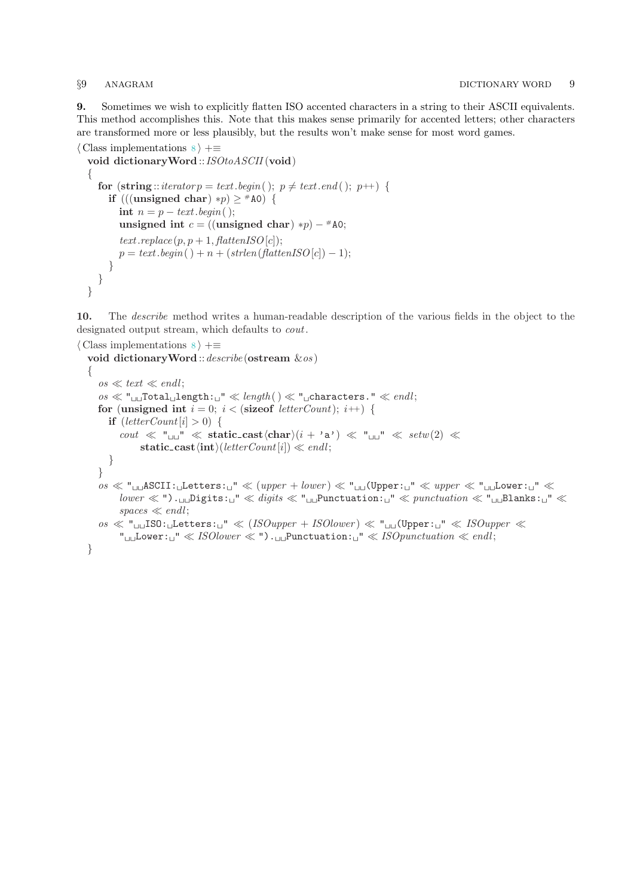<span id="page-8-0"></span>9. Sometimes we wish to explicitly flatten ISO accented characters in a string to their ASCII equivalents. This method accomplishes this. Note that this makes sense primarily for accented letters; other characters are transformed more or less plausibly, but the results won't make sense for most word games.

```
\langle8 \rangle +≡
  void dictionaryWord ::ISOtoASCII (void)
  {
    for (string::iterator p = text \cdot begin(); p \neq text \cdot end(); p++) {
       if (((unsigned char) *p) \geq #A0) {
         int n = p - text \cdot begin();
         unsigned int c = ((\text{unsigned char}) * p) - * A0;text.replace (p, p+1, \text{flattenISO}[c]);
         p = text \cdot begin() + n + (strlen(flattenISO[c]) - 1);}
    }
  }
```
10. The describe method writes a human-readable description of the various fields in the object to the designated output stream, which defaults to cout.

```
\langle Class implementations \langle \rangle +≡
  void dictionaryWord :: describe (ostream \&os)
   {
      \cos \ll \text{text} \ll \text{endl};
      \cos \ll \mathbf{u}_{\text{full}}Total<sub>u</sub>length: \mathbf{u}'' \ll length() \ll \mathbf{u}_{\text{in}}characters." \ll endl;
      for (unsigned int i = 0; i < (size of letter Count); i +) {
         if (leftterCount[i] > 0) {
             cout \ll "\ln" \ll static_cast\langlechar\rangle(i + 'a') \ll "\ln" \ll setw(2) \llstatic_cast\langle \text{int} \rangle(letterCount[i]) \ll endl;
         }
      }
      \cos \ll \mathsf{u}_{\text{un}}ASCII: \text{l}Letters: \text{u}'' \ll (upper + lower) \ll \mathsf{u}_{\text{un}}(Upper: \text{u}'' \ll upper \ll \mathsf{u}_{\text{un}}Lower: \text{u}'' \lllower \ll "') \ldots \text{Digits}: \text{``} \ll \text{digits} \ll \text{``} \text{unit}Punctuation: \text{``} \ll \text{punctuation} \ll \text{``} \text{unit}Blanks: \text{``} \ll \text{``}spaces \ll end!os \ll "L1 JISO:Letters: U'' \ll (ISOupper + ISOlower) \ll "L1 JUpper: U'' \ll ISOupper \ll"<sub>UU</sub>Lower:
\Box" \ll ISO lower \ll "\ldotsPunctuation:
\Box" \ll ISO punctuation \ll end;}
```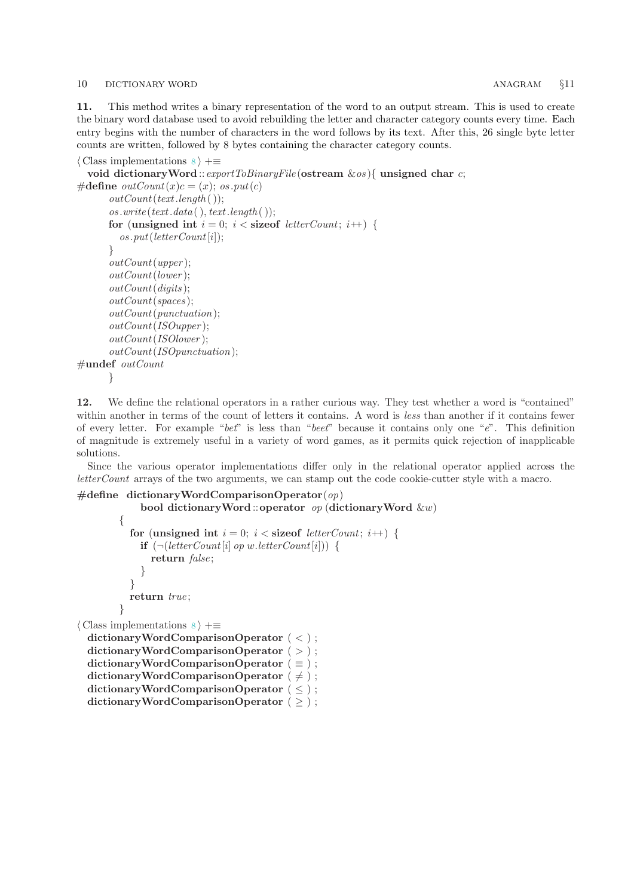### <span id="page-9-0"></span>10 DICTIONARY WORD ANAGRAM  $\{11\}$

11. This method writes a binary representation of the word to an output stream. This is used to create the binary word database used to avoid rebuilding the letter and character category counts every time. Each entry begins with the number of characters in the word follows by its text. After this, 26 single byte letter counts are written, followed by 8 bytes containing the character category counts.

```
\langle Class implementations \langle \empty
  void dictionary Word :: export ToBinaryFile (ostream \&os) { unsigned char c;
#define outCount(x)c = (x); os.put(c)outCount(text.length());
      os.write(text.data( ), text.length( ));for (unsigned int i = 0; i < size of letter Count; i+1) {
         os.put(leftterCount[i]);}
      outCount(upper );
      outCount(lower );
      outCount(diaits):
      outCount(spaces );
      outCount(punctuation);
      outCount(ISOupper );
      outCount(ISOlower );
      outCount(ISOpunctuation);
#undef outCount
      }
```
12. We define the relational operators in a rather curious way. They test whether a word is "contained" within another in terms of the count of letters it contains. A word is less than another if it contains fewer of every letter. For example "bet" is less than "beet" because it contains only one "e". This definition of magnitude is extremely useful in a variety of word games, as it permits quick rejection of inapplicable solutions.

Since the various operator implementations differ only in the relational operator applied across the letterCount arrays of the two arguments, we can stamp out the code cookie-cutter style with a macro.

```
#define dictionaryWordComparisonOperator(op)bool dictionaryWord ::operator op (dictionaryWord \&w)
        {
          for (unsigned int i = 0; i < size of letter Count; i+1) {
            if (\neg (letterCount[i] \ op w.letterCount[i])) {
              return false;
            }
          }
          return true;
        }
\langle Class implementations 8 \rangle +≡
 dictionaryWordComparisonOperator ( < ) ;
 dictionaryWordComparisonOperator ( > ) ;
 dictionaryWordComparisonOperator ( \equiv );
 dictionaryWordComparisonOperator ( \neq );
 dictionaryWordComparisonOperator ( \leq );
 dictionaryWordComparisonOperator ( \geq );
```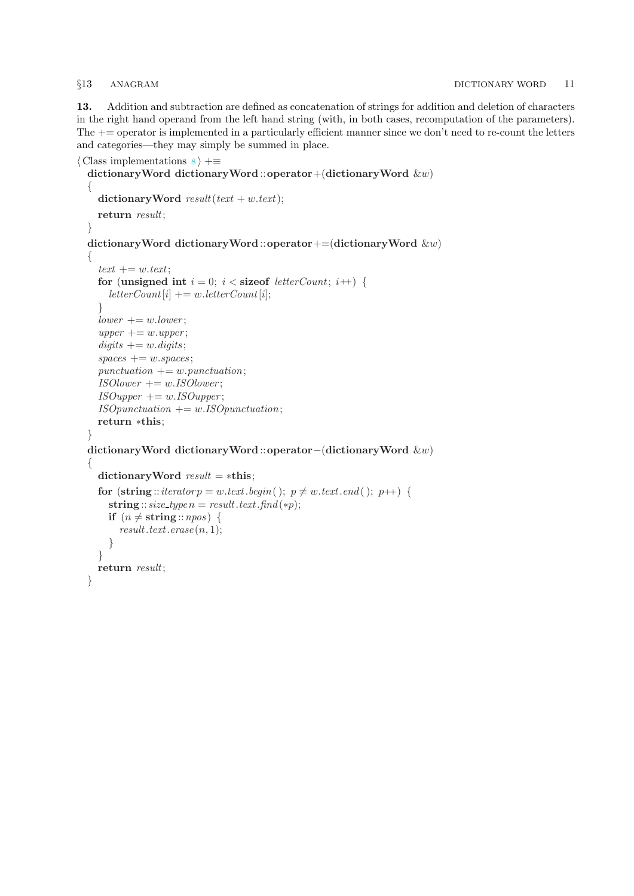<span id="page-10-0"></span>13. Addition and subtraction are defined as concatenation of strings for addition and deletion of characters in the right hand operand from the left hand string (with, in both cases, recomputation of the parameters). The += operator is implemented in a particularly efficient manner since we don't need to re-count the letters and categories—they may simply be summed in place.

```
\langle Class implementations \langle \rangle +≡
  dictionaryWord dictionaryWord ::operator+(dictionaryWord &w)
  \left\{ \right.dictionary Word result(text + w.text);return result;
  }
  dictionaryWord dictionaryWord ::operator+=(dictionaryWord &w)
  \mathbf{A}text += w.text:for (unsigned int i = 0; i < size of letter Count; i+1) {
       letterCount[i] += w. letterCount[i];}
    lower += w.lower;upper += w.upper;digits += w.digits;spaces += w.\nspaces;punctuation += w.punctuation;ISOlower += w. ISOlower;ISO upper += w. ISO upper;ISO punctuation += w. ISOpunction;return ∗this;
  }
  dictionaryWord dictionaryWord ::operator−(dictionaryWord &w)
  {
    dictionaryWord result = *this;for (\text{string}::\text{iterator} p = w.\text{text}.\text{begin} ); p \neq w.\text{text}.\text{end} ); p \leftrightarrow {
       string :: size_typen = result.text.find(*p);
       if (n \neq \text{string} :: npos) {
         result.text.erase (n, 1);}
    }
    return result;
  }
```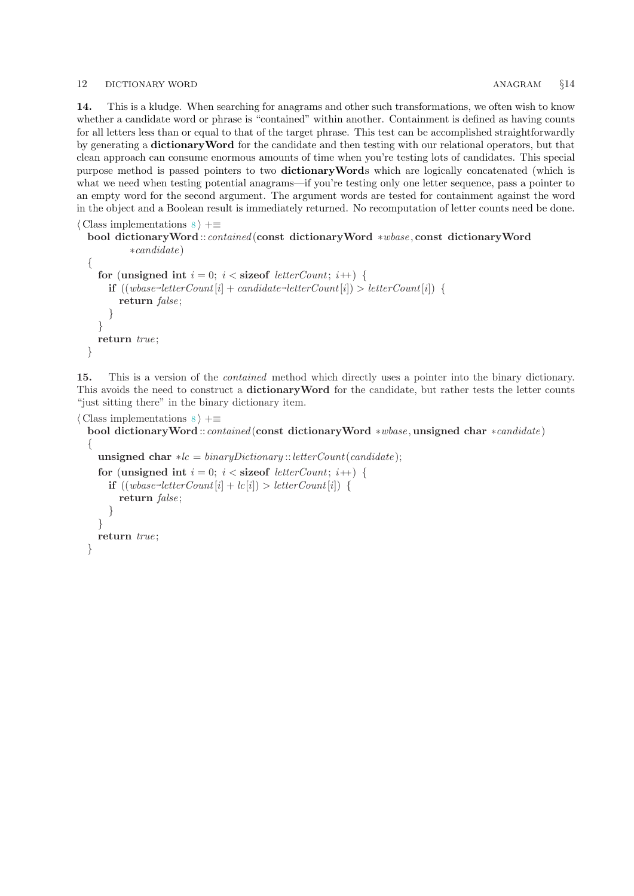### <span id="page-11-0"></span>12 DICTIONARY WORD ANAGRAM  $§14$

14. This is a kludge. When searching for anagrams and other such transformations, we often wish to know whether a candidate word or phrase is "contained" within another. Containment is defined as having counts for all letters less than or equal to that of the target phrase. This test can be accomplished straightforwardly by generating a dictionaryWord for the candidate and then testing with our relational operators, but that clean approach can consume enormous amounts of time when you're testing lots of candidates. This special purpose method is passed pointers to two dictionaryWords which are logically concatenated (which is what we need when testing potential anagrams—if you're testing only one letter sequence, pass a pointer to an empty word for the second argument. The argument words are tested for containment against the word in the object and a Boolean result is immediately returned. No recomputation of letter counts need be done.

```
\langle Class implementations \langle \rangle +≡
```

```
bool dictionaryWord ::contained (const dictionaryWord ∗wbase , const dictionaryWord
        ∗candidate )
```

```
{
  for (unsigned int i = 0; i < size of letter Count; i+1) {
     \textbf{if } ((wbase \text{-letterCount}[i] + candidate \text{-letterCount}[i]) > letterCount[i]) {
        return false:
     }
  }
  return true;
}
```
15. This is a version of the contained method which directly uses a pointer into the binary dictionary. This avoids the need to construct a **dictionaryWord** for the candidate, but rather tests the letter counts "just sitting there" in the binary dictionary item.

```
\langle Class implementations \langle \em-
  bool dictionaryWord ::contained (const dictionaryWord ∗wbase , unsigned char ∗candidate )
  {
    unsigned char \ast lc = binary Dictionary::letterCount(candidate);
    for (unsigned int i = 0; i < size of letter Count; i+1) {
       \mathbf{if}((wbase-\text{letterCount}[i] + \text{lc}[i]) > \text{letterCount}[i])return false;
       }
    }
    return true;
  }
```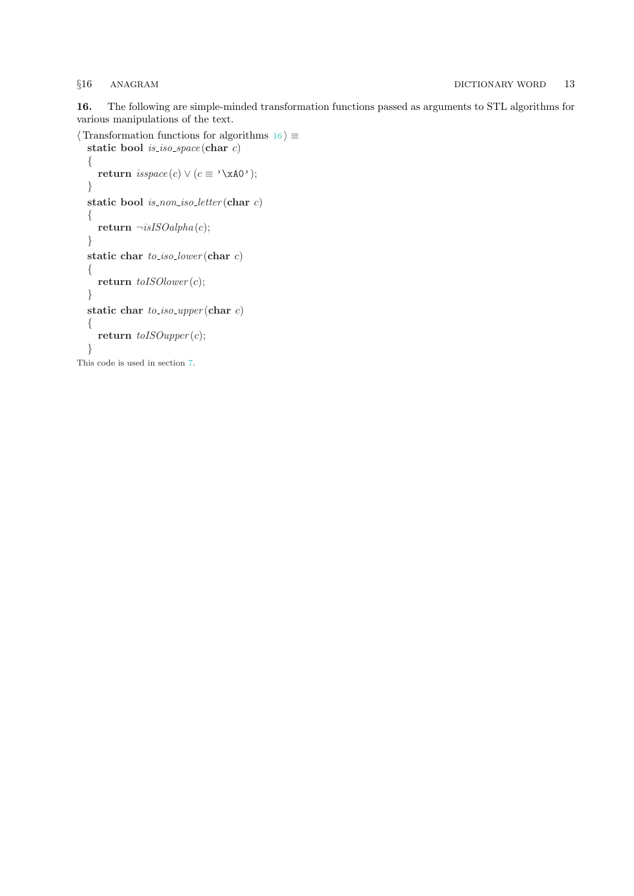<span id="page-12-0"></span>16. The following are simple-minded transformation functions passed as arguments to STL algorithms for various manipulations of the text.

```
\langle Transformation functions for algorithms 16 \rangle \equivstatic bool is iso space (char c)
  {
     return isspace(c) \vee (c \equiv ' \xA0');
  }
  static bool is_non_iso_letter(char c)
  \{return \negisISOalpha(c);
  }
  static char to\_iso\_lower (char c){
     return toISOlower (c);
  }
  static char to-iso-upper (char c)
  {
     return to ISOupper(c);}
```
This code is used in section [7](#page-5-0).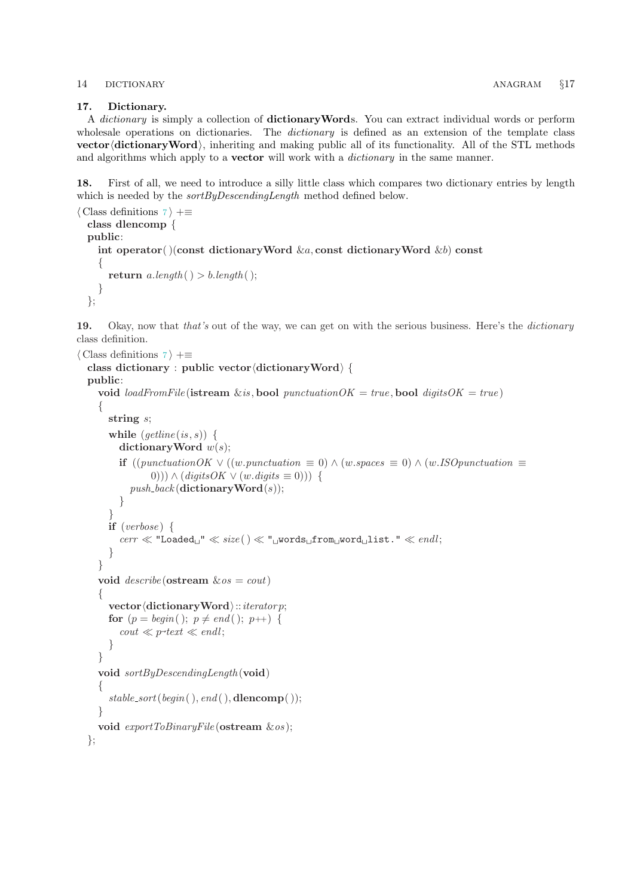### <span id="page-13-0"></span>14 DICTIONARY ANAGRAM §17

### 17. Dictionary.

A dictionary is simply a collection of dictionaryWords. You can extract individual words or perform wholesale operations on dictionaries. The *dictionary* is defined as an extension of the template class vector  $\langle$  dictionaryWord $\rangle$ , inheriting and making public all of its functionality. All of the STL methods and algorithms which apply to a **vector** will work with a *dictionary* in the same manner.

18. First of all, we need to introduce a silly little class which compares two dictionary entries by length which is needed by the *sortByDescendingLength* method defined below.

```
\langle7 \rangle +≡
 class dlencomp {
 public:
   int operator( )(const dictionary Word \&a, const dictionary Word \&b) const
    {
      return a.length() > b.length();
    }
 };
```
19. Okay, now that that's out of the way, we can get on with the serious business. Here's the dictionary class definition.

```
\langle7 \rangle +≡
  class dictionary : public vector \langle dictionaryWord\rangle {
  public:
     void loadFromFile (istream &is, bool punctuationOK = true, bool digitsOK = true)
     {
        string s;
        while (getime(is, s)) {
           dictionary Word w(s);
           if ((punctuationOK \vee ((w.punctuation \equiv 0) \wedge (w.spaces \equiv 0) \wedge (w.ISOpunctuation \equiv0))) \wedge (digits OK \vee (w.digits \equiv 0))) {
              push\_back (dictionary Word(s));
           }
         }
        if (verbose) {
           \mathit{cerr}\ll \text{''Loaded}_\sqcup\text{''}\ll \mathit{size}\big(\,)\ll\text{''}_\sqcup\text{words}_\sqcup\text{from}_\sqcup\text{word}_\sqcup\text{list.''}\ll \mathit{endl};}
     }
     void describe (ostream \&os = cout){
        vector\langle dictionaryWord\rangle::iteratorfor (p = begin); p \neq end; p++) {
            \text{cout} \ll p\text{-text} \ll \text{endl};}
     }
     void sortByDescendingLength (void)
     \left\{ \right\}stable\_sort(begin( ), end( ),<b>dencomp( )</b>);}
     void \textit{exportToBinaryFile}(\textbf{ostream} \& \textit{os});};
```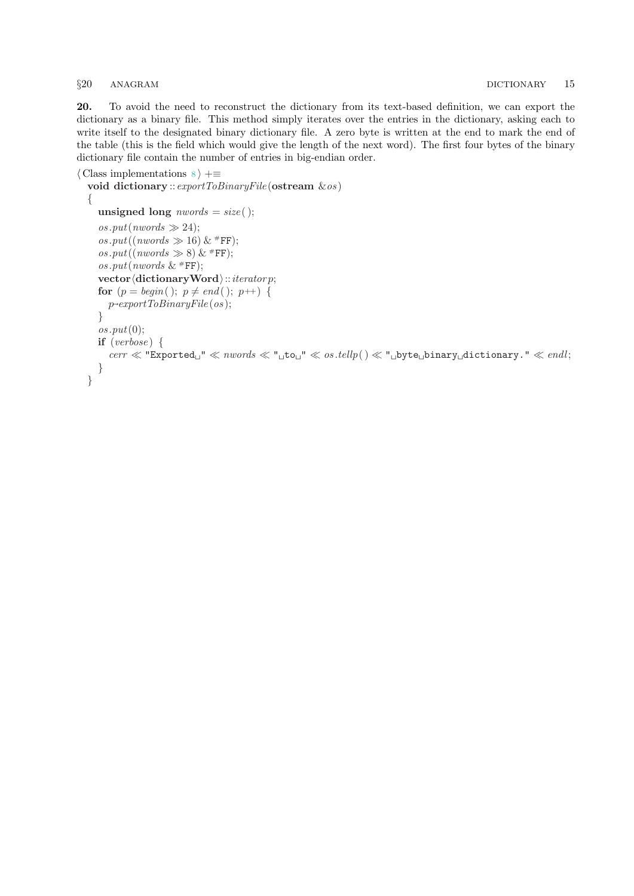### <span id="page-14-0"></span>§20 ANAGRAM DICTIONARY 15

20. To avoid the need to reconstruct the dictionary from its text-based definition, we can export the dictionary as a binary file. This method simply iterates over the entries in the dictionary, asking each to write itself to the designated binary dictionary file. A zero byte is written at the end to mark the end of the table (this is the field which would give the length of the next word). The first four bytes of the binary dictionary file contain the number of entries in big-endian order.

```
\langle Class implementations \langle \rangle +≡
```

```
void dictionary :: exportToBinaryFile (ostream &os )
{
  unsigned long 
  \cos.put(nwords \gg 24);os.put((nwords \gg 16) & #FF);
  os.put((nwords \gg 8) & #FF);
  os.put(nwords & #FF);
  vector\langle dictionaryWord\rangle::iterator;
  for (p = begin); p \neq end (); p++) {
     p~
exportToBinaryFile (os );
  }
  \cos.put(0);if (verbose) \{\textit{cert} \ll \text{ "Expected}_u" \ll \textit{nwords} \ll \text{ "_lto}_u" \ll \textit{os.} \textit{tellp}() \ll \text{ "_lbyte}_binary_ddictionary." \ll \textit{endl};
  }
}
```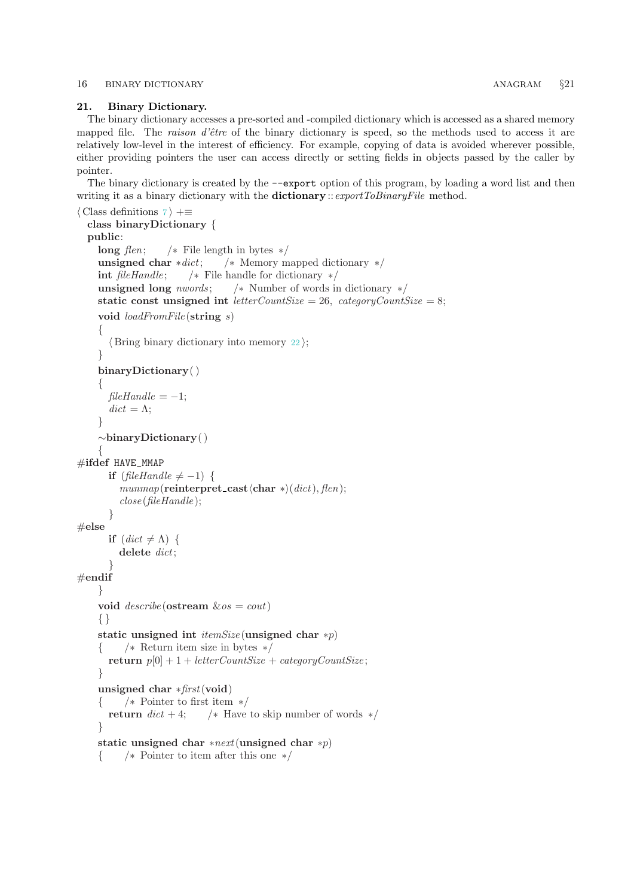### <span id="page-15-0"></span>16 BINARY DICTIONARY ANAGRAM  $\S$ 21

### 21. Binary Dictionary.

The binary dictionary accesses a pre-sorted and -compiled dictionary which is accessed as a shared memory mapped file. The raison  $d\text{'\`{e}tre}$  of the binary dictionary is speed, so the methods used to access it are relatively low-level in the interest of efficiency. For example, copying of data is avoided wherever possible, either providing pointers the user can access directly or setting fields in objects passed by the caller by pointer.

The binary dictionary is created by the −−export option of this program, by loading a word list and then writing it as a binary dictionary with the **dictionary** :: export ToBinaryFile method.

```
\langle7 \rangle +≡
 class binaryDictionary {
 public:
    long flen; /* File length in bytes */
    unsigned char *dict; \frac{1}{\sqrt{2}} Memory mapped dictionary */
    int fileHandle; /* File handle for dictionary */unsigned long nwords; /* Number of words in dictionary */static const unsigned int letterCountSize = 26, categoryCountSize = 8;
    void loadFromFile (string s)
    \{\langle22\rangle;
    }
    binaryDictionary( )
    {
      fileHandle = -1;dict = \Lambda;
    }
    ∼binaryDictionary( )
    {
#ifdef HAVE_MMAP
      if (fileHandle \neq -1) {
        munnap(reinterpret_cast\char *)(dict), flen);
        close(fileHandle);
      }
\#else
      if (det \neq \Lambda) {
        delete dict;
      }
#endif
    }
    void describe (ostream \&os = cout){ }
    static unsigned int itemSize (unsigned char *p)
    { /∗ Return item size in bytes ∗/
      return p[0] + 1 + letterCountSize + categoryCountSize;}
    unsigned char ∗first(void)
    { /∗ Pointer to first item ∗/
      return dict + 4; /* Have to skip number of words */
    }
    static unsigned char *next(unsigned char *p)
    { /∗ Pointer to item after this one ∗/
```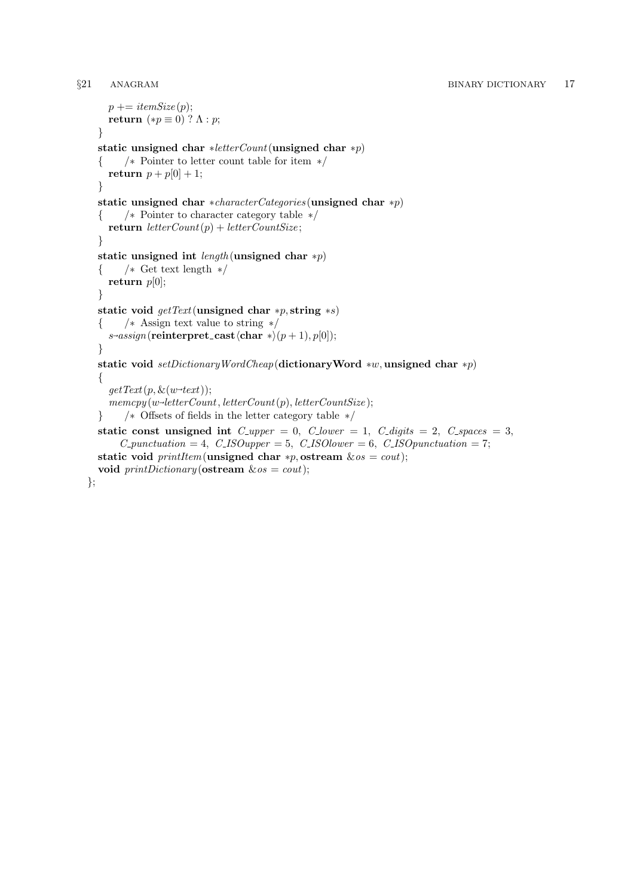```
p \rightarrow itemSize(p);
  return (*p \equiv 0) ? \Lambda : p;}
static unsigned char ∗letterCount(unsigned char ∗p)
{ /∗ Pointer to letter count table for item ∗/
  return p + p[0] + 1;
}
static unsigned char ∗characterCategories (unsigned char ∗p)
{ /∗ Pointer to character category table ∗/
  return letterCount(p) + letterCountSize;}
static unsigned int length (unsigned char *p)
{ /∗ Get text length ∗/
  return p[0];
}
static void \det \text{Text}(\text{unsigned char} * p, \text{string} * s){ /∗ Assign text value to string ∗/
  s\rightarrow assign(\textbf{reinterpret}\_\textbf{cast}\langle\textbf{char}*\rangle(p+1), p[0]);}
static void setDictionaryWordCheap(dictionaryWord *w, unsigned char *p)
\{getText(p, \&(w\textrm{-}text)\);memory(w\neg letterCount, letterCount(p), letterCountSize);} /∗ Offsets of fields in the letter category table ∗/
static const unsigned int C\text{-}upper = 0, C\text{-}lower = 1, C\text{-}digits = 2, C\text{-}spaces = 3,
     C_-punction = 4, C_ISOupper = 5, C_ISOlower = 6, C_ISOpunction = 7;static void \text{printItem}(\text{unsigned char} * p, \text{ostream} \& \text{os} = \text{cout});void printDictionary (ostream &os = cout);
```

```
};
```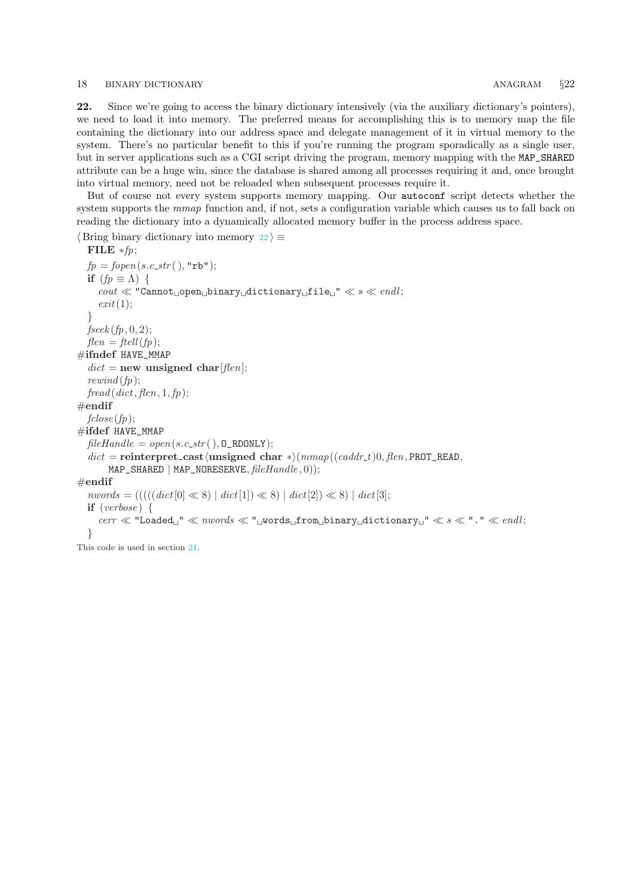### <span id="page-17-0"></span>18 BINARY DICTIONARY **ANAGRAM**  $\S22$

22. Since we're going to access the binary dictionary intensively (via the auxiliary dictionary's pointers), we need to load it into memory. The preferred means for accomplishing this is to memory map the file containing the dictionary into our address space and delegate management of it in virtual memory to the system. There's no particular benefit to this if you're running the program sporadically as a single user, but in server applications such as a CGI script driving the program, memory mapping with the MAP\_SHARED attribute can be a huge win, since the database is shared among all processes requiring it and, once brought into virtual memory, need not be reloaded when subsequent processes require it.

But of course not every system supports memory mapping. Our autoconf script detects whether the system supports the mmap function and, if not, sets a configuration variable which causes us to fall back on reading the dictionary into a dynamically allocated memory buffer in the process address space.

 $\langle$  Bring binary dictionary into memory 22 $\rangle \equiv$ 

```
FILE *fp;fp = fopen(s.c<sub>-</sub>str( \cdot), "rb");
  if (fp \equiv \Lambda) {
     \text{count} \ll \text{``Cannot\textsubscript{U}}binary\text{matrix}_\text{U}dictionary\text{diffile}" \ll s \ll \text{endl};
     exit(1);}
  fseek (fp, 0, 2);flen = ftell(fp);#ifndef HAVE_MMAP
  dict = new unsigned char[flen];
  rewind (fp);fread (dict, flen, 1, fp);#endif
  fclose(fp);#ifdef HAVE_MMAP
  fileHandle = open(s.c\_str( ), O\_RDONLY);dict = reinterpret_cast\langleunsigned char *\rangle(mmap((caddr_t)0, flen, PROT_READ,
       MAP\_SHARED | MAP\_NORESERVE, fileH and le, 0);
#endif
  nwords = (((((dict[0] \ll 8) | dict[1]) \ll 8) | dict[2]) \ll 8) | dict[3];if (verpose) {
     cerr \ll "Loaded \ll \ll mwords \ll" words from binary dictionary " \ll s \ll"." \ll end;
  }
```
This code is used in section [21](#page-15-0).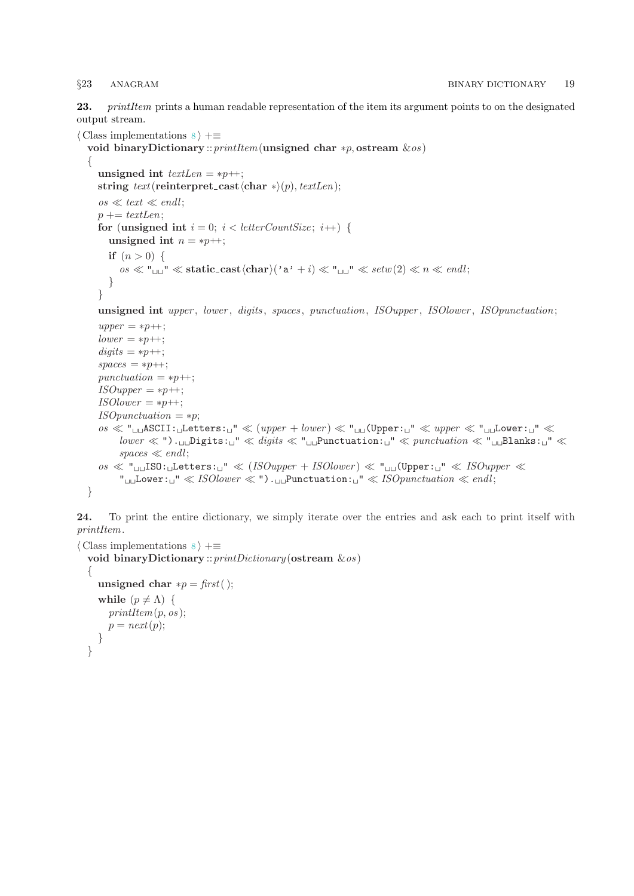<span id="page-18-0"></span>23. printItem prints a human readable representation of the item its argument points to on the designated output stream.

```
\langle Class implementations \langle +≡
  void binaryDictionary :: printItem(unsigned char *p, ostream \&os)
  \left\{ \right.unsigned int textLen = *p++;
     string text(renterpret\_cast \langle char * \rangle(p), textLen);\cos \ll \text{text} \ll \text{endl};
     p \rightarrow + textLen;
     for (unsigned int i = 0; i < letterCountSize; i++) {
        unsigned int n = *p +;
        if (n > 0) \{\cos \ll \mathbb{I}_{\text{un}}" \ll static_cast\langle \text{char} \rangle(\text{`a'} + i) \ll \mathbb{I}_{\text{un}}" \ll setw(2) \ll n \ll endl;
        }
     }
     unsigned int upper, lower, digits, spaces, punctuation, ISOupper, ISOlower, ISOpunctuation;
     upper = *p + \cdot;
     lower = *p +;
     digits = *p + \cdot;spaces = *p +;
     punctuation = *p++;
     ISO upper = *p +;
     ISOlower = *p++;ISOpunctuation = *p;cos \ll "<sub>LL</sub>ASCII: Letters: \Box" \ll (upper + lower) \ll "<sub>LL</sub>(Upper: \Box" \ll upper \ll " \BoxLower: \Box" \lllower \ll "') . \cup Digits: \cup" \ll digits \ll "\cupPunctuation: \cup" \ll punctuation \ll "\cupBlanks: \cup" \llspaces \ll end!;
     os \ll "<sub>LL</sub>ISO: Letters: \Box" \ll (ISOupper + ISOlower) \ll "<sub>LL</sub>(Upper:\Box" \ll ISOupper \ll"<sub>UU</sub>Lower:\Box" \ll ISO lower \ll "). \BoxPunctuation:\Box" \ll ISO punctuation \ll end;
```

```
}
```
24. To print the entire dictionary, we simply iterate over the entries and ask each to print itself with printItem.

```
\langle Class implementations 8 \rangle +≡
  void binaryDictionary :: printDictionary (ostream &os)
  {
     unsigned char *p = first ( );
     while (p \neq \Lambda) {
       printItem(p, os);p = next(p);}
  }
```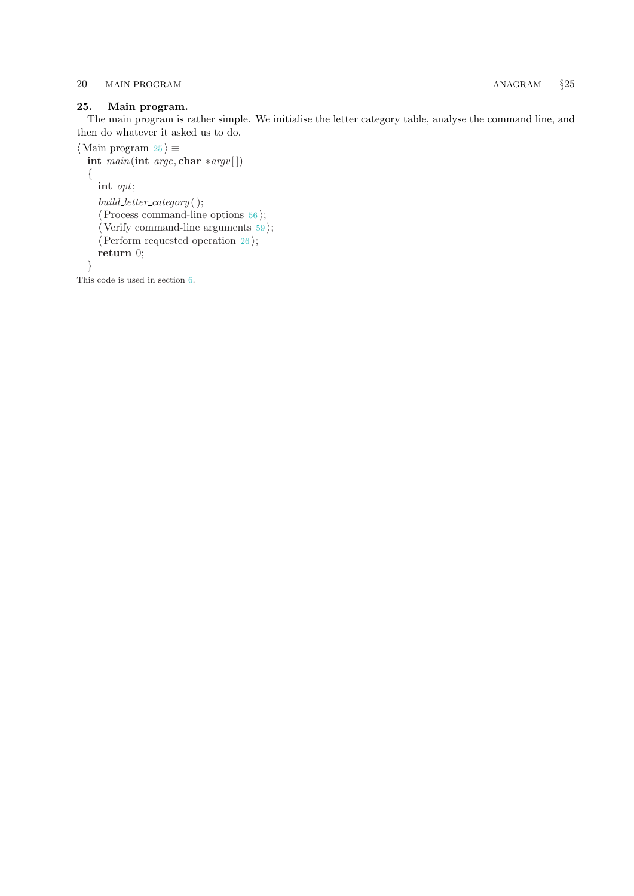## <span id="page-19-0"></span>25. Main program.

The main program is rather simple. We initialise the letter category table, analyse the command line, and then do whatever it asked us to do.

```
\langle Main program 25 \rangle \equivint main(int argc, char *argv[])
 {
   int opt;
   build\_letter\_category();
   \langle56\rangle;
   \langle59\rangle;
   \langle26\rangle;
   return 0;
 }
```
This code is used in section [6](#page-4-0).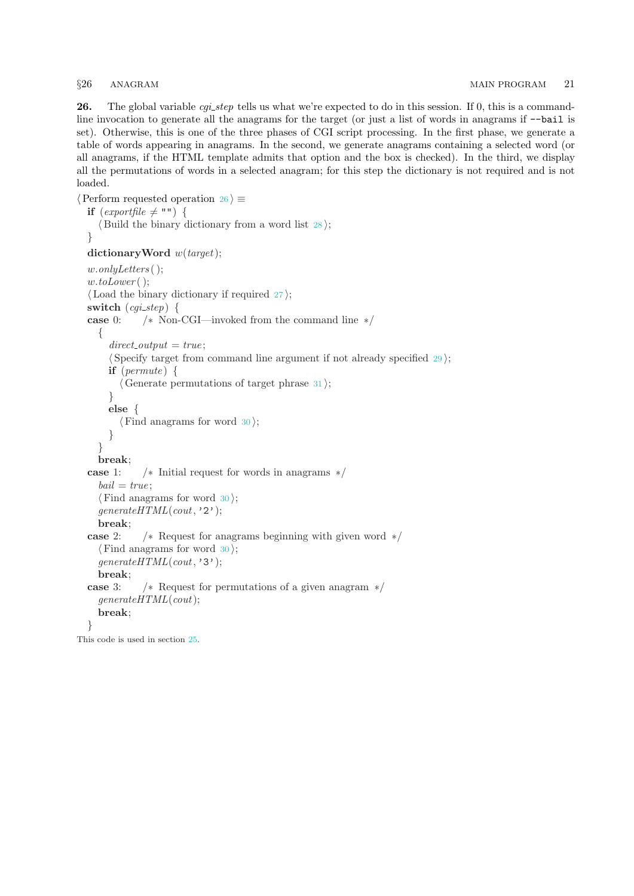<span id="page-20-0"></span>26. The global variable *cgi\_step* tells us what we're expected to do in this session. If 0, this is a commandline invocation to generate all the anagrams for the target (or just a list of words in anagrams if −−bail is set). Otherwise, this is one of the three phases of CGI script processing. In the first phase, we generate a table of words appearing in anagrams. In the second, we generate anagrams containing a selected word (or all anagrams, if the HTML template admits that option and the box is checked). In the third, we display all the permutations of words in a selected anagram; for this step the dictionary is not required and is not loaded.

```
\langle Perform requested operation 26 \rangle \equivif (exportfile \neq "") {
   \langle Build the binary dictionary from a word list 28;
 }
 dictionaryWord w(target);
 w.onlyLetters ( );
 w.toLower();
 \langle27\rangle;
 switch (cqi\_step) {
 case 0: /∗ Non-CGI—invoked from the command line ∗/
   {
     direct\_output = true;\langle29\rangle;
     if (permute) {
       \langle31\rangle;
     }
     else {
       \langle30\rangle;
     }
   }
   break;
 case 1: /∗ Initial request for words in anagrams ∗/
   bail = true;\langle30\rangle;
   qenerate HTML (cout, '2');break;
 case 2: /∗ Request for anagrams beginning with given word ∗/
   \langle30\rangle;
   generate HTML (cout, '3');
   break;
 case 3: /∗ Request for permutations of a given anagram ∗/
   generate HTML (cout);break;
 }
This code is used in section 25.
```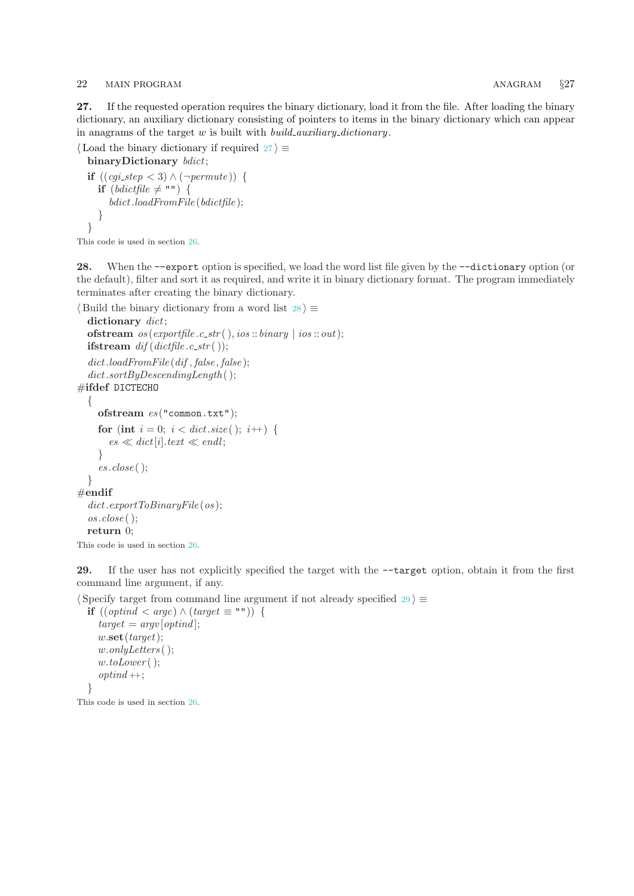### <span id="page-21-0"></span>22 MAIN PROGRAM **627**

27. If the requested operation requires the binary dictionary, load it from the file. After loading the binary dictionary, an auxiliary dictionary consisting of pointers to items in the binary dictionary which can appear in anagrams of the target  $w$  is built with *build\_auxiliary\_dictionary*.

```
\langle Load the binary dictionary if required 27 \rangle \equivbinaryDictionary bdict;
  if ((cgi\_step < 3) \land (\neg permute)) {
     if (bdictfile \neq "") {
        bdict.loadFromFile (bdictfile );
```

```
}
}
```
This code is used in section [26](#page-20-0).

28. When the −−export option is specified, we load the word list file given by the −−dictionary option (or the default), filter and sort it as required, and write it in binary dictionary format. The program immediately terminates after creating the binary dictionary.

```
\langle Build the binary dictionary from a word list 28 \rangle \equiv
```

```
dictionary dict;
  ofstream os(exporthe.c<sub>-</sub>str( ),ios::binary | <i>ios</i>::out);ifstream dif(dictfile.c\_str( ));
  dict.loadFromFile (dif, false, false);dict.sortByDescendingLength( );
#ifdef DICTECHO
  {
     ofstream es ("common.txt");
     for (int i = 0; i < dict.size(); i++) {
       es \ll dict[i].text \ll end!;
     }
     es.close );
  }
#endif
  dict.\,exportToBinaryFile(os);\cos.close ( );
  return 0;
This code is used in section 26.
```
29. If the user has not explicitly specified the target with the −−target option, obtain it from the first command line argument, if any.

 $\langle$  Specify target from command line argument if not already specified 29 $\rangle \equiv$ 

```
if ((optind < argc) ∧ (target ≡ "") ) {
  target = argv[optind];w.\textbf{set}(target);w.onlyLetters ( );
  w.toLower();
  optind +;
}
```
This code is used in section [26](#page-20-0).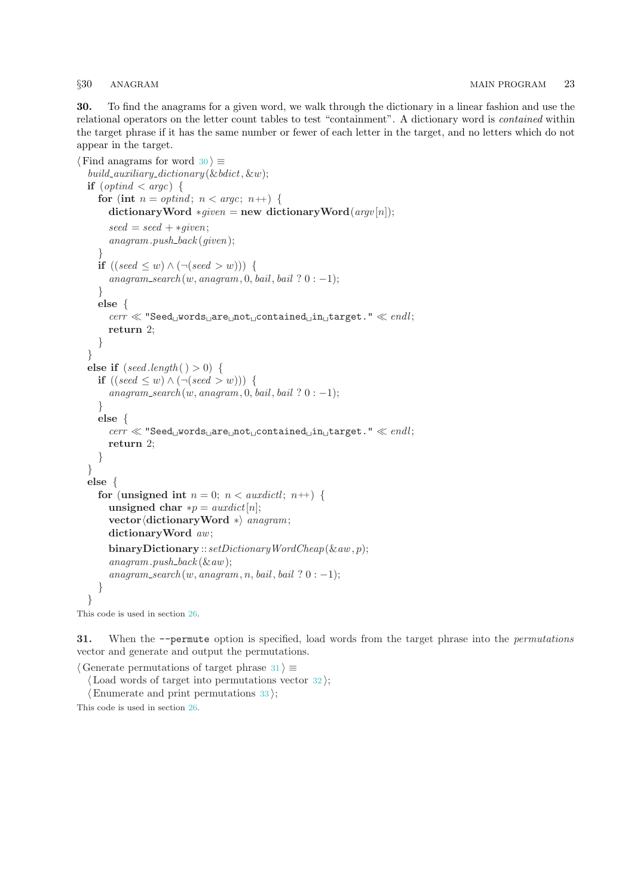<span id="page-22-0"></span>30. To find the anagrams for a given word, we walk through the dictionary in a linear fashion and use the relational operators on the letter count tables to test "containment". A dictionary word is contained within the target phrase if it has the same number or fewer of each letter in the target, and no letters which do not appear in the target.

```
\langle Find anagrams for word 30 \rangle \equivbuild_auxiliary_dictionary (\& bdict, \&w);
  if (\text{optind} < \text{argc}) {
     for (int n = optimal; n < argc; n+1) {
       dictionaryWord *given = new dictionaryWord(\arg w[n]);
       seed = seed + *qiven;anagram.push\_back(given);}
     if ((seed \leq w) \wedge (\neg (seed \geq w)))anagram\_search(w, anagram, 0, bail, bail ? 0 : -1);}
     else {
       cerr \ll "Seed words are not contained in target." \ll endl;
       return 2;
     }
  }
  else if (\text{seed.length}() > 0) {
    if ((seed \leq w) \land (\neg (seed > w)))anagram\_search(w, anagram, 0, bail, bail ? 0 : -1);}
    else {
       \textit{cert} \ll \text{``Seed\_words\_are\_not\_contained\_in\_target."} \ll \textit{endl};return 2;
     }
  }
  else {
     for (unsigned int n = 0; n < auxdictl; n+1) {
       unsigned char *D = \frac{auxdict}{n!};
       vector (dictionaryWord ∗) anagram;
       dictionaryWord aw;
       binaryDictionary :: setDictionaryWordCheap(\& aw, p);anagram.push\_back (&aw);
       anagram\_search(w, anagram, n, bail, bail ? 0 : -1);}
  }
This code is used in section 26.
```
31. When the  $-$ -permute option is specified, load words from the target phrase into the *permutations* vector and generate and output the permutations.

 $\langle$  Generate permutations of target phrase 31 $\rangle \equiv$ 

 $\langle$  Load words of target into permutations vector [32](#page-23-0) $\rangle$ ;

 $\langle$  Enumerate and print permutations [33](#page-23-0) $\rangle$ ;

This code is used in section [26](#page-20-0).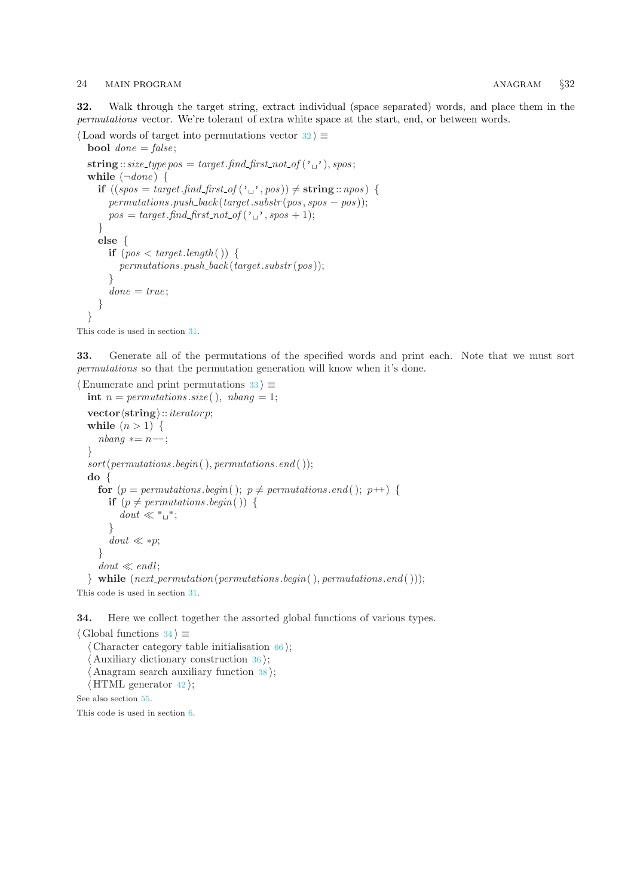### <span id="page-23-0"></span>24 MAIN PROGRAM 632

32. Walk through the target string, extract individual (space separated) words, and place them in the permutations vector. We're tolerant of extra white space at the start, end, or between words.

```
\langle Load words of target into permutations vector 32\rangle \equivbool done = false;
  string :: size_type pos = target.find_first_not_of ('_1), spos;
  while (\negdone) {
    if ((spos = target.find\_first_of(\iota_{\sqcup'}, pos)) \neq string::npos) {
       permutations.push\_back(target.substr(pos, spos - pos));pos = target.find\_first\_not_of(`\sqcup", spos + 1);}
    else {
       if (pos < target.length()) {
          permutations.push\_back(target.substr(pos));
       }
       done = true;}
  }
```
This code is used in section [31](#page-22-0).

33. Generate all of the permutations of the specified words and print each. Note that we must sort permutations so that the permutation generation will know when it's done.

```
\langle Enumerate and print permutations 33 \rangle \equivint n = permutations.size(, nbanq = 1;
  \textbf{vector}\langle\textbf{string}\rangle::\textit{iterator}while (n > 1) {
     nbanq \equiv n -;
  }
  sort(permutations.\text{begin}(),\text{permutations}.\text{end}(),);do {
     for (p = permutations \cdot begin); p \neq permutations \cdot end; p++) {
       if (p \neq permutations \cdot begin() ) {
           dout \ll "\sqcup";
        }
        dout \ll *p;
     }
     dout \ll end!;
  } while (next\_permutation(permutations.begin), permutations.end( ));
```
This code is used in section [31](#page-22-0).

34. Here we collect together the assorted global functions of various types.

```
\langle Global functions 34\rangle \equiv\langle66\rangle;
   Auxiliary dictionary construction 36;
   Anagram search auxiliary function 38;
  \langle42\rangle;
See also section 55.
```
This code is used in section [6](#page-4-0).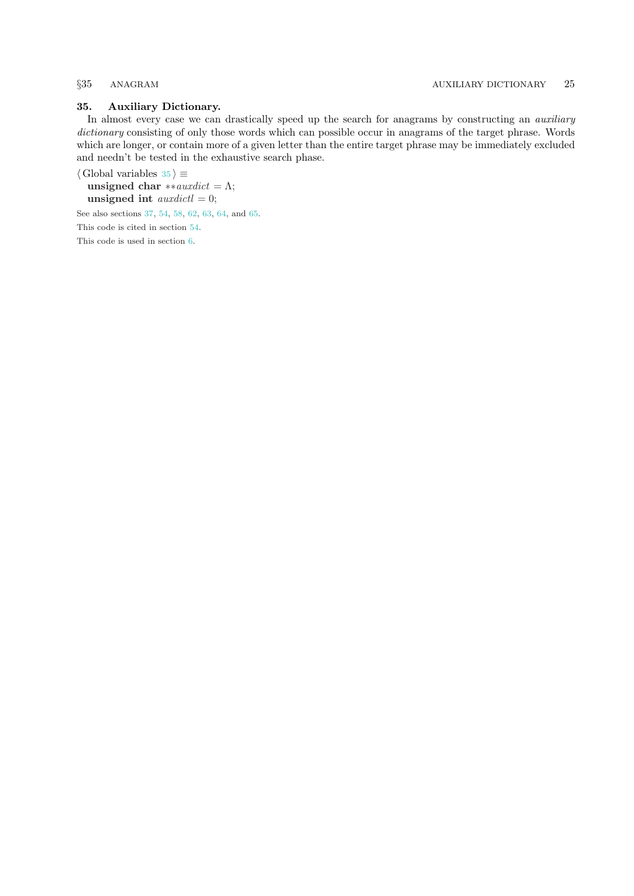### <span id="page-24-0"></span>35. Auxiliary Dictionary.

In almost every case we can drastically speed up the search for anagrams by constructing an *auxiliary* dictionary consisting of only those words which can possible occur in anagrams of the target phrase. Words which are longer, or contain more of a given letter than the entire target phrase may be immediately excluded and needn't be tested in the exhaustive search phase.

 $\langle$  Global variables 35  $\rangle \equiv$ unsigned char \*\*auxdict =  $\Lambda$ ; unsigned int *auxdictl*  $= 0$ ; See also sections [37](#page-26-0), [54,](#page-33-0) [58](#page-38-0), [62](#page-41-0), [63,](#page-43-0) [64](#page-43-0), and [65](#page-44-0).

This code is cited in section [54.](#page-33-0)

This code is used in section [6](#page-4-0).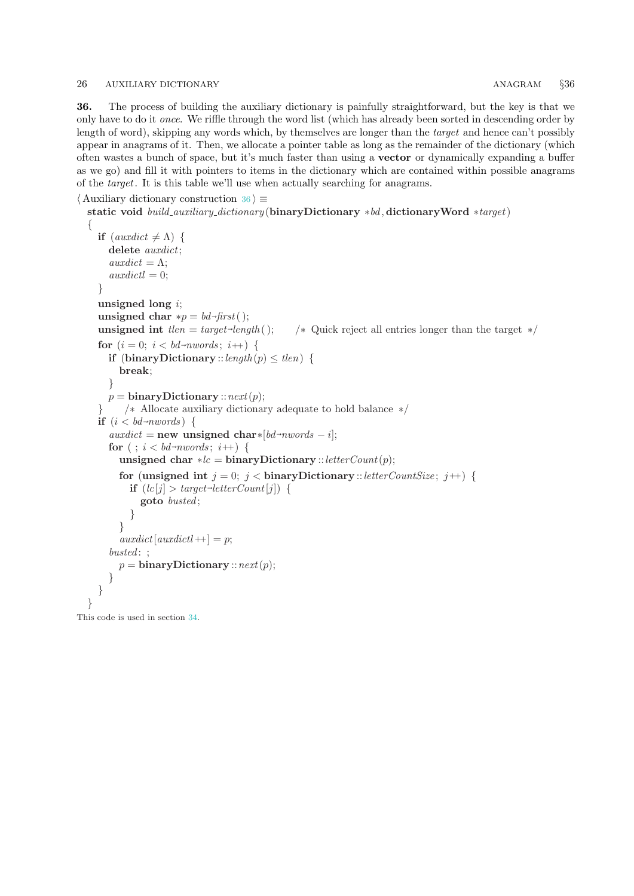### <span id="page-25-0"></span>26 AUXILIARY DICTIONARY ANAGRAM §36

36. The process of building the auxiliary dictionary is painfully straightforward, but the key is that we only have to do it once. We riffle through the word list (which has already been sorted in descending order by length of word), skipping any words which, by themselves are longer than the target and hence can't possibly appear in anagrams of it. Then, we allocate a pointer table as long as the remainder of the dictionary (which often wastes a bunch of space, but it's much faster than using a vector or dynamically expanding a buffer as we go) and fill it with pointers to items in the dictionary which are contained within possible anagrams of the target. It is this table we'll use when actually searching for anagrams.

```
\langle Auxiliary dictionary construction 36 \rangle \equiv
```

```
static void build_auxiliary_dictionary (binaryDictionary ∗bd, dictionaryWord ∗target)
{
  if (auxdict \neq \Lambda) {
     delete auxdict;
     auxdict = \Lambda;\alpha\alpha\alpha\beta\gamma\gamma\delta t = 0;
  }
  unsigned long i;
  unsigned char *p = bd\text{-}first( );
  unsigned int tlen = target\text{-}length( );
                                                 /∗ Quick reject all entries longer than the target \star/
  for (i = 0; i < bd-nwords; i++) {
     if (binaryDictionary :: length (p) \leq tlen) {
       break;
     }
    p = \text{binaryDictionary} :: next(p);} /∗ Allocate auxiliary dictionary adequate to hold balance ∗/
  if (i < bd\text{-}nwords) {
     auxdict = new unsigned char*[bd \rightarrow now];
     for (i, i < bd-nwords; i++) {
       unsigned char ∗lc = binaryDictionary ::letterCount(p);
       for (unsigned int j = 0; j < binaryDictionary :: letterCountSize; j +) {
          if (lc[j] > target\neg letterCount[j]) {
            goto busted ;
          }
       }
       auxdict[auxdict] \rightarrow )busted: :
       p = \text{binaryDictionary} :: next(p);}
  }
}
```
This code is used in section [34](#page-23-0).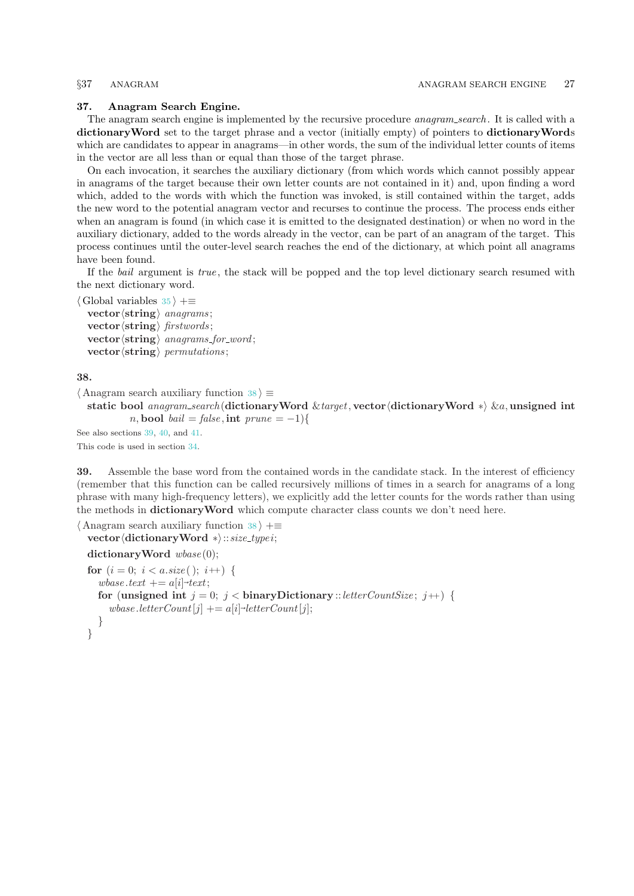### <span id="page-26-0"></span>37. Anagram Search Engine.

The anagram search engine is implemented by the recursive procedure *anagram\_search*. It is called with a dictionary Word set to the target phrase and a vector (initially empty) of pointers to dictionary Words which are candidates to appear in anagrams—in other words, the sum of the individual letter counts of items in the vector are all less than or equal than those of the target phrase.

On each invocation, it searches the auxiliary dictionary (from which words which cannot possibly appear in anagrams of the target because their own letter counts are not contained in it) and, upon finding a word which, added to the words with which the function was invoked, is still contained within the target, adds the new word to the potential anagram vector and recurses to continue the process. The process ends either when an anagram is found (in which case it is emitted to the designated destination) or when no word in the auxiliary dictionary, added to the words already in the vector, can be part of an anagram of the target. This process continues until the outer-level search reaches the end of the dictionary, at which point all anagrams have been found.

If the bail argument is true, the stack will be popped and the top level dictionary search resumed with the next dictionary word.

```
\langle35 \rangle +≡
```

```
vector \langle \text{string} \rangle anagrams:
\textbf{vector} \langle \textbf{string} \rangle firstwords;
vector \langle string \rangle anagrams for word;
vector \langlestring\rangle permutations;
```
38.

```
\langle Anagram search auxiliary function 38 \rangle \equiv
```

```
static bool anagram_search (dictionaryWord &target, vector (dictionaryWord *) &a, unsigned int
        n, bool bail = false, int prune = -1}{
```
See also sections 39, [40,](#page-27-0) and [41.](#page-27-0) This code is used in section [34](#page-23-0).

39. Assemble the base word from the contained words in the candidate stack. In the interest of efficiency (remember that this function can be called recursively millions of times in a search for anagrams of a long phrase with many high-frequency letters), we explicitly add the letter counts for the words rather than using the methods in dictionaryWord which compute character class counts we don't need here.

```
\langle Anagram search auxiliary function 38 \rangle +\equivvector (dictionaryWord ∗):: size_type i;
```

```
dictionaryWord wbase(0);
for (i = 0; i < a.size(); i++) {
  wbase.text += a[i] \rightarrow text;for (unsigned int j = 0; j < binaryDictionary :: letterCountSize; j +) {
     wbase. letter Count[j] += a[i] \neg letterCount[j];}
}
```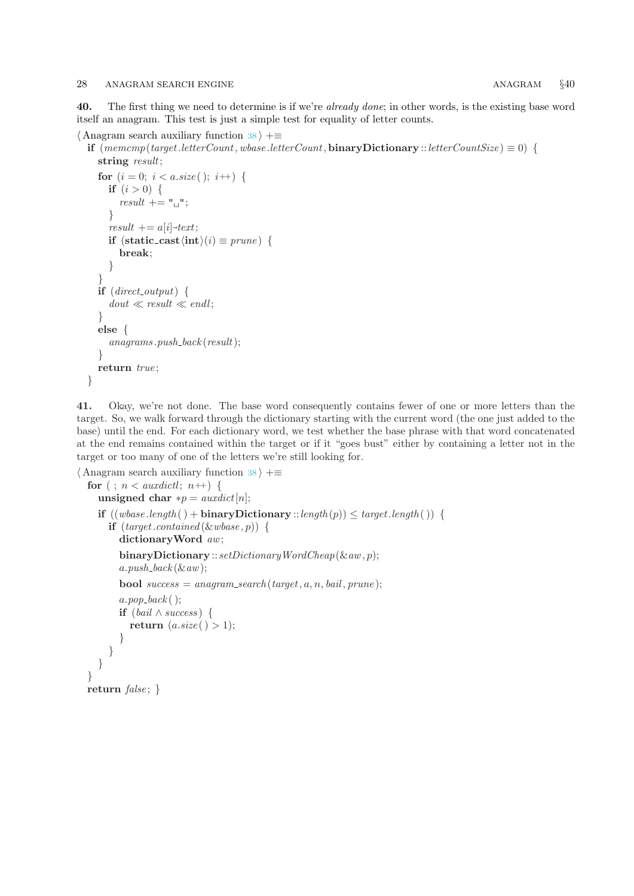<span id="page-27-0"></span>40. The first thing we need to determine is if we're already done; in other words, is the existing base word itself an anagram. This test is just a simple test for equality of letter counts.

```
\langle38 \rangle +≡
```
if  $(mememp(target.letterCount, whose.letterCount, binaryDictionary::letterCountSize) \equiv 0$ string *result*;

```
for (i = 0; i < a.size(); i++) {
   if (i > 0) {
      result + = "u";}
   result + = a[i]+text;if (\text{static}\_\text{cast}\langle\text{int}\rangle(i) \equiv \text{prune}) {
      break;
   }
\left| \right\rangleif (direct-output) {
   dout \ll result \ll endl;
}
else {
   anagrams.push_back(result);
}
return true;
```
}

41. Okay, we're not done. The base word consequently contains fewer of one or more letters than the target. So, we walk forward through the dictionary starting with the current word (the one just added to the base) until the end. For each dictionary word, we test whether the base phrase with that word concatenated at the end remains contained within the target or if it "goes bust" either by containing a letter not in the target or too many of one of the letters we're still looking for.

```
\langle38 \rangle +≡
  for (; n < auxdictl; n+) {
    unsigned char *p = \text{ }a\text{ }u\text{ }x\text{ }d\text{ }x\text{ }[n];if ((wbase.length() + binaryDictionary::length(p)) \le target.length()) {
       if (target.contained(&wbase, p)) {
         dictionaryWord aw;
         binary Dictionary::setDictionaryWordCheap(\&aw, p);a.push\_back (\&aw);
         bool success = anagram\_search(target, a, n, bail, prune);a.pop\_back();
         if (bail \wedge success) {
           return (a.size() > 1);}
      }
    }
  }
  return false; \}
```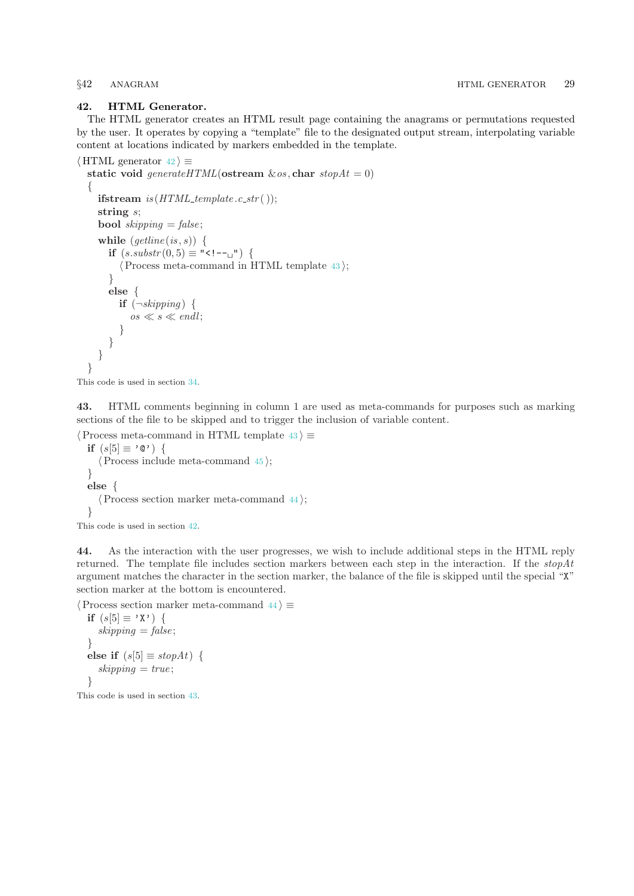### <span id="page-28-0"></span>42. HTML Generator.

The HTML generator creates an HTML result page containing the anagrams or permutations requested by the user. It operates by copying a "template" file to the designated output stream, interpolating variable content at locations indicated by markers embedded in the template.

```
\langle HTML generator 42\rangle \equivstatic void generateHTML(ostream \&os, char stopAt = 0)
  \left\{ \right.ifstream is (HTML template .c str();
    string s;
    bool skipping = false;
    while (getime(is, s)) {
       if (s.substr(0,5) ≡ "1--1" {
          \langle Process meta-command in HTML template 43\rangle;
       }
       else {
         if (\neg skipping) {
            os \ll s \ll endl;
          }
       }
    }
  }
```

```
This code is used in section 34.
```
43. HTML comments beginning in column 1 are used as meta-commands for purposes such as marking sections of the file to be skipped and to trigger the inclusion of variable content.

```
\langle Process meta-command in HTML template 43\rangle \equivif (s[5] \equiv '0') {
     \langle Process include meta-command 45;
  }
  else {
     \langle Process section marker meta-command 44\rangle;
  }
This code is used in section 42.
```
44. As the interaction with the user progresses, we wish to include additional steps in the HTML reply returned. The template file includes section markers between each step in the interaction. If the  $stopAt$ argument matches the character in the section marker, the balance of the file is skipped until the special "X"

section marker at the bottom is encountered.

```
\langle Process section marker meta-command 44\rangle \equiv
```

```
if (s[5] \equiv 'X') {
  skipping = false;}
else if (s[5] \equiv stopAt) {
  skipping = true;}
```
This code is used in section 43.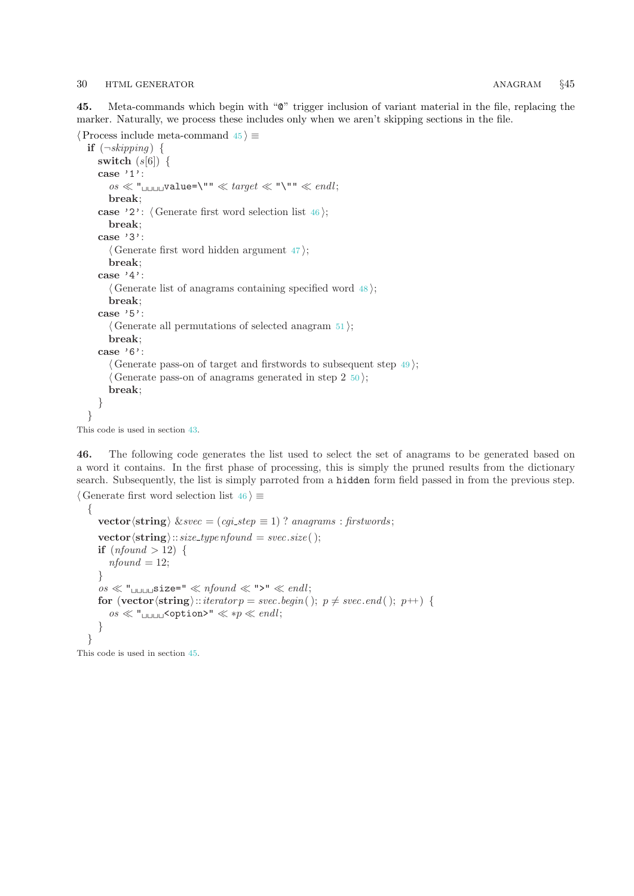<span id="page-29-0"></span>45. Meta-commands which begin with "@" trigger inclusion of variant material in the file, replacing the marker. Naturally, we process these includes only when we aren't skipping sections in the file.

```
\langle Process include meta-command 45 \rangle \equivif (\neg skipping) {
    switch (s[6]) \{case '1':
      \cos \ll "\sinu\cos value=\sqrt{''} \ll target \ll "\sqrt{''}" \ll endl;
      break;
    case '2': \langle Generate first word selection list 46\rangle;
      break;
    case '3':
      \langle47\rangle;
      break;
    case '4':
      \langle Generate list of anagrams containing specified word 48;
      break;
    case '5':
      \langle51\rangle;
      break;
    case '6':
      \langle Generate pass-on of target and firstwords to subsequent step \vert49\rangle;
      \langle50\rangle;
      break;
    }
  }
```
This code is used in section [43](#page-28-0).

46. The following code generates the list used to select the set of anagrams to be generated based on a word it contains. In the first phase of processing, this is simply the pruned results from the dictionary search. Subsequently, the list is simply parroted from a hidden form field passed in from the previous step.

```
\langle Generate first word selection list 46 \rangle \equiv{
      vector \langlestring\rangle \&svec = (cgi_step \equiv 1) ? anagrams : firstwords;
      \mathbf{vector} \langle \mathbf{string} \rangle:: size_type nfound = svec.size ( );
      if (nfound > 12) {
         nfound = 12;}
      \cos \ll "\sin 2\theta =" \ll nfound \ll ">" \ll endl;
      for (vector \langlestring\rangle:: iterator p = svec.begin( ); p \neq svec.end( ); p++) {
         \cos \ll "\sin \cos \theta" \ll \sqrt{p} \ll \sqrt{p} endl;
      }
   }
```
This code is used in section 45.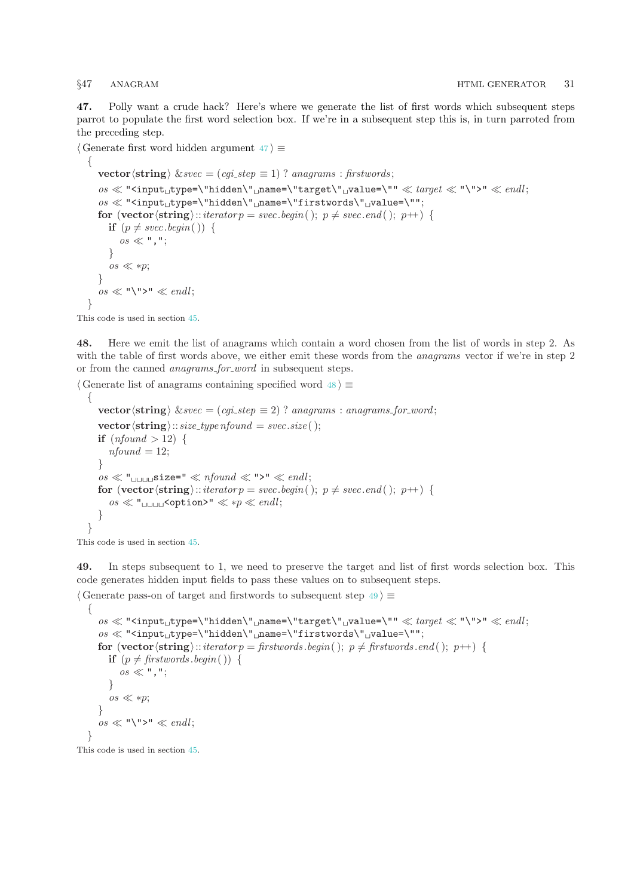<span id="page-30-0"></span>47. Polly want a crude hack? Here's where we generate the list of first words which subsequent steps parrot to populate the first word selection box. If we're in a subsequent step this is, in turn parroted from the preceding step.

```
\langle Generate first word hidden argument 47\rangle \equiv
```

```
\left\{ \right.vector \langlestring\rangle \&svec = (cgi\_step \equiv 1) ? anagrams : firstwords;
   \alphaos \ll "<input<sub>u</sub>type=\"hidden\"<sub>u</sub>name=\"target\"<sub>u</sub>value=\"" \ll target \ll "\">" \ll endl;
   \delta os \ll "<input_type=\"hidden\"_name=\"firstwords\"_value=\"";
   for (vector \langlestring)::iterator p = svec.begin( ); p \neq svec.end( ); p++) {
      if (p \neq \text{spec}.\text{begin})) {
         \cos \ll ", ";
      }
      os \ll sp;
   }
   \cos \ll \sqrt{\mathbf{v} \cdot \mathbf{v}} \ll \mathit{endl};
}
```
This code is used in section [45](#page-29-0).

48. Here we emit the list of anagrams which contain a word chosen from the list of words in step 2. As with the table of first words above, we either emit these words from the *anagrams* vector if we're in step 2 or from the canned *anagrams\_for\_word* in subsequent steps.

```
\langle Generate list of anagrams containing specified word 48 \rangle \equiv{
     vector\langlestring\rangle \&svec = (cgi_step \equiv 2) ? anagrams : anagrams for word;
     vector \langle string \rangle:: size_type nfound = svec.size ( );
     if (nfound > 12) {
        nfound = 12;
     }
     \cos \ll \mathsf{``}<sub>UUUU</sub>Size=" \ll nfound \ll ">" \ll endl;
     for (vector \langlestring)::iterator p = \textit{svec}.\textit{begin} ); p \neq \textit{svec}.\textit{end} ( ); p+{} {
        os  " <option>"  ∗p  endl ;
     }
  }
```
This code is used in section [45](#page-29-0).

49. In steps subsequent to 1, we need to preserve the target and list of first words selection box. This code generates hidden input fields to pass these values on to subsequent steps.

```
\langle Generate pass-on of target and firstwords to subsequent step 49 \rangle \equiv{
          \cos \ll "<input<sub>u</sub>type=\"hidden\"<sub>u</sub>name=\"target\"<sub>u</sub>value=\"" \ll target \ll "\">" \ll endl;
          \it os\ll "Simplifype=\verb|"hidden\\" \lnot \texttt{mame} \lnot \texttt{firstwords}\\" \lnot \texttt{malue} \lnot \texttt{mine} \lnot \texttt{mone} \lnot \texttt{mone} \lnot \texttt{mone} \lnot \texttt{mone} \lnot \texttt{mone} \lnot \texttt{mone} \lnot \texttt{mone} \lnot \texttt{mone} \lnot \texttt{mone} \lnot \texttt{mone} \lnot \texttt{mone} \lnot \texttt{mone} \lnot \texttt{mone} \lnot \texttt{mone} \lnot \texttt{mone} \lnot \texttt{mone} \lfor (vector \langlestring\rangle::iterator p = firstwords .begin(); p \neq firstwords .end (); p++) {
              if (p \neq firstwords begin( )) {
                    os \ll ", ";
               }
               \cos \ll *p;
          }
          \cos \ll \sqrt{\mathsf{m}} > \mathsf{m} \ll \mathit{endl};
     }
```
This code is used in section [45](#page-29-0).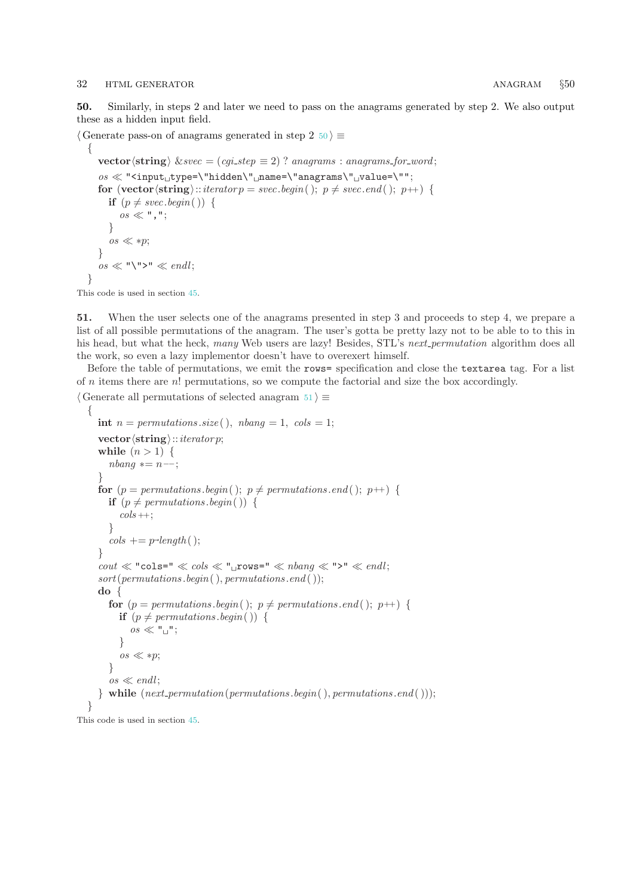### <span id="page-31-0"></span>32 HTML GENERATOR **ANAGRAM**  $§50$

50. Similarly, in steps 2 and later we need to pass on the anagrams generated by step 2. We also output these as a hidden input field.

 $\langle$  Generate pass-on of anagrams generated in step 2 50  $\rangle \equiv$ 

```
{
   vector \langlestring\rangle \&svec = (cgi\_step \equiv 2) ? anagrams : anagrams for word;
   \cos \ll "<input<sub>1</sub>type=\"hidden\"<sub>1</sub>name=\"anagrams\"<sub>1</sub>value=\"";
   for (vector \langlestring)::iterator p = \textit{svec}.\textit{begin} ); p \neq \textit{svec}.\textit{end} ( ); p+{} {
      if (p \neq \text{spec}.\text{begin})) {
          \cos \ll ", ";
       }
       \cos \ll *p;
   }
   \cos \ll \sqrt{\mathsf{m}} > \mathsf{m} \ll \mathit{endl};
}
```
This code is used in section [45](#page-29-0).

51. When the user selects one of the anagrams presented in step 3 and proceeds to step 4, we prepare a list of all possible permutations of the anagram. The user's gotta be pretty lazy not to be able to to this in his head, but what the heck, many Web users are lazy! Besides, STL's next permutation algorithm does all the work, so even a lazy implementor doesn't have to overexert himself.

Before the table of permutations, we emit the rows= specification and close the textarea tag. For a list of  $n$  items there are  $n!$  permutations, so we compute the factorial and size the box accordingly.

```
\langle Generate all permutations of selected anagram 51\rangle \equiv
```

```
{
      int n = permutations.size(, nbanq = 1, \text{ }cols = 1;\mathbf{vector}\langle\mathbf{string}\rangle::iteratorwhile (n > 1) {
         n<sup>bin</sup> ∗= n ––:
      }
      for (p = permutations \cdot begin); p \neq permutations \cdot end; p++) {
         if (p \neq permutations \text{.} begin() ) {
            \cosh +;
         }
         \cosh \phi = p\text{-}length(\phi);
      }
      \text{cout} \ll \text{``cols} = " \ll \text{cols} \ll " \ll \text{rows} = " \ll \text{rbang} \ll " > " \ll \text{endl};sort(permutations.\text{begin}(),\text{permutations}.\text{end}(),);do {
         for (p = permutations \cdot begin); p \neq permutations \cdot end; p++) {
            if (p \neq permutations \cdot begin() ) {
               \cos \ll "\frac{1}{2}";
            }
            os \ll sp;}
         os \ll \text{endl};
      } while (next\_permutation(permutations.\textit{begin}(), permutations.\textit{end}());}
This code is used in section 45.
```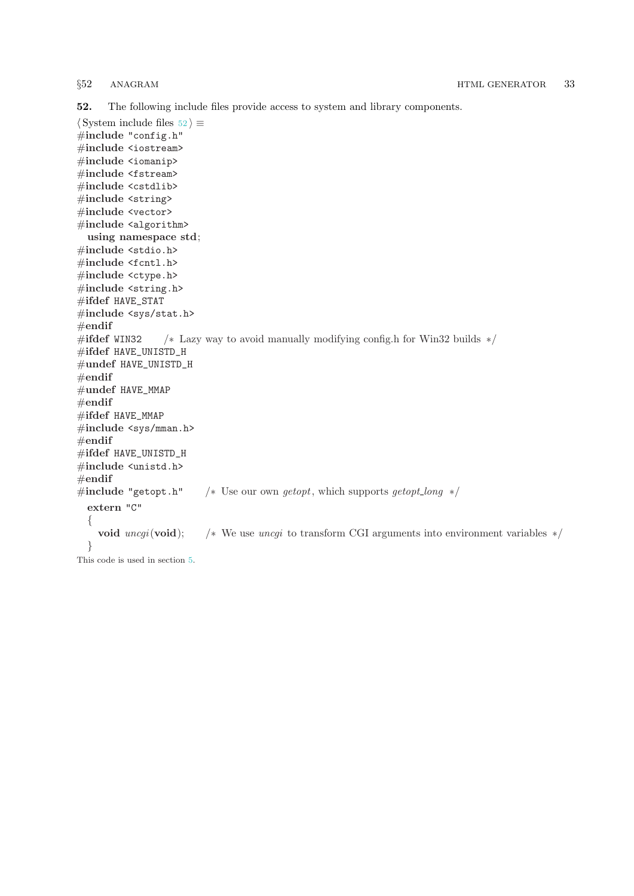<span id="page-32-0"></span>52. The following include files provide access to system and library components.

```
\langle System include files 52\rangle \equiv\#include "config.h"
#include <iostream>
#include <iomanip>
#include <fstream>
#include <cstdlib>
#include <string>
#include <vector>
#include <algorithm>
  using namespace std;
#include <stdio.h>
#include <fcntl.h>
#include <ctype.h>
\#include <string.h>
#ifdef HAVE_STAT
#include <sys/stat.h>
#endif
#ifdef WIN32 /* Lazy way to avoid manually modifying config.h for Win32 builds */
#ifdef HAVE_UNISTD_H
#undef HAVE_UNISTD_H
#endif
#undef HAVE_MMAP
#endif
#ifdef HAVE_MMAP
#include <sys/mman.h>
#endif
#ifdef HAVE_UNISTD_H
#include <unistd.h>
#endif
#include "getopt.h" /* Use our own getopt, which supports getopt_long */
  extern "C"
  {
    void uncgi(void); /* We use uncgi to transform CGI arguments into environment variables */}
This code is used in section 5.
```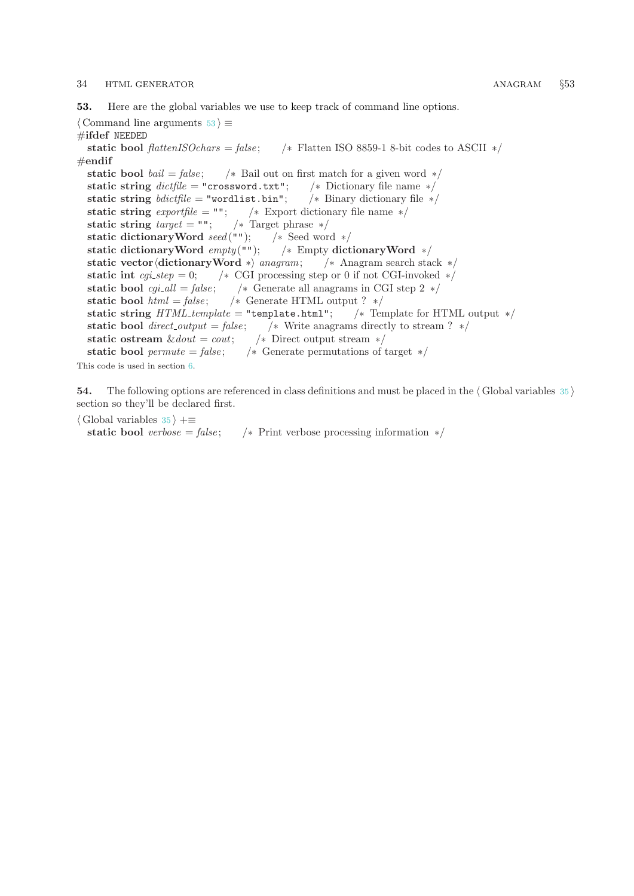### <span id="page-33-0"></span>34 HTML GENERATOR **ANAGRAM** §53

53. Here are the global variables we use to keep track of command line options.

 $\langle$  Command line arguments 53  $\rangle \equiv$ #ifdef NEEDED static bool flattenISOchars = false; /\* Flatten ISO 8859-1 8-bit codes to ASCII \*/ #endif static bool *bail* = *false*;  $\frac{1}{2}$  /\* Bail out on first match for a given word \*/ static string  $\text{dictfile} = "crossword.txt";$  /\* Dictionary file name \*/ static string  $\textit{bdictfile} = "wordlist.\text{bin}"; \quad \text{'* Binary dictionary file *}$ static string  $\text{exporffile} = \text{""};$  /\* Export dictionary file name \*/ static string  $target = "";$  /\* Target phrase \*/ static dictionaryWord seed (""); /\* Seed word \*/ static dictionaryWord  $empty("")$ ; /\* Empty dictionaryWord \*/ static vector (dictionary Word ∗) anagram; /\* Anagram search stack \*/ static int cgi\_step = 0; /\* CGI processing step or 0 if not CGI-invoked  $*/$ static bool  $cgi\_all = false$ ; /\* Generate all anagrams in CGI step 2 \*/ static bool  $html = false;$  /\* Generate HTML output ? \*/ static string  $HTML\mathit{template} = "template.html";$  /\* Template for HTML output \*/ static bool direct\_output = false; <br> /\* Write anagrams directly to stream ? \*/<br>static ostream  $\&$  dout = cout; <br> /\* Direct output stream \*/ static ostream  $˙ = court;$ static bool permute = false;  $\frac{1}{\sqrt{2}}$  Generate permutations of target  $\frac{*}{ }$ This code is used in section [6](#page-4-0).

54. The following options are referenced in class definitions and must be placed in the  $\langle$  Global variables [35](#page-24-0) $\rangle$ section so they'll be declared first.

 $\langle$  Global variables [35](#page-24-0)  $\rangle$  +≡ static bool verbose = false;  $\frac{1}{\sqrt{2}}$  Print verbose processing information  $\frac{1}{\sqrt{2}}$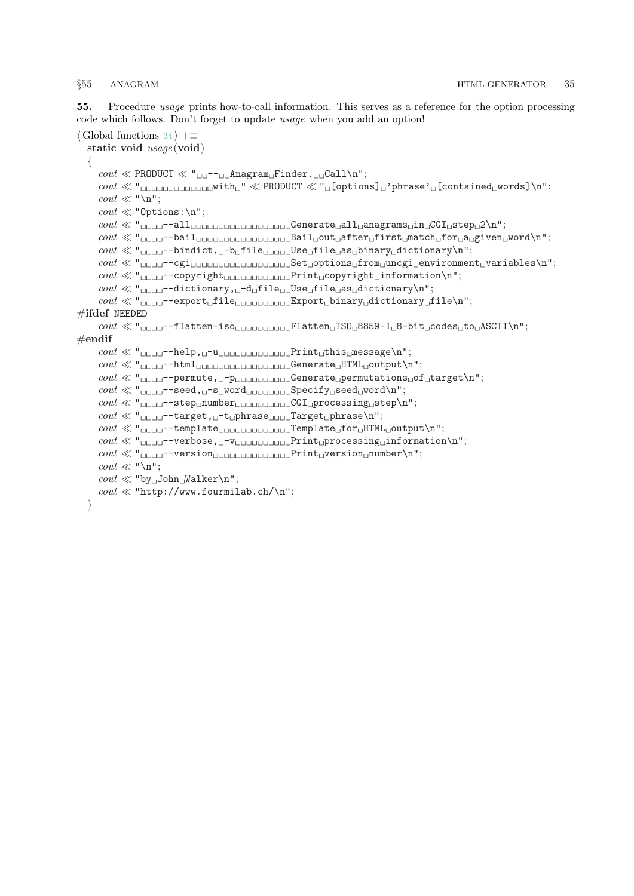<span id="page-34-0"></span>55. Procedure usage prints how-to-call information. This serves as a reference for the option processing code which follows. Don't forget to update usage when you add an option!

```
\langle34 \rangle +≡
    static void usage (void)
    \left\{ \right.\text{count} \ll \text{PRODUCT} \ll "<sub>UU</sub>--<sub>UU</sub>Anagram<sub>U</sub>Finder.<sub>UU</sub>Call\n";
        \text{const} \ll " with \text{unit} \ll \text{PRODUCT} \ll \text{````} \text{``} [options] \text{``} 'phrase '\text{``} [contained words] \text{``} "
        \text{cout} \ll \text{``\texttt{``n''}};\text{cout} \ll \text{"Options:} \n\cdot \text{``}\mathit{out}\ll" \textit{``} \textit{``} \textit{``} \textit{``} \textit{``} \textit{``} \textit{``} \textit{``} \textit{``} \textit{``} \textit{``} \textit{``} \textit{``} \textit{``} \textit{``} \textit{``} \textit{``} \textit{``} \textit{``} \textit{``} \textit{``} \textit{``} \textit{``} \textit{``} \textit{``} \textit{``} \textit{``} \textit{``} \textit{``} \textit{``} \textit{``} \textit{``} \textit{``} \textit{``} \textit{``} \text\text{count} \ll "<sub>UUUU</sub>--bail<sub>UUUUUUUUUUUUUUUU</sub>Bail<sub>U</sub>out<sub>U</sub>after<sub>U</sub>first<sub>U</sub>match<sub>U</sub>for<sub>U</sub>a<sub>U</sub>given<sub>U</sub>word\n";
        \text{count} \ll "<sub>UUUU</sub>--bindict, _0-b<sub>u</sub>file<sub>UUUUU</sub>Use<sub>U</sub>file<sub>U</sub>as<sub>u</sub>binary<sub>u</sub>dictionary\n";
        \it{out}\ll" \texttt{\texttt{unun}--cgi}\texttt{unununununun} \texttt{Set}\texttt{options}\texttt{\texttt{ifrom}}\texttt{uncci}\texttt{^{envi}}\texttt{roment}\texttt{_{\texttt{u}}\texttt{variables}\texttt{^{"}};\text{const} \ll "<sub>UUUU</sub>--copyright
<sub>UUUU</sub>Print
<sub>U</sub>copyright
<sub>U</sub>information
\n";
        \text{count} \ll "<sub>UUUU</sub>--dictionary, \Box-d\Boxfile\Boxuse\Boxfile\Boxas\Boxdictionary\n";
        \text{count} \ll "<sub>1</sub> =−export file<sub>1</sub> = \text{input} Export binary dictionary file\n";
#ifdef NEEDED
        \text{count} \ll "<sub>UUUU</sub>--flatten-iso<sub>UUUUUUUUU</sub>Flatten<sub>U</sub>ISO<sub>U</sub>8859-1<sub>U</sub>8-bit<sub>u</sub>codes<sub>u</sub>to<sub>U</sub>ASCII\n";
#endif
        \text{count} \ll "<sub>UUUU</sub>--help, \Box-u\Box
\Box
\Box
\BoxPrint\Boxthis\Boxmessage\n";
        cout  " −−html Generate HTML output\n";
        \mathit{out} \ll \texttt{"_\textit{UUUU}}\texttt{-permute, \texttt{U}}\texttt{-p_\textit{UUUUUUUUU}}\texttt{Generate\_permutations\_of\_target\texttt{\texttt{V1}}''};\text{count} \ll "<sub>UUUU</sub>--seed, O-sUWord
COUT Specify Seed
Word
\n";
        \text{count} \ll "<sub>UUUU</sub>--step<sub>U</sub>number<sub>UUUUUUUUUU</sub>CGI<sub>U</sub>processing<sub>U</sub>step\n";
        \mathit{cout} \ll \text{"}{}_{\sqcup \sqcup \sqcup \dashv} \texttt{-target,} {}_{\sqcup} \texttt{-thrase}{}_{\sqcup \sqcup \sqcup \sqcup} \texttt{Target}{}_{\sqcup} \texttt{phrase}{} \backslash \texttt{n";}\text{count} \ll "<sub>UUUU</sub>--template
<sub>UUUU</sub><sub>uuuuuuuuuuuuuu</sub>Template
<sub>U</sub>for
<sub>U</sub>HTML
<sub>U</sub>output
\n";
        \text{count} \ll " _{\text{ULLL}}-verbose, _{\text{L}}-v<sub>Publi</sub> print processing information\n";
        \text{count} \ll "\text{cout} \ll \text{``\texttt{``}}\texttt{''};\text{cout} \ll \text{``by} \text{John} \text{Walker} \text{''};\text{count} \ll \text{``http://www.fournilab.ch/\n''};}
```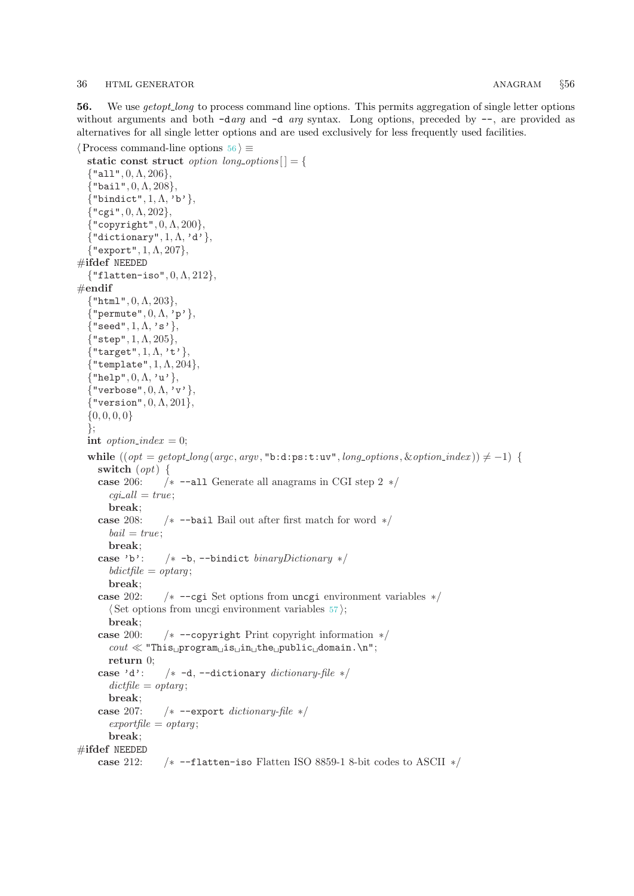<span id="page-35-0"></span>56. We use getopt<sub>-long</sub> to process command line options. This permits aggregation of single letter options without arguments and both -darg and -d arg syntax. Long options, preceded by --, are provided as alternatives for all single letter options and are used exclusively for less frequently used facilities.

```
\langle Process command-line options 56 \rangle \equivstatic const struct option long-options \begin{bmatrix} \end{bmatrix} = \begin{bmatrix} \end{bmatrix}\{"all", 0, \Lambda, 206},
  \{"bail", 0, \Lambda, 208},
  \{\text{"bindict", 1, \Lambda, 'b'}\},\\{ "cgi", 0, \Lambda, 202},
  {``copyright", 0, \Lambda, 200},\{"dictionary", 1, \Lambda, 'd'},
  {"export", 1, \Lambda, 207},
#ifdef NEEDED
  {"flatten-iso", 0, \Lambda, 212},
\#endif
  \{\text{"html", 0, \Lambda, 203}\},\{^{\prime}}"permute", 0, \Lambda, 'p' },
  {^{\prime}}"seed", 1, \Lambda, 's' },
  {"step", 1, \Lambda, 205{},
  \{"target", 1, \Lambda, 't' },
   { "template", 1, \Lambda, 204},
  \{"help", 0, \Lambda, 'u'},
  \{"verbose", 0, \Lambda, 'v',
  {"version", 0,Λ, 201},
  \{0, 0, 0, 0\}};
  int option_index = 0;
  while ((opt = getoptLong(argc, argv, "b:d:ps:t:uv", long options, & option_index)) \neq -1)switch (opt) {
     case 206: /∗ −−all Generate all anagrams in CGI step 2 ∗/
        cgi\_all = true;break;
     case 208: /∗ −−bail Bail out after first match for word ∗/
       bail = true:
       break;
     case 'b': /∗ −b, −−bindict binaryDictionary ∗/
       bdictfile = optarg;break;
     case 202: /∗ −−cgi Set options from uncgi environment variables ∗/
        \langle Set options from uncgi environment variables 57;
       break;
     case 200: /∗ −−copyright Print copyright information ∗/
       \text{count} \ll \text{``This\_program\_is\_in\_the\_public\_domain.\n'';return 0;
     case 'd': /* -d, --dictionary dictionary-file */
       dictfile = optarg;break;
     case 207: /∗ −−export dictionary-file ∗/
       \epsilonexportfile = optarg;
       break;
#ifdef NEEDED
     case 212: /∗ −−flatten−iso Flatten ISO 8859-1 8-bit codes to ASCII ∗/
```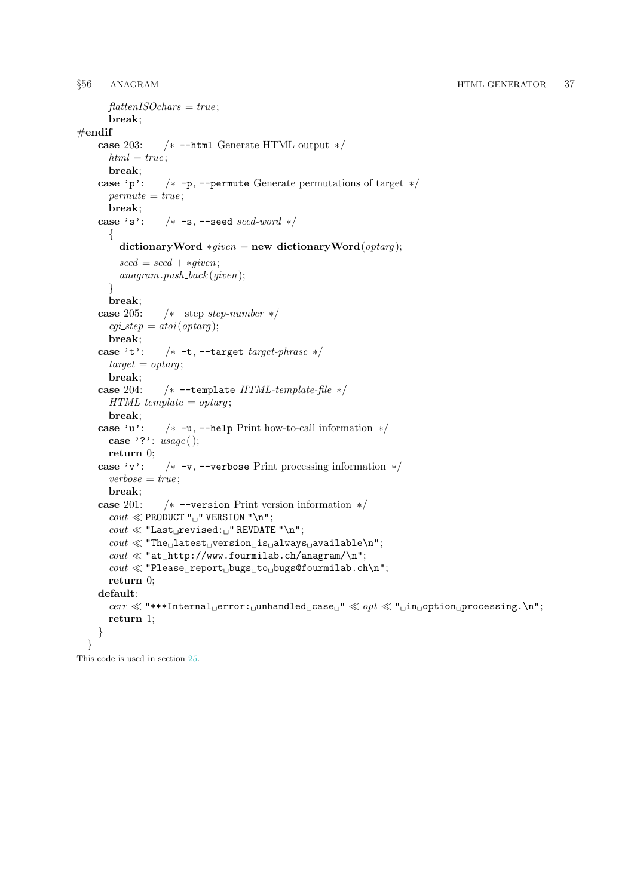```
\mathit{flattenISO}_{\text{chars}} = \mathit{true};break;
\begin{array}{c}\text{\#endif}\\\text{case 203:}\end{array}/∗ -−html Generate HTML output ∗/
      html = true;break;
    case 'p': /∗ −p, −−permute Generate permutations of target ∗/
      permute = true;
      break;
    case 's': /* -s, --seed seed-word */\{dictionaryWord *given = new dictionaryWord(optarg);seed = seed + *given;anagram.push\_back (given);
      }
      break;
    case 205: /* –step step-number */cgi\_step = atoi(optarg);break;
    case 't': /* -t, -target target-phrase */
      target = optarg;break;
    case 204: /∗ −−template HTML-template-file ∗/
      HTML<sub>template</sub> = optarg;
      break;
    case 'u': /∗ −u, −−help Print how-to-call information ∗/
      case '?': usage();
      return 0;
    case 'v': /∗ −v, −−verbose Print processing information ∗/
      verbose = true;break;
    case 201: /∗ −−version Print version information ∗/
      \text{count} \ll \text{PRODUCT "} " VERSION "\n";
      cout  "Last revised: " REVDATE "\n";
      \text{count} \ll \text{``The} latest version is always available\n";
      \text{cout} \ll \text{``at} http://www.fourmilab.ch/anagram/\n";
      \textit{count} \ll \text{''Please} report bugs to bugs@fourmilab.ch\n";
      return 0;
    default:
      cerr \ll "***Internal error: unhandled case " \ll opt \ll " unique processing. \n";
      return 1;
    }
  }
```
This code is used in section [25](#page-19-0).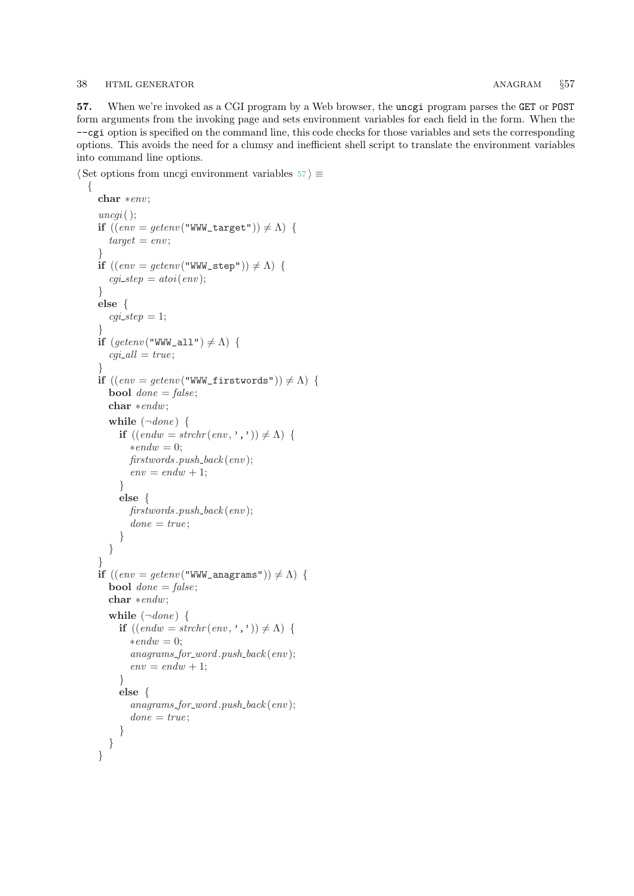### <span id="page-37-0"></span>38 HTML GENERATOR **ANAGRAM** §57

 $\{$ 

57. When we're invoked as a CGI program by a Web browser, the uncgi program parses the GET or POST form arguments from the invoking page and sets environment variables for each field in the form. When the −−cgi option is specified on the command line, this code checks for those variables and sets the corresponding options. This avoids the need for a clumsy and inefficient shell script to translate the environment variables into command line options.

 $\langle$  Set options from uncgi environment variables 57 $\rangle \equiv$ 

```
char ∗env ;
uncqi();
if ((env = getenv("WWW\_target")) \neq \Lambda) {
  target = env;}
if ((env = qetenv("WWW\_step")) \neq \Lambda) {
  cgi\_step = atoi(env);}
else {
  cgi\_step = 1;}
if (getenv("WWW_a11") \neq \Lambda) {
  cgi\_all = true;}
if ((env = getenv("WWW\_firstwords")) \neq \Lambda) {
  bool done = false;
  char ∗endw;
  while (\negdone) {
    if ((endw = strchr(\text{env}, \cdot, \cdot)) \neq \Lambda {
       *endw = 0;first words. push\_back (env);env = endw + 1;}
     else {
       first words. push\_back (env);done = true;}
  }
}
if ((env = getenv("WWW\_anagrams")) \neq \Lambda) {
  bool done = false;
  char ∗endw;
  while (\negdone) {
    if ((endw = strchr(env, ', ') ) \neq \Lambda {
       *endw = 0;anagrams\_for\_word.push\_back(env);env = endw + 1;}
    else {
       anagrams\_for\_word.push\_back(env);done = true;}
  }
}
```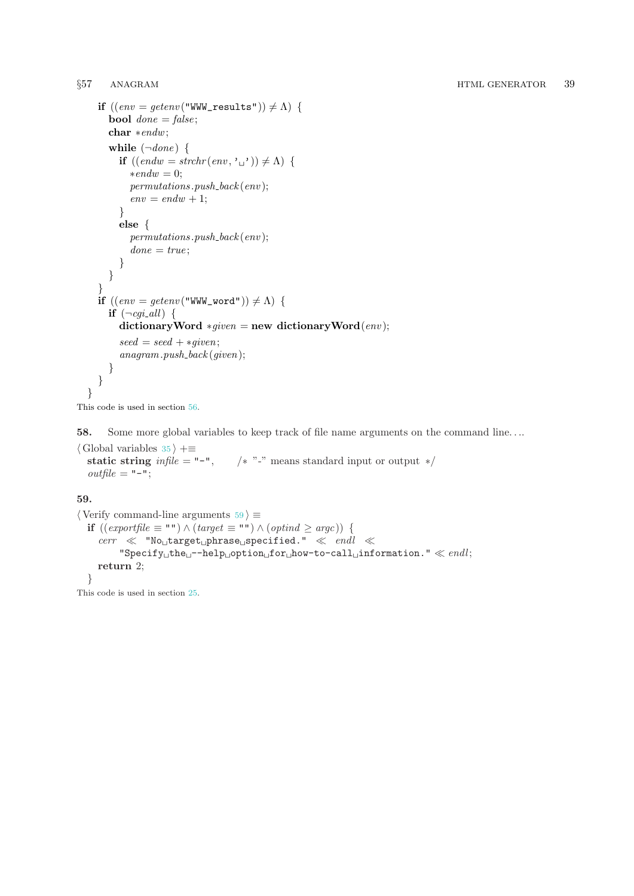```
if ((env = getenv("WWW\_results")) \neq \Lambda) {
    bool done = false;
    char ∗endw;
    while (\neg done) {
       if ((endw = strchr(\text{env}, \cdot_{\sqcup} \cdot)) \neq \Lambda {
         *endw = 0;permutations.push\_back (env);env = endw + 1;}
       else {
         permutations.push\_back (env);done = true;}
    }
  }
  if ((env = qetenv("WWW-word")) \neq \Lambda) {
    if (\neg cai\_all) {
       dictionaryWord *given = new dictionaryWord(exp);seed = seed + *given;anagram.push\_back(given);}
  }
}
```

```
This code is used in section 56.
```
58. Some more global variables to keep track of file name arguments on the command line. . ..

 $\langle$  Global variables [35](#page-24-0)  $\rangle$  +≡<br>static string *infile* = "-",  $/* "-'" means standard input or output */$  $outfile = "-";$ 

## 59.

```
\langle Verify command-line arguments 59 \rangle \equivif ((\text{exportfile} ≡ "") \land (\text{target} ≡ "") \land (\text{optind} ≥ \text{argc})) {
       \textit{corr} \ \ll \ \texttt{"No_Utarget_U} \texttt{phrase_U} \texttt{specified."} \ \ll \ \textit{endl} \ \ll"Specificity_\sqcup the_\sqcup -help_\sqcup option_\sqcup for_\sqcup how-to-call_\sqcup information." \ll \mathit{endl};return 2;
   }
```
This code is used in section [25](#page-19-0).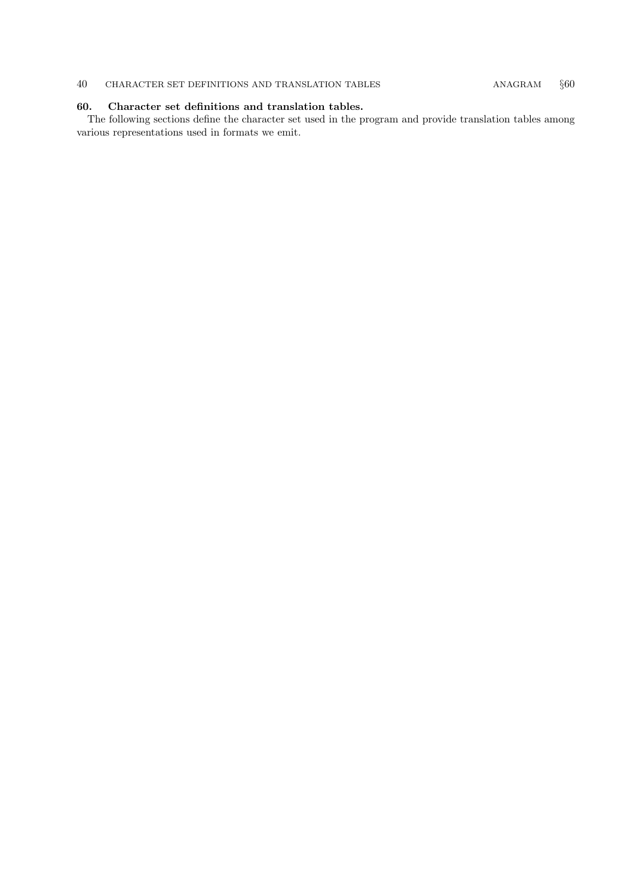## <span id="page-39-0"></span>40 CHARACTER SET DEFINITIONS AND TRANSLATION TABLES ANAGRAM  $§60$

## 60. Character set definitions and translation tables.

The following sections define the character set used in the program and provide translation tables among various representations used in formats we emit.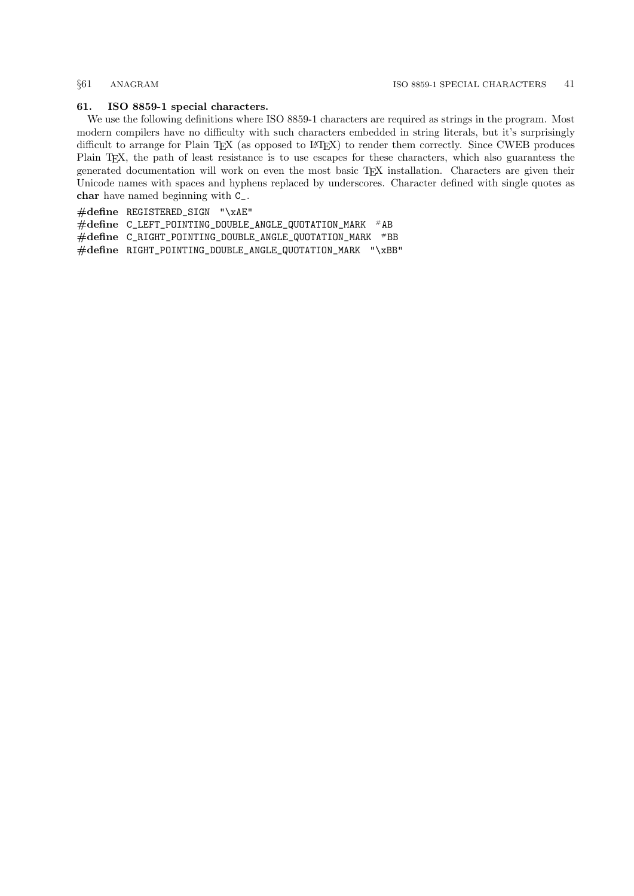### <span id="page-40-0"></span>61. ISO 8859-1 special characters.

We use the following definitions where ISO 8859-1 characters are required as strings in the program. Most modern compilers have no difficulty with such characters embedded in string literals, but it's surprisingly difficult to arrange for Plain TEX (as opposed to L<sup>AT</sup>EX) to render them correctly. Since CWEB produces Plain TEX, the path of least resistance is to use escapes for these characters, which also guarantess the generated documentation will work on even the most basic TEX installation. Characters are given their Unicode names with spaces and hyphens replaced by underscores. Character defined with single quotes as char have named beginning with C\_.

#define REGISTERED\_SIGN "\xAE"

 $\#$ define C\_LEFT\_POINTING\_DOUBLE\_ANGLE\_QUOTATION\_MARK  $^{\#}$ AB

#define C\_RIGHT\_POINTING\_DOUBLE\_ANGLE\_QUOTATION\_MARK #BB

#define RIGHT\_POINTING\_DOUBLE\_ANGLE\_QUOTATION\_MARK "\xBB"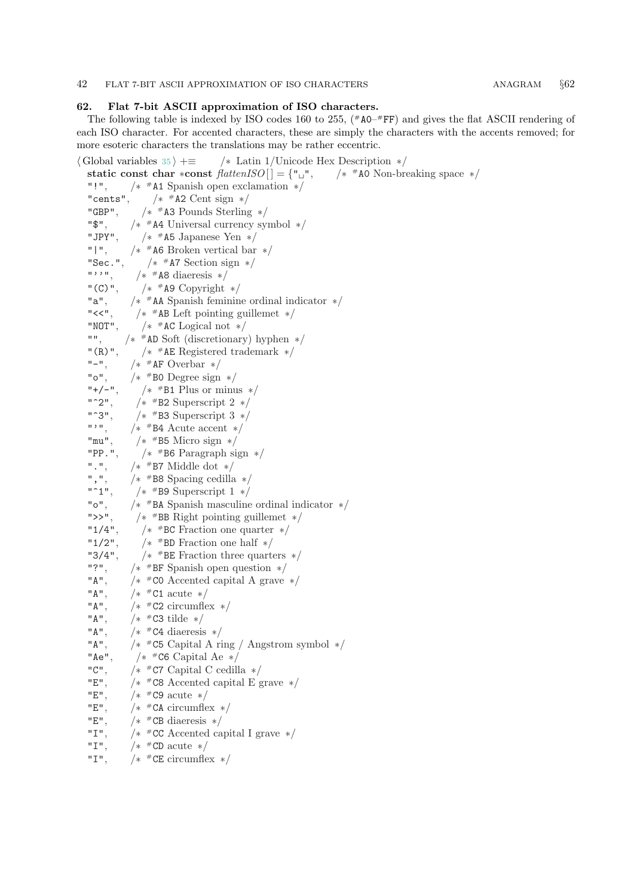### <span id="page-41-0"></span>42 FLAT 7-BIT ASCII APPROXIMATION OF ISO CHARACTERS ANAGRAM §62

### 62. Flat 7-bit ASCII approximation of ISO characters.

The following table is indexed by ISO codes 160 to 255,  $(*A0-#FF)$  and gives the flat ASCII rendering of each ISO character. For accented characters, these are simply the characters with the accents removed; for more esoteric characters the translations may be rather eccentric.

 $\langle$  Global variables [35](#page-24-0)  $\rangle$  + $\equiv$  /\* Latin 1/Unicode Hex Description \*/ static const char ∗const  $flattenISO[] = {\{\{\mathsf{``}} \sqcup {\mathsf{``}}\}}$ ,  $\frac{1}{*}$  #A0 Non-breaking space  $\frac{*}{*}$ "!", /∗ #A1 Spanish open exclamation ∗/ "cents",  $/*$  #A2 Cent sign  $*/$ "GBP", #A3 Pounds Sterling ∗/ "\$", /∗ #A4 Universal currency symbol ∗/ "JPY", #A5 Japanese Yen ∗/  $"|"$ , /\* #A6 Broken vertical bar \*/ "Sec.", #A7 Section sign ∗/  $"$  ,  $"$ ,  $"$  $/*$  #A8 diaeresis  $*/$  $"$  (C) $"$ , /\*  $#$ A9 Copyright \*/  $"a"$ . #AA Spanish feminine ordinal indicator ∗/  $"<<"$ .  $\frac{1}{*}$  \* AB Left pointing guillemet  $\frac{1}{*}$ "NOT", /\*  $#$ AC Logical not \*/  $" " "$ #AD Soft (discretionary) hyphen ∗/  $''(R)$ ", #AE Registered trademark ∗/  $"$  – ", #AF Overbar ∗/  $"o"$ .  $/*$  #B0 Degree sign  $*/$  $"$ +/−", /\*  $#B1$  Plus or minus  $*/$  $"$   $^{\circ}$  2", /\*  $#B2$  Superscript 2  $*/$ "<sup></sup>3". /\*  $#B3$  Superscript 3  $*/$  $\bf u$  ,  $\bf u$ /\*  $#B4$  Acute accent \*/  $"mu"$ .  $/*$  #B5 Micro sign  $*/$ "PP.", #B6 Paragraph sign ∗/  $^{\mathrm{u}}$  ,  $^{\mathrm{u}}$  , #B7 Middle dot ∗/  $"$ ,  $"$ , #B8 Spacing cedilla ∗/  $"$  ^1", /\* <sup>#</sup>B9 Superscript 1 \*/  $"o"$ , #BA Spanish masculine ordinal indicator ∗/  $">>"$ . #BB Right pointing guillemet ∗/  $"1/4"$ . #BC Fraction one quarter ∗/  $"1/2"$ , /\*  $#BD$  Fraction one half  $*/$  $"3/4"$ . /\*  $#BE$  Fraction three quarters \*/ "?", /∗ #BF Spanish open question ∗/ "A", /∗ /\*  $#CO$  Accented capital A grave \*/ "A", /∗ /\*  $#C1$  acute \*/ "A", /∗ /\*  $#C2$  circumflex  $*/$ "A", /∗ /\*  $#C3$  tilde \*/ "A", /∗ /\*  $#C4$  diaeresis \*/ "A", /∗ #C5 Capital A ring / Angstrom symbol ∗/  $"Ae"$ , /\*  $#$ C6 Capital Ae \*/ "C", /∗ /\*  $#$ C7 Capital C cedilla \*/ "E", /∗ /\*  $\#$ C8 Accented capital E grave \*/ "E", /∗ /\*  $#C9$  acute \*/ "E", /∗  $/*$  #CA circumflex  $*/$ "E", /∗  $/*$  <sup>#</sup>CB diaeresis \*/  $"T"$ . #CC Accented capital I grave ∗/  $"I"$ /\*  $#CD$  acute \*/ "I", /∗ /\*  $#CE$  circumflex  $*/$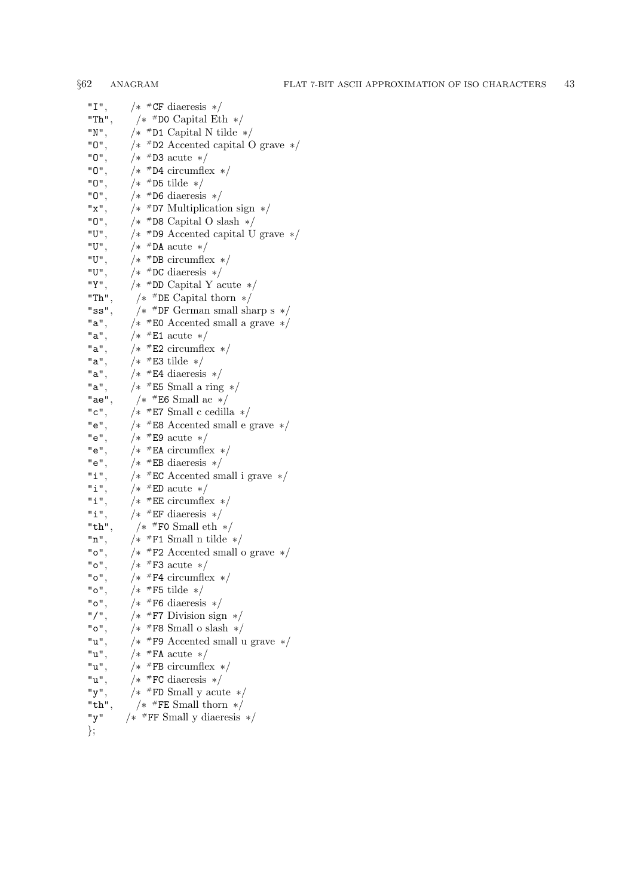| "I",        | $/*$ #CF diaeresis $*/$                             |
|-------------|-----------------------------------------------------|
| "Th",       | $/*$<br><br><br><br><br><br><br>D0 Capital Eth $*/$ |
| "N",        | $/*$ #D1 Capital N tilde $*/$                       |
| "0",        | $/*$ #D2 Accented capital O grave $*/$              |
| "0",        | $/*$ #D3 acute $*/$                                 |
| "0",        | $/*$ #D4 circumflex $*/$                            |
| "0",        | $/*$ #D5 tilde $*/$                                 |
| "0",        | $/*$ #D6 diaeresis $*/$                             |
| "x",        | $/*$ #D7 Multiplication sign $*/$                   |
| "0",        | $/*$ #D8 Capital O slash $*/$                       |
| "U",        | $/*$ #D9 Accented capital U grave $*/$              |
| "U",        | $/*$ #DA acute $*/$                                 |
| "U",        | $/*$ #DB circumflex $*/$                            |
| "U",        | $/*$ #DC diaeresis $*/$                             |
| "Y",        | $/*$ #DD Capital Y acute $*/$                       |
| $"Th"$ ,    | /* $\#$ DE Capital thorn */                         |
| "ss",       | $/\ast\,$ #DF German small sharp s $\,\ast/$        |
| "a",        | $/*$ #E0 Accented small a grave $*/$                |
| "a",        | $/*$ #E1 acute $*/$                                 |
| "a",        | $/*$ #E2 circumflex $*/$                            |
| "a",        | $/*$ #E3 tilde $*/$                                 |
| "a",        | $/*$ #E4 diaeresis $*/$                             |
| "a",        | $/*$ #E5 Small a ring $*/$                          |
| "ae",       | $\frac{1}{*}$ #E6 Small ae $\frac{1}{*}$            |
| "c",        | /* $#E7$ Small c cedilla */                         |
| "e",        | $/*$ #E8 Accented small e grave $*/$                |
| "e",        | $/*$ #E9 acute $*/$                                 |
| "e",        | $/*$ #EA circumflex $*/$                            |
| "e",        | $/*$ #EB diaeresis $*/$                             |
| "i",        | $/*$ #EC Accented small i grave $*/$                |
| "i",        | $/*$ #ED acute $*/$                                 |
| "i",        | $/*$ #EE circumflex $*/$                            |
| "i",        | $/*$ #EF diaeresis $*/$                             |
| "th",       | $/*$ #F0 Small eth $*/$                             |
| "n",        | $/*$ #F1 Small n tilde $*/$                         |
| "o",        | $/*$ #F2 Accented small o grave $*/$                |
| "o",        | $/*$ #F3 acute $*/$                                 |
| "o",        | $/*$ #F4 circumflex $*/$                            |
| "o",        | $/*$ #F5 tilde $*/$                                 |
| "o",        | $/*$ #F6 diaeresis $*/$                             |
| $"$ / $"$ . | $/*$ #F7 Division sign $*/$                         |
| "o"         | $/*$ #F8 Small o slash $*/$                         |
| "u",        | $/*$ #F9 Accented small u grave $*/$                |
| "u",        | $/*$ #FA acute $*/$                                 |
| "u",        | $/*$ #FB circumflex $*/$                            |
| "u",        | $/*$ #FC diaeresis $*/$                             |
| "y",        | $\frac{1}{*}$ #FD Small y acute $\frac{1}{*}$       |
| "th",       | $\frac{1}{\ast}$ #FE Small thorn $\frac{1}{\ast}$   |
| "y"         |                                                     |

};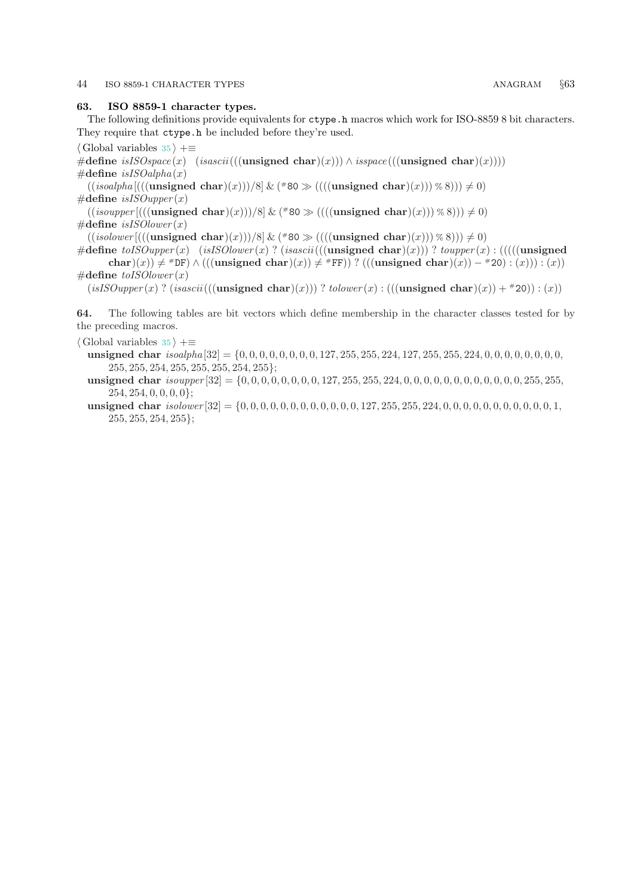### <span id="page-43-0"></span>44 ISO 8859-1 CHARACTER TYPES ANAGRAM §63

### 63. ISO 8859-1 character types.

The following definitions provide equivalents for ctype.h macros which work for ISO-8859 8 bit characters. They require that ctype.h be included before they're used.

 $\langle$  Global variables [35](#page-24-0)  $\rangle$  +≡

#define isISOspace(x) (isascii(((unsigned char)(x))) ∧ isspace(((unsigned char)(x))))  $\#$ define isISOalpha(x)

 $((isoshh a || ((unsigned char)(x)))/8] \& (*)$   $(((unsigned char)(x))) \times 8)) \neq 0)$  $\#$ define isISOupper(x)

 $((isouper[((unsigned char)(x)))/8]$  &  $(*80 \gg (((unsigned char)(x))) \ll 8)) \neq 0)$  $\#\text{define } is ISO lower(x)$ 

 $((isolower[((\text{unsigned char})(x)))/8] \& (*)$  ( $((\text{unsigned char})(x)) \times (8)$ ))  $\neq 0$ )

#define  $toISOupper(x)$  (isISOlower(x)? (isascii(((unsigned char)(x)))?  $toupper(x)$  : (((((unsigned char)(x))  $\neq$  #DF)  $\wedge$  (((unsigned char)(x))  $\neq$  #FF)) ? (((unsigned char)(x)) – #20) : (x))) : (x))  $\#$ define to*ISOlower*  $(x)$ 

 $(isISOupper(x)$  ?  $(isascii(((unsigned char)(x)))$  ?  $tolower(x)$  :  $(((unsigned char)(x)) + *20)$  :  $(x))$ 

64. The following tables are bit vectors which define membership in the character classes tested for by the preceding macros.

- $\langle$  Global variables [35](#page-24-0)  $\rangle$  +≡
	- unsigned char isoalpha [32] = {0, 0, 0, 0, 0, 0, 0, 0, 127, 255, 255, 224, 127, 255, 255, 224, 0, 0, 0, 0, 0, 0, 0, 0, 255, 255, 254, 255, 255, 255, 254, 255};
	- unsigned char isoupper [32] = {0, 0, 0, 0, 0, 0, 0, 0, 127, 255, 255, 224, 0, 0, 0, 0, 0, 0, 0, 0, 0, 0, 0, 0, 255, 255,  $254, 254, 0, 0, 0, 0$ ;
	- unsigned char  $isolower [32] = \{0, 0, 0, 0, 0, 0, 0, 0, 0, 0, 0, 0, 127, 255, 255, 224, 0, 0, 0, 0, 0, 0, 0, 0, 0, 0, 1,$ 255, 255, 254, 255};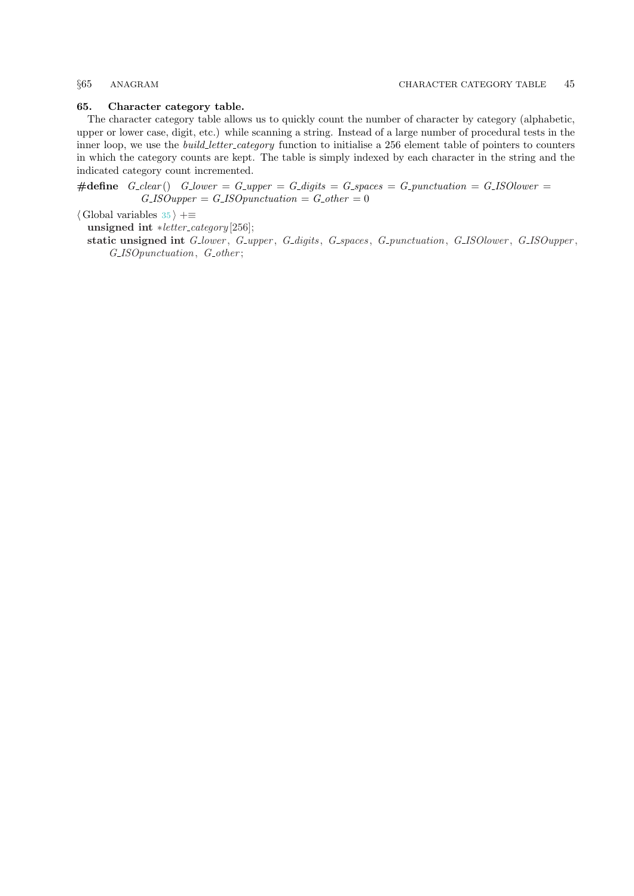### <span id="page-44-0"></span>65. Character category table.

The character category table allows us to quickly count the number of character by category (alphabetic, upper or lower case, digit, etc.) while scanning a string. Instead of a large number of procedural tests in the inner loop, we use the *build\_letter\_category* function to initialise a 256 element table of pointers to counters in which the category counts are kept. The table is simply indexed by each character in the string and the indicated category count incremented.

#define  $G_{\text{c}}/G_{\text{c}}$  G\_lower =  $G_{\text{c}}/G_{\text{c}} = G_{\text{c}}/G_{\text{c}} = G_{\text{c}}/G_{\text{c}} = G_{\text{c}}/G_{\text{c}} = G_{\text{c}}/G_{\text{c}} = G_{\text{c}}/G_{\text{c}} = G_{\text{c}}/G_{\text{c}} = G_{\text{c}}/G_{\text{c}} = G_{\text{c}}/G_{\text{c}} = G_{\text{c}}/G_{\text{c}} = G_{\text{c}}/G_{\text{c}} = G_{\text{c}}/$  $G$ -ISOupper =  $G$ -ISOpunctuation =  $G$ -other = 0

 $\langle$  Global variables [35](#page-24-0)  $\rangle$  +≡

unsigned int \*letter\_category[256];

static unsigned int G<sub>-lower</sub>, G<sub>-upper</sub>, G<sub>-digits</sub>, G<sub>-spaces</sub>, G<sub>-punctuation</sub>, G<sub>-ISOlower</sub>, G<sub>-ISOupper</sub>, G\_ISOpunctuation, G\_other;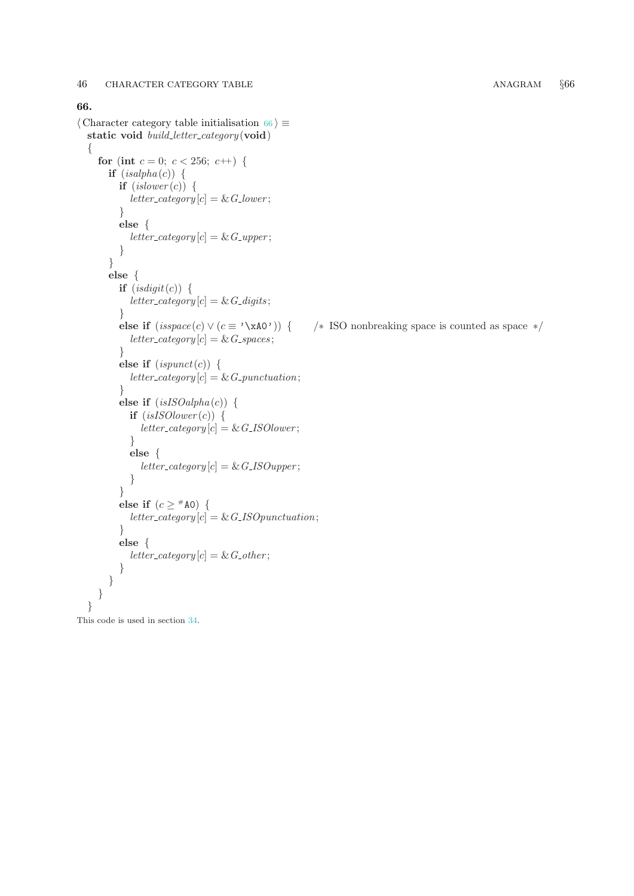### <span id="page-45-0"></span>66.

```
\langle Character category table initialisation 66 \rangle \equivstatic void build_letter_category(void)
  {
    for (int c = 0; c < 256; c++) {
       if (isalpha(c)) {
         if (islower(c)) {
            letter\_category[c] = \& G\_lower;}
         else {
            letter\_category[c] = \& G\_upper;}
       }
       else {
         if (isdigit(c)) {
            letter\_category[c] = \& G\_digits;}
         else if (isspace(c) \vee (c \equiv ' \xA0') ) { /* ISO nonbreaking space is counted as space */
            letter\_category[c] = \& G\_spaces;}
         else if (ispunct(c)) {
            letter\_category[c] = \& G\_punction;}
         else if (isISOalpha(c)) {
            if (isISOlower(c)) {
               letter\_category[c] = \& G\_ISOlower;}
            else {
               \label{eq:rel} letter\_category[c] = \&\;G\_ISOupper;}
          }
         else if (c \geq ^{\#}A0) {
            letter\_category[c] = \& G\_ISOpunction;}
         else {
            letter\_category[c] = \& G_{\neg}other;}
       }
    }
  }
```
This code is used in section [34](#page-23-0).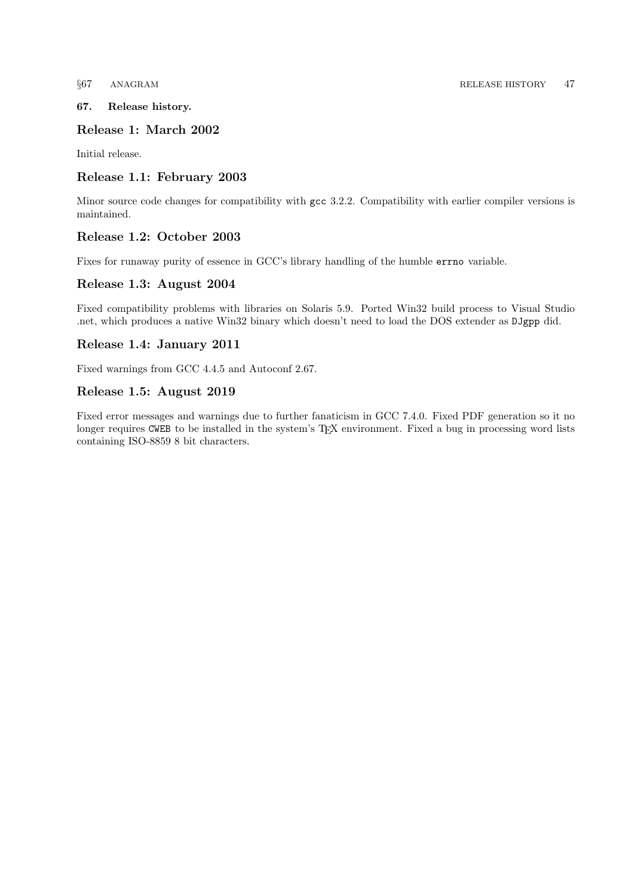## <span id="page-46-0"></span>67. Release history.

## Release 1: March 2002

Initial release.

## Release 1.1: February 2003

Minor source code changes for compatibility with gcc 3.2.2. Compatibility with earlier compiler versions is maintained.

## Release 1.2: October 2003

Fixes for runaway purity of essence in GCC's library handling of the humble errno variable.

## Release 1.3: August 2004

Fixed compatibility problems with libraries on Solaris 5.9. Ported Win32 build process to Visual Studio .net, which produces a native Win32 binary which doesn't need to load the DOS extender as DJgpp did.

## Release 1.4: January 2011

Fixed warnings from GCC 4.4.5 and Autoconf 2.67.

## Release 1.5: August 2019

Fixed error messages and warnings due to further fanaticism in GCC 7.4.0. Fixed PDF generation so it no longer requires CWEB to be installed in the system's T<sub>EX</sub> environment. Fixed a bug in processing word lists containing ISO-8859 8 bit characters.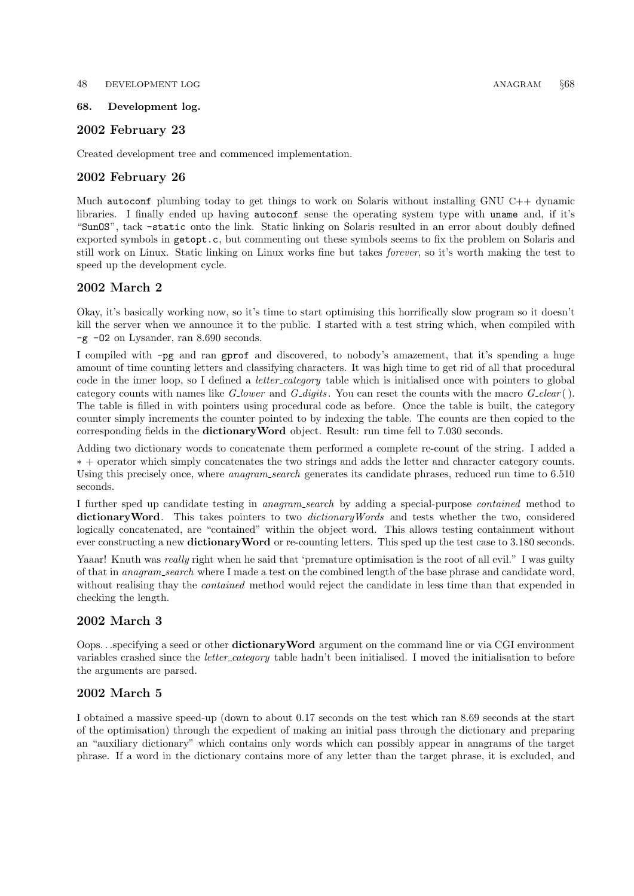### <span id="page-47-0"></span>48 DEVELOPMENT LOG ANAGRAM §68

## 68. Development log.

## 2002 February 23

Created development tree and commenced implementation.

## 2002 February 26

Much autoconf plumbing today to get things to work on Solaris without installing GNU C++ dynamic libraries. I finally ended up having autoconf sense the operating system type with uname and, if it's "SunOS", tack −static onto the link. Static linking on Solaris resulted in an error about doubly defined exported symbols in getopt.c, but commenting out these symbols seems to fix the problem on Solaris and still work on Linux. Static linking on Linux works fine but takes forever, so it's worth making the test to speed up the development cycle.

## 2002 March 2

Okay, it's basically working now, so it's time to start optimising this horrifically slow program so it doesn't kill the server when we announce it to the public. I started with a test string which, when compiled with −g −O2 on Lysander, ran 8.690 seconds.

I compiled with −pg and ran gprof and discovered, to nobody's amazement, that it's spending a huge amount of time counting letters and classifying characters. It was high time to get rid of all that procedural code in the inner loop, so I defined a *letter category* table which is initialised once with pointers to global category counts with names like  $G_{\text{lower}}$  and  $G_{\text{adjits}}$ . You can reset the counts with the macro  $G_{\text{clear}}($ . The table is filled in with pointers using procedural code as before. Once the table is built, the category counter simply increments the counter pointed to by indexing the table. The counts are then copied to the corresponding fields in the dictionaryWord object. Result: run time fell to 7.030 seconds.

Adding two dictionary words to concatenate them performed a complete re-count of the string. I added a ∗ + operator which simply concatenates the two strings and adds the letter and character category counts. Using this precisely once, where *anagram\_search* generates its candidate phrases, reduced run time to 6.510 seconds.

I further sped up candidate testing in anagram search by adding a special-purpose contained method to dictionary Word. This takes pointers to two *dictionary Words* and tests whether the two, considered logically concatenated, are "contained" within the object word. This allows testing containment without ever constructing a new dictionaryWord or re-counting letters. This sped up the test case to 3.180 seconds.

Yaaar! Knuth was *really* right when he said that 'premature optimisation is the root of all evil." I was guilty of that in anagram search where I made a test on the combined length of the base phrase and candidate word, without realising thay the *contained* method would reject the candidate in less time than that expended in checking the length.

## 2002 March 3

Oops. . .specifying a seed or other dictionaryWord argument on the command line or via CGI environment variables crashed since the *letter\_category* table hadn't been initialised. I moved the initialisation to before the arguments are parsed.

## 2002 March 5

I obtained a massive speed-up (down to about 0.17 seconds on the test which ran 8.69 seconds at the start of the optimisation) through the expedient of making an initial pass through the dictionary and preparing an "auxiliary dictionary" which contains only words which can possibly appear in anagrams of the target phrase. If a word in the dictionary contains more of any letter than the target phrase, it is excluded, and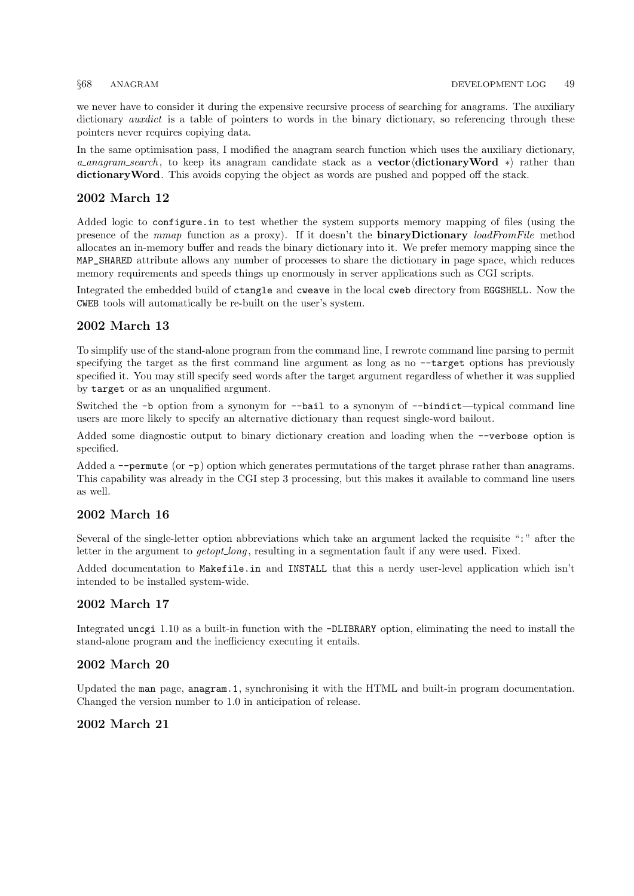we never have to consider it during the expensive recursive process of searching for anagrams. The auxiliary dictionary *auxdict* is a table of pointers to words in the binary dictionary, so referencing through these pointers never requires copiying data.

In the same optimisation pass, I modified the anagram search function which uses the auxiliary dictionary, a anagram search, to keep its anagram candidate stack as a **vector** dictionary Word  $*$  rather than dictionary Word. This avoids copying the object as words are pushed and popped off the stack.

## 2002 March 12

Added logic to configure.in to test whether the system supports memory mapping of files (using the presence of the mmap function as a proxy). If it doesn't the **binaryDictionary** loadFromFile method allocates an in-memory buffer and reads the binary dictionary into it. We prefer memory mapping since the MAP\_SHARED attribute allows any number of processes to share the dictionary in page space, which reduces memory requirements and speeds things up enormously in server applications such as CGI scripts.

Integrated the embedded build of ctangle and cweave in the local cweb directory from EGGSHELL. Now the CWEB tools will automatically be re-built on the user's system.

## 2002 March 13

To simplify use of the stand-alone program from the command line, I rewrote command line parsing to permit specifying the target as the first command line argument as long as no  $-$ target options has previously specified it. You may still specify seed words after the target argument regardless of whether it was supplied by target or as an unqualified argument.

Switched the −b option from a synonym for −−bail to a synonym of −−bindict—typical command line users are more likely to specify an alternative dictionary than request single-word bailout.

Added some diagnostic output to binary dictionary creation and loading when the −−verbose option is specified.

Added a −−permute (or −p) option which generates permutations of the target phrase rather than anagrams. This capability was already in the CGI step 3 processing, but this makes it available to command line users as well.

## 2002 March 16

Several of the single-letter option abbreviations which take an argument lacked the requisite ":" after the letter in the argument to *getopt\_long*, resulting in a segmentation fault if any were used. Fixed.

Added documentation to Makefile.in and INSTALL that this a nerdy user-level application which isn't intended to be installed system-wide.

## 2002 March 17

Integrated uncgi 1.10 as a built-in function with the −DLIBRARY option, eliminating the need to install the stand-alone program and the inefficiency executing it entails.

## 2002 March 20

Updated the man page, anagram.1, synchronising it with the HTML and built-in program documentation. Changed the version number to 1.0 in anticipation of release.

## 2002 March 21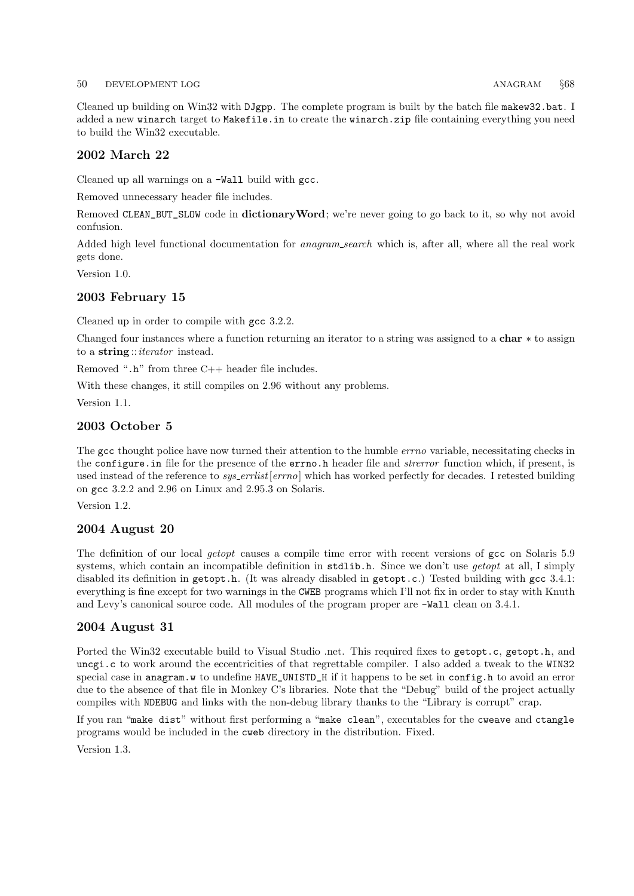### 50 DEVELOPMENT LOG ANAGRAM §68

Cleaned up building on Win32 with DJgpp. The complete program is built by the batch file makew32.bat. I added a new winarch target to Makefile.in to create the winarch.zip file containing everything you need to build the Win32 executable.

## 2002 March 22

Cleaned up all warnings on a −Wall build with gcc.

Removed unnecessary header file includes.

Removed CLEAN\_BUT\_SLOW code in dictionary Word; we're never going to go back to it, so why not avoid confusion.

Added high level functional documentation for *anagram\_search* which is, after all, where all the real work gets done.

Version 1.0.

## 2003 February 15

Cleaned up in order to compile with gcc 3.2.2.

Changed four instances where a function returning an iterator to a string was assigned to a char ∗ to assign to a string:: *iterator* instead.

Removed " $\cdot$ h" from three C++ header file includes.

With these changes, it still compiles on 2.96 without any problems.

Version 1.1.

## 2003 October 5

The gcc thought police have now turned their attention to the humble *errno* variable, necessitating checks in the configure. in file for the presence of the errno. h header file and *strerror* function which, if present, is used instead of the reference to sys\_errlist[errno] which has worked perfectly for decades. I retested building on gcc 3.2.2 and 2.96 on Linux and 2.95.3 on Solaris.

Version 1.2.

## 2004 August 20

The definition of our local getopt causes a compile time error with recent versions of gcc on Solaris 5.9 systems, which contain an incompatible definition in stdlib.h. Since we don't use *getopt* at all, I simply disabled its definition in getopt.h. (It was already disabled in getopt.c.) Tested building with gcc 3.4.1: everything is fine except for two warnings in the CWEB programs which I'll not fix in order to stay with Knuth and Levy's canonical source code. All modules of the program proper are −Wall clean on 3.4.1.

## 2004 August 31

Ported the Win32 executable build to Visual Studio .net. This required fixes to getopt.c, getopt.h, and uncgi.c to work around the eccentricities of that regrettable compiler. I also added a tweak to the WIN32 special case in anagram.w to undefine HAVE\_UNISTD\_H if it happens to be set in config.h to avoid an error due to the absence of that file in Monkey C's libraries. Note that the "Debug" build of the project actually compiles with NDEBUG and links with the non-debug library thanks to the "Library is corrupt" crap.

If you ran "make dist" without first performing a "make clean", executables for the cweave and ctangle programs would be included in the cweb directory in the distribution. Fixed.

Version 1.3.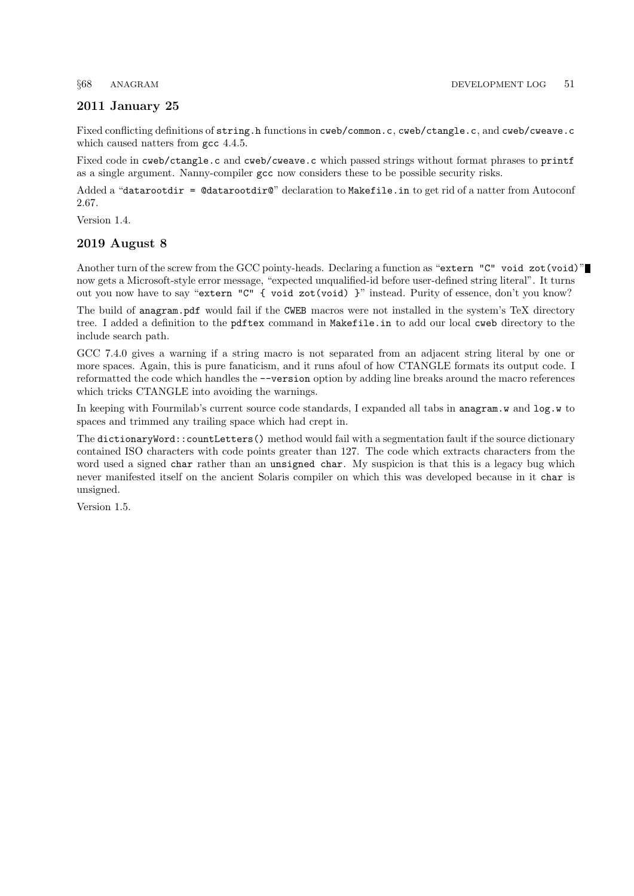## 2011 January 25

Fixed conflicting definitions of string.h functions in cweb/common.c, cweb/ctangle.c, and cweb/cweave.c which caused natters from gcc 4.4.5.

Fixed code in cweb/ctangle.c and cweb/cweave.c which passed strings without format phrases to printf as a single argument. Nanny-compiler gcc now considers these to be possible security risks.

Added a "datarootdir = @datarootdir@" declaration to Makefile.in to get rid of a natter from Autoconf 2.67.

Version 1.4.

### 2019 August 8

Another turn of the screw from the GCC pointy-heads. Declaring a function as "extern "C" void zot(void)" now gets a Microsoft-style error message, "expected unqualified-id before user-defined string literal". It turns out you now have to say "extern "C" { void zot(void) }" instead. Purity of essence, don't you know?

The build of anagram.pdf would fail if the CWEB macros were not installed in the system's TeX directory tree. I added a definition to the pdftex command in Makefile.in to add our local cweb directory to the include search path.

GCC 7.4.0 gives a warning if a string macro is not separated from an adjacent string literal by one or more spaces. Again, this is pure fanaticism, and it runs afoul of how CTANGLE formats its output code. I reformatted the code which handles the −−version option by adding line breaks around the macro references which tricks CTANGLE into avoiding the warnings.

In keeping with Fourmilab's current source code standards, I expanded all tabs in anagram.w and log.w to spaces and trimmed any trailing space which had crept in.

The dictionaryWord::countLetters() method would fail with a segmentation fault if the source dictionary contained ISO characters with code points greater than 127. The code which extracts characters from the word used a signed char rather than an unsigned char. My suspicion is that this is a legacy bug which never manifested itself on the ancient Solaris compiler on which this was developed because in it char is unsigned.

Version 1.5.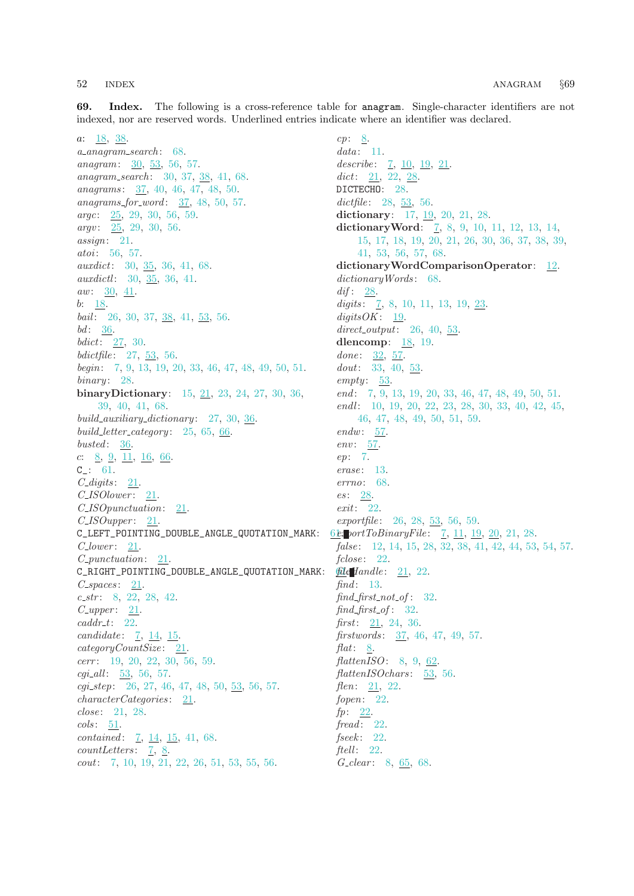<span id="page-51-0"></span>69. Index. The following is a cross-reference table for anagram. Single-character identifiers are not indexed, nor are reserved words. Underlined entries indicate where an identifier was declared.

a: [18,](#page-13-0) [38](#page-26-0). a anagram search : [68](#page-47-0). anagram: [30](#page-22-0), [53,](#page-33-0) [56](#page-35-0), [57.](#page-37-0) anagram\_search: [30,](#page-22-0) [37](#page-26-0), [38](#page-26-0), [41](#page-27-0), [68.](#page-47-0) anagrams: [37](#page-26-0), [40](#page-27-0), [46](#page-29-0), [47](#page-30-0), [48](#page-30-0), [50](#page-31-0).  $anagrams\_for\_word: 37, 48, 50, 57.$  $anagrams\_for\_word: 37, 48, 50, 57.$  $anagrams\_for\_word: 37, 48, 50, 57.$  $anagrams\_for\_word: 37, 48, 50, 57.$  $anagrams\_for\_word: 37, 48, 50, 57.$  $anagrams\_for\_word: 37, 48, 50, 57.$  $anagrams\_for\_word: 37, 48, 50, 57.$  $anagrams\_for\_word: 37, 48, 50, 57.$  $anagrams\_for\_word: 37, 48, 50, 57.$ argc: [25,](#page-19-0) [29](#page-21-0), [30,](#page-22-0) [56](#page-35-0), [59.](#page-38-0) argv: [25](#page-19-0), [29,](#page-21-0) [30,](#page-22-0) [56](#page-35-0). assign: [21](#page-15-0). atoi: [56,](#page-35-0) [57.](#page-37-0) auxdict: [30](#page-22-0), [35,](#page-24-0) [36,](#page-25-0) [41](#page-27-0), [68](#page-47-0). auxdictl: [30,](#page-22-0) [35](#page-24-0), [36,](#page-25-0) [41](#page-27-0). aw:  $30, 41$  $30, 41$  $30, 41$ .  $b: \underline{18}$ . bail: [26,](#page-20-0) [30](#page-22-0), [37](#page-26-0), [38](#page-26-0), [41](#page-27-0), [53](#page-33-0), [56.](#page-35-0)  $bd$ :  $36$ .  $bdict: \ 27, 30.$  $bdict: \ 27, 30.$  $bdict: \ 27, 30.$  $bdict: \ 27, 30.$  $bdict: \ 27, 30.$ bdictfile: [27,](#page-21-0) [53,](#page-33-0) [56](#page-35-0). begin: [7](#page-5-0), [9,](#page-8-0) [13,](#page-10-0) [19,](#page-13-0) [20](#page-14-0), [33](#page-23-0), [46](#page-29-0), [47](#page-30-0), [48,](#page-30-0) [49,](#page-30-0) [50,](#page-31-0) [51](#page-31-0).  $binary: 28.$  $binary: 28.$  $binary: 28.$ binaryDictionary: [15,](#page-11-0) [21,](#page-15-0) [23,](#page-18-0) [24,](#page-18-0) [27,](#page-21-0) [30,](#page-22-0) [36](#page-25-0), [39,](#page-26-0) [40,](#page-27-0) [41,](#page-27-0) [68](#page-47-0). build\_auxiliary\_dictionary: [27,](#page-21-0) [30,](#page-22-0) [36](#page-25-0). build\_letter\_category: [25,](#page-19-0) [65,](#page-44-0) [66.](#page-45-0)  $busted: 36.$  $busted: 36.$ c: [8](#page-7-0), [9,](#page-8-0) [11,](#page-9-0) [16](#page-12-0), [66](#page-45-0). C\_: [61.](#page-40-0)  $C_{\mathcal{A}}$  digits:  $21$ . C\_ISOlower: [21](#page-15-0). C\_ISOpunctuation: [21](#page-15-0).  $C$ \_ISOupper:  $21$ . C\_LEFT\_POINTING\_DOUBLE\_ANGLE\_QUOTATION\_MARK: [61](#page-40-0).  $C_{\ell} lower: 21.$  $C_{\ell} lower: 21.$  $C_{\ell} lower: 21.$ C\_punctuation: [21](#page-15-0). C\_RIGHT\_POINTING\_DOUBLE\_ANGLE\_QUOTATION\_MARK: [61](#page-40-0).  $C<sub>-</sub>spaces: 21.$  $C<sub>-</sub>spaces: 21.$  $C<sub>-</sub>spaces: 21.$  $c\_str: 8, 22, 28, 42.$  $c\_str: 8, 22, 28, 42.$  $c\_str: 8, 22, 28, 42.$  $c\_str: 8, 22, 28, 42.$  $c\_str: 8, 22, 28, 42.$  $c\_str: 8, 22, 28, 42.$  $c\_str: 8, 22, 28, 42.$  $c\_str: 8, 22, 28, 42.$  $c\_str: 8, 22, 28, 42.$  $C\text{-}upper: \quad 21.$  $C\text{-}upper: \quad 21.$  $caddr_t: 22.$  $caddr_t: 22.$ candidate: [7,](#page-5-0) [14,](#page-11-0) [15](#page-11-0). categoryCountSize: [21](#page-15-0). cerr: [19](#page-13-0), [20,](#page-14-0) [22,](#page-17-0) [30](#page-22-0), [56](#page-35-0), [59.](#page-38-0)  $cgi\_all$ :  $\underline{53}$  $\underline{53}$  $\underline{53}$ , [56](#page-35-0), [57.](#page-37-0) cgi step: [26](#page-20-0), [27,](#page-21-0) [46](#page-29-0), [47,](#page-30-0) [48](#page-30-0), [50,](#page-31-0) [53](#page-33-0), [56,](#page-35-0) [57](#page-37-0).  $characterCategoricaling. 21.$  $characterCategoricaling. 21.$  $characterCategoricaling. 21.$ close: [21,](#page-15-0) [28.](#page-21-0)  $\textit{cols}: \quad 51.$  $\textit{cols}: \quad 51.$  $contained: \underline{7}, \underline{14}, \underline{15}, 41, 68.$  $contained: \underline{7}, \underline{14}, \underline{15}, 41, 68.$  $contained: \underline{7}, \underline{14}, \underline{15}, 41, 68.$  $contained: \underline{7}, \underline{14}, \underline{15}, 41, 68.$  $contained: \underline{7}, \underline{14}, \underline{15}, 41, 68.$  $contained: \underline{7}, \underline{14}, \underline{15}, 41, 68.$  $contained: \underline{7}, \underline{14}, \underline{15}, 41, 68.$  $contained: \underline{7}, \underline{14}, \underline{15}, 41, 68.$  $contained: \underline{7}, \underline{14}, \underline{15}, 41, 68.$  $count Letters: 7, 8.$  $count Letters: 7, 8.$  $count Letters: 7, 8.$  $count Letters: 7, 8.$  $count Letters: 7, 8.$ cout: [7,](#page-5-0) [10,](#page-8-0) [19](#page-13-0), [21,](#page-15-0) [22](#page-17-0), [26,](#page-20-0) [51](#page-31-0), [53,](#page-33-0) [55](#page-34-0), [56.](#page-35-0)

 $cp: 8$  $cp: 8$ .  $data: 11.$  $data: 11.$ describe:  $7, 10, 19, 21$  $7, 10, 19, 21$  $7, 10, 19, 21$  $7, 10, 19, 21$  $7, 10, 19, 21$  $7, 10, 19, 21$ . dict: [21](#page-15-0), [22](#page-17-0), [28](#page-21-0). DICTECHO: [28](#page-21-0). dictfile:  $28, 53, 56$  $28, 53, 56$  $28, 53, 56$  $28, 53, 56$  $28, 53, 56$ . dictionary: [17](#page-13-0), [19](#page-13-0), [20](#page-14-0), [21](#page-15-0), [28](#page-21-0). dictionary Word: [7,](#page-5-0) [8,](#page-7-0) [9](#page-8-0), [10](#page-8-0), [11,](#page-9-0) [12,](#page-9-0) [13](#page-10-0), [14](#page-11-0), [15,](#page-11-0) [17,](#page-13-0) [18](#page-13-0), [19,](#page-13-0) [20,](#page-14-0) [21](#page-15-0), [26](#page-20-0), [30,](#page-22-0) [36](#page-25-0), [37](#page-26-0), [38,](#page-26-0) [39,](#page-26-0) [41,](#page-27-0) [53](#page-33-0), [56](#page-35-0), [57,](#page-37-0) [68](#page-47-0). dictionaryWordComparisonOperator: [12](#page-9-0).  $dictionaryWords: 68.$  $dictionaryWords: 68.$ dif:  $28$ . digits:  $\frac{7}{5}$  $\frac{7}{5}$  $\frac{7}{5}$ , [8](#page-7-0), [10](#page-8-0), [11,](#page-9-0) [13,](#page-10-0) [19,](#page-13-0) [23.](#page-18-0)  $digitsOK: 19$  $digitsOK: 19$ . direct\_output:  $26, 40, 53$  $26, 40, 53$  $26, 40, 53$  $26, 40, 53$ . dlencomp: [18](#page-13-0), [19.](#page-13-0) done:  $32, 57$  $32, 57$  $32, 57$ . dout: [33,](#page-23-0) [40,](#page-27-0) [53.](#page-33-0)  $empty: 53.$  $empty: 53.$  $empty: 53.$ end: [7](#page-5-0), [9,](#page-8-0) [13,](#page-10-0) [19](#page-13-0), [20](#page-14-0), [33,](#page-23-0) [46,](#page-29-0) [47](#page-30-0), [48](#page-30-0), [49,](#page-30-0) [50,](#page-31-0) [51.](#page-31-0)  $endl$ : [10,](#page-8-0) [19](#page-13-0), [20](#page-14-0), [22](#page-17-0), [23](#page-18-0), [28,](#page-21-0) [30,](#page-22-0) [33,](#page-23-0) [40,](#page-27-0) [42](#page-28-0), [45](#page-29-0), [46,](#page-29-0) [47](#page-30-0), [48](#page-30-0), [49](#page-30-0), [50,](#page-31-0) [51,](#page-31-0) [59](#page-38-0).  $endw: 57.$  $endw: 57.$  $endw: 57.$  $env: 57.$  $env: 57.$  $env: 57.$ ep: [7](#page-5-0). erase: [13.](#page-10-0) errno: [68](#page-47-0). es: [28.](#page-21-0) exit: [22.](#page-17-0) exportfile: [26](#page-20-0), [28](#page-21-0), [53](#page-33-0), [56,](#page-35-0) [59.](#page-38-0) 62: portToBinaryFile:  $7, 11, 19, 20, 21, 28$  $7, 11, 19, 20, 21, 28$  $7, 11, 19, 20, 21, 28$  $7, 11, 19, 20, 21, 28$  $7, 11, 19, 20, 21, 28$  $7, 11, 19, 20, 21, 28$  $7, 11, 19, 20, 21, 28$  $7, 11, 19, 20, 21, 28$  $7, 11, 19, 20, 21, 28$  $7, 11, 19, 20, 21, 28$ . false: [12](#page-9-0), [14](#page-11-0), [15](#page-11-0), [28](#page-21-0), [32,](#page-23-0) [38,](#page-26-0) [41,](#page-27-0) [42,](#page-28-0) [44,](#page-28-0) [53,](#page-33-0) [54,](#page-33-0) [57](#page-37-0).  $fclose: 22.$  $fclose: 22.$  $file$ Handle:  $21, 22$  $21, 22$  $21, 22$ . find:  $13$ .  $find\_first\_not\_of: 32.$  $find\_first\_not\_of: 32.$  $find\_first\_of$ : [32](#page-23-0). first:  $21, 24, 36$  $21, 24, 36$  $21, 24, 36$  $21, 24, 36$  $21, 24, 36$ . firstwords : [37,](#page-26-0) [46,](#page-29-0) [47](#page-30-0), [49](#page-30-0), [57](#page-37-0). flat: [8](#page-7-0). flattenISO: [8,](#page-7-0) [9,](#page-8-0) [62](#page-41-0).  $flatten ISOchars: 53, 56.$  $flatten ISOchars: 53, 56.$  $flatten ISOchars: 53, 56.$  $flatten ISOchars: 53, 56.$  $flatten ISOchars: 53, 56.$ *flen*:  $21, 22$  $21, 22$  $21, 22$ . fopen: [22.](#page-17-0)  $fp: \quad 22.$  $fp: \quad 22.$  $\text{}$  fread: [22](#page-17-0).  $fseek: 22.$  $fseek: 22.$ ftell:  $22$ . G<sub>-clear</sub>: [8](#page-7-0), [65,](#page-44-0) [68.](#page-47-0)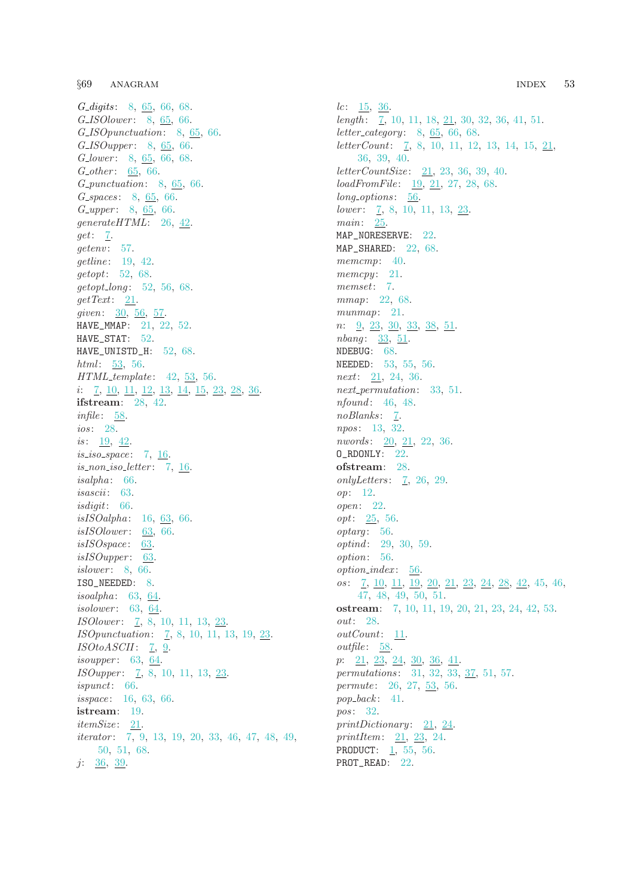§69 ANAGRAM INDEX 53

G\_digits: [8,](#page-7-0) [65](#page-44-0), [66,](#page-45-0) [68](#page-47-0). G<sub>-IS</sub>Olower: [8,](#page-7-0) [65](#page-44-0), [66.](#page-45-0) G ISOpunctuation: [8,](#page-7-0) [65](#page-44-0), [66](#page-45-0). G\_ISOupper: [8,](#page-7-0) [65](#page-44-0), [66.](#page-45-0) G<sub>-lower</sub>: [8,](#page-7-0) [65](#page-44-0), [66,](#page-45-0) [68](#page-47-0). G\_other:  $65, 66$  $65, 66$ . G punctuation: [8,](#page-7-0) [65](#page-44-0), [66.](#page-45-0)  $G$ -spaces: [8,](#page-7-0)  $65, 66$  $65, 66$  $65, 66$ .  $G_{\text{-}}upper: 8, 65, 66.$  $G_{\text{-}}upper: 8, 65, 66.$  $G_{\text{-}}upper: 8, 65, 66.$  $G_{\text{-}}upper: 8, 65, 66.$  $G_{\text{-}}upper: 8, 65, 66.$  $G_{\text{-}}upper: 8, 65, 66.$ generateHTML: [26,](#page-20-0) [42](#page-28-0). get: [7.](#page-5-0)  $getenv: 57.$  $getenv: 57.$ getline: [19](#page-13-0), [42](#page-28-0). getopt: [52](#page-32-0), [68](#page-47-0).  $getopt\_long: 52, 56, 68.$  $getopt\_long: 52, 56, 68.$  $getopt\_long: 52, 56, 68.$  $getopt\_long: 52, 56, 68.$  $getopt\_long: 52, 56, 68.$  $getopt\_long: 52, 56, 68.$ getText: [21.](#page-15-0) given: [30](#page-22-0), [56](#page-35-0), [57](#page-37-0). HAVE\_MMAP: [21](#page-15-0), [22,](#page-17-0) [52](#page-32-0). HAVE\_STAT: [52](#page-32-0). HAVE\_UNISTD\_H: [52](#page-32-0), [68.](#page-47-0)  $html: 53, 56.$  $html: 53, 56.$  $html: 53, 56.$  $html: 53, 56.$  $html: 53, 56.$  $HTML$ <sub>template: [42,](#page-28-0) [53](#page-33-0)</sub>, [56.](#page-35-0) i: [7](#page-5-0), [10,](#page-8-0) [11,](#page-9-0) [12](#page-9-0), [13,](#page-10-0) [14,](#page-11-0) [15](#page-11-0), [23](#page-18-0), [28,](#page-21-0) [36](#page-25-0). ifstream: [28](#page-21-0), [42.](#page-28-0)  $infile: 58.$  $infile: 58.$  $infile: 58.$ ios: [28](#page-21-0). is:  $19, 42.$  $19, 42.$  $19, 42.$  $19, 42.$  $is\_iso\_space:$  [7](#page-5-0), [16.](#page-12-0)  $is\_non\_iso\_letter:$  [7](#page-5-0), [16](#page-12-0).  $is alpha: 66.$  $is alpha: 66.$  $is alpha: 66.$ isascii : [63](#page-43-0). isdigit: [66](#page-45-0). isISOalpha: [16](#page-12-0), [63,](#page-43-0) [66](#page-45-0).  $is ISO lower: 63, 66.$  $is ISO lower: 63, 66.$  $is ISO lower: 63, 66.$  $is ISO lower: 63, 66.$  $is ISO lower: 63, 66.$  $is ISOspace: 63.$  $is ISOspace: 63.$  $is ISOupper: 63.$  $is ISOupper: 63.$  $is ISOupper: 63.$ *islower*: [8](#page-7-0), [66.](#page-45-0) ISO\_NEEDED: [8.](#page-7-0) isoalpha: [63,](#page-43-0) [64.](#page-43-0) isolower: [63,](#page-43-0) [64](#page-43-0). ISOlower: [7](#page-5-0), [8,](#page-7-0) [10,](#page-8-0) [11,](#page-9-0) [13,](#page-10-0) [23.](#page-18-0) ISOpunctuation: [7](#page-5-0), [8](#page-7-0), [10,](#page-8-0) [11](#page-9-0), [13,](#page-10-0) [19](#page-13-0), [23.](#page-18-0)  $ISOtoASCII$ : [7](#page-5-0), [9.](#page-8-0) *isoupper*: [63](#page-43-0), [64](#page-43-0). ISOupper: [7](#page-5-0), [8](#page-7-0), [10](#page-8-0), [11](#page-9-0), [13,](#page-10-0) [23.](#page-18-0) ispunct: [66](#page-45-0). isspace: [16](#page-12-0), [63](#page-43-0), [66](#page-45-0). istream: [19.](#page-13-0)  $itemSize: 21.$  $itemSize: 21.$  $itemSize: 21.$ *iterator*: [7,](#page-5-0) [9](#page-8-0), [13,](#page-10-0) [19](#page-13-0), [20,](#page-14-0) [33](#page-23-0), [46,](#page-29-0) [47](#page-30-0), [48,](#page-30-0) [49](#page-30-0), [50,](#page-31-0) [51,](#page-31-0) [68](#page-47-0). j: [36](#page-25-0), [39.](#page-26-0)

 $lc: \frac{15}{5}, \frac{36}{5}.$  $lc: \frac{15}{5}, \frac{36}{5}.$  $lc: \frac{15}{5}, \frac{36}{5}.$ length:  $\frac{7}{10}$  $\frac{7}{10}$  $\frac{7}{10}$ , 10, [11,](#page-9-0) [18,](#page-13-0) [21](#page-15-0), [30,](#page-22-0) [32](#page-23-0), [36,](#page-25-0) [41](#page-27-0), [51](#page-31-0).  $letter\_category: 8, 65, 66, 68.$  $letter\_category: 8, 65, 66, 68.$  $letter\_category: 8, 65, 66, 68.$  $letter\_category: 8, 65, 66, 68.$  $letter\_category: 8, 65, 66, 68.$  $letter\_category: 8, 65, 66, 68.$  $letter\_category: 8, 65, 66, 68.$  $letter\_category: 8, 65, 66, 68.$  $letter\_category: 8, 65, 66, 68.$  $letterCount: \quad 7, 8, 10, 11, 12, 13, 14, 15, 21,$  $letterCount: \quad 7, 8, 10, 11, 12, 13, 14, 15, 21,$  $letterCount: \quad 7, 8, 10, 11, 12, 13, 14, 15, 21,$  $letterCount: \quad 7, 8, 10, 11, 12, 13, 14, 15, 21,$  $letterCount: \quad 7, 8, 10, 11, 12, 13, 14, 15, 21,$  $letterCount: \quad 7, 8, 10, 11, 12, 13, 14, 15, 21,$  $letterCount: \quad 7, 8, 10, 11, 12, 13, 14, 15, 21,$  $letterCount: \quad 7, 8, 10, 11, 12, 13, 14, 15, 21,$  $letterCount: \quad 7, 8, 10, 11, 12, 13, 14, 15, 21,$  $letterCount: \quad 7, 8, 10, 11, 12, 13, 14, 15, 21,$  $letterCount: \quad 7, 8, 10, 11, 12, 13, 14, 15, 21,$  $letterCount: \quad 7, 8, 10, 11, 12, 13, 14, 15, 21,$  $letterCount: \quad 7, 8, 10, 11, 12, 13, 14, 15, 21,$  $letterCount: \quad 7, 8, 10, 11, 12, 13, 14, 15, 21,$  $letterCount: \quad 7, 8, 10, 11, 12, 13, 14, 15, 21,$  $letterCount: \quad 7, 8, 10, 11, 12, 13, 14, 15, 21,$  $letterCount: \quad 7, 8, 10, 11, 12, 13, 14, 15, 21,$  $letterCount: \quad 7, 8, 10, 11, 12, 13, 14, 15, 21,$  $letterCount: \quad 7, 8, 10, 11, 12, 13, 14, 15, 21,$ [36,](#page-25-0) [39,](#page-26-0) [40.](#page-27-0)  $letterCountSize: 21, 23, 36, 39, 40.$  $letterCountSize: 21, 23, 36, 39, 40.$  $letterCountSize: 21, 23, 36, 39, 40.$  $letterCountSize: 21, 23, 36, 39, 40.$  $letterCountSize: 21, 23, 36, 39, 40.$  $letterCountSize: 21, 23, 36, 39, 40.$  $letterCountSize: 21, 23, 36, 39, 40.$  $letterCountSize: 21, 23, 36, 39, 40.$  $letterCountSize: 21, 23, 36, 39, 40.$  $letterCountSize: 21, 23, 36, 39, 40.$ loadFromFile: [19,](#page-13-0) [21,](#page-15-0) [27,](#page-21-0) [28,](#page-21-0) [68.](#page-47-0) long\_options: [56.](#page-35-0)  $lower: \underline{7}, 8, 10, 11, 13, \underline{23}.$  $lower: \underline{7}, 8, 10, 11, 13, \underline{23}.$  $lower: \underline{7}, 8, 10, 11, 13, \underline{23}.$  $lower: \underline{7}, 8, 10, 11, 13, \underline{23}.$  $lower: \underline{7}, 8, 10, 11, 13, \underline{23}.$  $lower: \underline{7}, 8, 10, 11, 13, \underline{23}.$  $lower: \underline{7}, 8, 10, 11, 13, \underline{23}.$  $lower: \underline{7}, 8, 10, 11, 13, \underline{23}.$  $lower: \underline{7}, 8, 10, 11, 13, \underline{23}.$  $lower: \underline{7}, 8, 10, 11, 13, \underline{23}.$  $lower: \underline{7}, 8, 10, 11, 13, \underline{23}.$ main: [25.](#page-19-0) MAP\_NORESERVE: [22](#page-17-0). MAP\_SHARED: [22](#page-17-0), [68](#page-47-0). memcmp: [40](#page-27-0).  $memory: 21.$  $memory: 21.$  $memory: 21.$ memset: [7.](#page-5-0) mmap: [22](#page-17-0), [68](#page-47-0). munmap: [21](#page-15-0).  $n: \underline{9}, \underline{23}, \underline{30}, \underline{33}, \underline{38}, \underline{51}.$  $n: \underline{9}, \underline{23}, \underline{30}, \underline{33}, \underline{38}, \underline{51}.$  $n: \underline{9}, \underline{23}, \underline{30}, \underline{33}, \underline{38}, \underline{51}.$  $n: \underline{9}, \underline{23}, \underline{30}, \underline{33}, \underline{38}, \underline{51}.$  $n: \underline{9}, \underline{23}, \underline{30}, \underline{33}, \underline{38}, \underline{51}.$  $n: \underline{9}, \underline{23}, \underline{30}, \underline{33}, \underline{38}, \underline{51}.$  $n: \underline{9}, \underline{23}, \underline{30}, \underline{33}, \underline{38}, \underline{51}.$ nbang: [33,](#page-23-0) [51](#page-31-0). NDEBUG: [68.](#page-47-0) NEEDED: [53,](#page-33-0) [55](#page-34-0), [56](#page-35-0). next: [21](#page-15-0), [24](#page-18-0), [36](#page-25-0). next<sub>-</sub>permutation: [33](#page-23-0), [51](#page-31-0). nfound: [46,](#page-29-0) [48.](#page-30-0) noBlanks: [7.](#page-5-0) npos: [13](#page-10-0), [32](#page-23-0). nwords: [20](#page-14-0), [21,](#page-15-0) [22](#page-17-0), [36.](#page-25-0) O\_RDONLY: [22](#page-17-0). ofstream: [28.](#page-21-0) only Letters:  $\overline{7}$ , [26](#page-20-0), [29](#page-21-0). op: [12.](#page-9-0) open: [22.](#page-17-0) opt: [25,](#page-19-0) [56.](#page-35-0) optarg: [56.](#page-35-0) optind: [29](#page-21-0), [30](#page-22-0), [59](#page-38-0). option: [56](#page-35-0). option index : [56](#page-35-0). os: [7](#page-5-0), [10,](#page-8-0) [11,](#page-9-0) [19](#page-13-0), [20](#page-14-0), [21](#page-15-0), [23,](#page-18-0) [24,](#page-18-0) [28](#page-21-0), [42](#page-28-0), [45,](#page-29-0) [46,](#page-29-0) [47,](#page-30-0) [48](#page-30-0), [49](#page-30-0), [50,](#page-31-0) [51](#page-31-0). ostream: [7](#page-5-0), [10](#page-8-0), [11,](#page-9-0) [19,](#page-13-0) [20](#page-14-0), [21](#page-15-0), [23,](#page-18-0) [24,](#page-18-0) [42](#page-28-0), [53](#page-33-0). out: [28.](#page-21-0)  $outCount: \underline{11}$  $outCount: \underline{11}$  $outCount: \underline{11}$ .  $outfile: 58.$  $outfile: 58.$  $outfile: 58.$ p: [21,](#page-15-0) [23](#page-18-0), [24,](#page-18-0) [30,](#page-22-0) [36](#page-25-0), [41.](#page-27-0) permutations: [31](#page-22-0), [32](#page-23-0), [33,](#page-23-0) [37,](#page-26-0) [51,](#page-31-0) [57](#page-37-0). permute: [26,](#page-20-0) [27](#page-21-0), [53,](#page-33-0) [56](#page-35-0).  $pop\_back: 41.$  $pop\_back: 41.$  $pop\_back: 41.$ pos: [32.](#page-23-0) printDictionary:  $21, 24$  $21, 24$  $21, 24$ . printItem: [21](#page-15-0), [23,](#page-18-0) [24](#page-18-0). PRODUCT:  $\frac{1}{55}$ , [56](#page-35-0). PROT\_READ: [22](#page-17-0).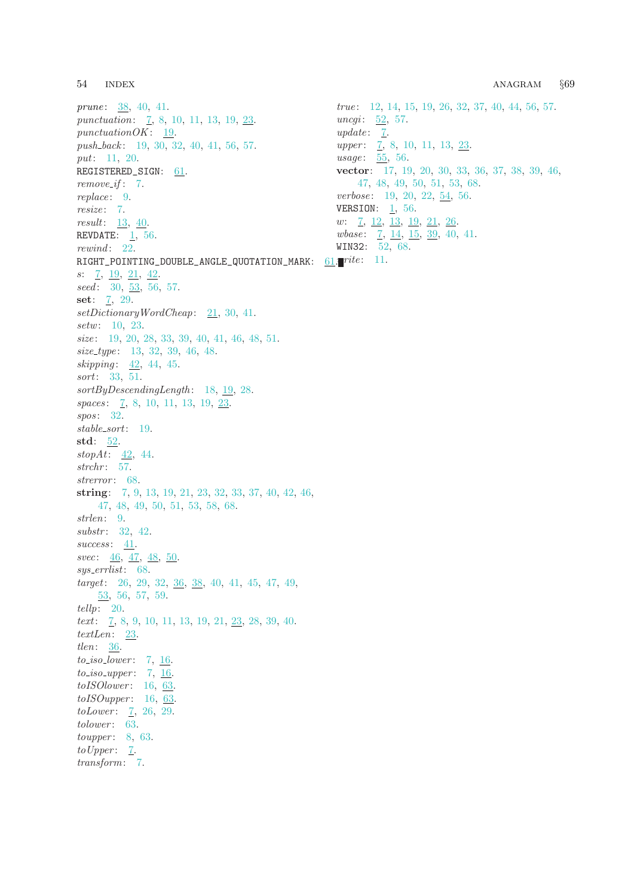prune: [38,](#page-26-0) [40,](#page-27-0) [41](#page-27-0). punctuation: [7](#page-5-0), [8](#page-7-0), [10,](#page-8-0) [11,](#page-9-0) [13,](#page-10-0) [19](#page-13-0), [23](#page-18-0). punctuation $OK: 19$  $OK: 19$ . push\_back: [19,](#page-13-0) [30,](#page-22-0) [32](#page-23-0), [40](#page-27-0), [41,](#page-27-0) [56,](#page-35-0) [57](#page-37-0). put: [11,](#page-9-0) [20](#page-14-0). REGISTERED\_SIGN: [61.](#page-40-0) remove\_if: [7.](#page-5-0) replace: [9.](#page-8-0) resize: [7](#page-5-0). result:  $13, 40$  $13, 40$ . REVDATE: [1,](#page-0-0) [56.](#page-35-0) rewind: [22.](#page-17-0)  $\verb|RIGHT_POINTING_DOUBLE\_ANGLE_QUOTATION_MARK: 61.17$  $\verb|RIGHT_POINTING_DOUBLE\_ANGLE_QUOTATION_MARK: 61.17$  $\verb|RIGHT_POINTING_DOUBLE\_ANGLE_QUOTATION_MARK: 61.17$ s: [7](#page-5-0), [19](#page-13-0), [21](#page-15-0), [42](#page-28-0).  $seed: 30, 53, 56, 57.$  $seed: 30, 53, 56, 57.$  $seed: 30, 53, 56, 57.$  $seed: 30, 53, 56, 57.$  $seed: 30, 53, 56, 57.$  $seed: 30, 53, 56, 57.$  $seed: 30, 53, 56, 57.$  $seed: 30, 53, 56, 57.$ set:  $\frac{7}{2}$ , [29.](#page-21-0) setDictionaryWordCheap: [21](#page-15-0), [30](#page-22-0), [41.](#page-27-0) setw: [10,](#page-8-0) [23.](#page-18-0) size: [19,](#page-13-0) [20](#page-14-0), [28,](#page-21-0) [33](#page-23-0), [39,](#page-26-0) [40](#page-27-0), [41,](#page-27-0) [46](#page-29-0), [48,](#page-30-0) [51](#page-31-0). size\_type: [13,](#page-10-0) [32,](#page-23-0) [39](#page-26-0), [46](#page-29-0), [48.](#page-30-0) skipping: [42](#page-28-0), [44,](#page-28-0) [45.](#page-29-0) sort: [33,](#page-23-0) [51.](#page-31-0) sortByDescendingLength : [18](#page-13-0), [19,](#page-13-0) [28.](#page-21-0) spaces: [7,](#page-5-0) [8,](#page-7-0) [10,](#page-8-0) [11,](#page-9-0) [13,](#page-10-0) [19,](#page-13-0) [23.](#page-18-0) spos: [32.](#page-23-0) stable sort: [19.](#page-13-0) std:  $52$ . stop $At: \underline{42}$  $At: \underline{42}$  $At: \underline{42}$ , [44](#page-28-0).  $strchr: 57.$  $strchr: 57.$  $strchr: 57.$ strerror: [68](#page-47-0). string: [7](#page-5-0), [9,](#page-8-0) [13,](#page-10-0) [19,](#page-13-0) [21](#page-15-0), [23](#page-18-0), [32](#page-23-0), [33](#page-23-0), [37,](#page-26-0) [40,](#page-27-0) [42,](#page-28-0) [46](#page-29-0), [47,](#page-30-0) [48,](#page-30-0) [49,](#page-30-0) [50,](#page-31-0) [51,](#page-31-0) [53,](#page-33-0) [58,](#page-38-0) [68.](#page-47-0) strlen: [9](#page-8-0). substr: [32,](#page-23-0) [42.](#page-28-0)  $success: 41.$  $success: 41.$  $success: 41.$ svec: [46](#page-29-0), [47,](#page-30-0) [48](#page-30-0), [50](#page-31-0). sys errlist: [68.](#page-47-0) target: [26,](#page-20-0) [29](#page-21-0), [32](#page-23-0), [36,](#page-25-0) [38](#page-26-0), [40,](#page-27-0) [41](#page-27-0), [45](#page-29-0), [47,](#page-30-0) [49](#page-30-0), [53,](#page-33-0) [56,](#page-35-0) [57,](#page-37-0) [59](#page-38-0). tellp: [20](#page-14-0). text:  $\frac{7}{1}$ , [8](#page-7-0), [9,](#page-8-0) [10,](#page-8-0) [11](#page-9-0), [13](#page-10-0), [19,](#page-13-0) [21,](#page-15-0) [23](#page-18-0), [28,](#page-21-0) [39,](#page-26-0) [40](#page-27-0). textLen:  $23$ . tlen: [36](#page-25-0).  $to\_iso\_lower: 7, 16.$  $to\_iso\_lower: 7, 16.$  $to\_iso\_lower: 7, 16.$  $to\_iso\_lower: 7, 16.$  $to\_iso\_lower: 7, 16.$  $to_iso_i\nupper: 7, 16.$  $to_iso_i\nupper: 7, 16.$  $to_iso_i\nupper: 7, 16.$  $to_iso_i\nupper: 7, 16.$  $to ISOlower: 16, 63.$  $to ISOlower: 16, 63.$  $to ISOlower: 16, 63.$  $to ISOlower: 16, 63.$  $to ISOupper: 16, 63.$  $to ISOupper: 16, 63.$  $to ISOupper: 16, 63.$  $to ISOupper: 16, 63.$  $to ISOupper: 16, 63.$  $toLower: \quad 7, 26, 29.$  $toLower: \quad 7, 26, 29.$  $toLower: \quad 7, 26, 29.$  $toLower: \quad 7, 26, 29.$  $toLower: \quad 7, 26, 29.$  $toLower: \quad 7, 26, 29.$  $toLower: \quad 7, 26, 29.$  $to lower: 63.$  $to lower: 63.$  $toupper: 8, 63.$  $toupper: 8, 63.$  $toupper: 8, 63.$  $toupper: 8, 63.$  $to Upper: 7.$  $to Upper: 7.$ transform: [7](#page-5-0).

true : [12](#page-9-0), [14,](#page-11-0) [15,](#page-11-0) [19](#page-13-0), [26](#page-20-0), [32,](#page-23-0) [37,](#page-26-0) [40](#page-27-0), [44,](#page-28-0) [56,](#page-35-0) [57](#page-37-0). *uncgi*:  $\underline{52}$ , [57.](#page-37-0)  $update: \quad \underline{7}.$  $upper: \quad 7, 8, 10, 11, 13, 23.$  $upper: \quad 7, 8, 10, 11, 13, 23.$  $upper: \quad 7, 8, 10, 11, 13, 23.$  $upper: \quad 7, 8, 10, 11, 13, 23.$  $upper: \quad 7, 8, 10, 11, 13, 23.$  $upper: \quad 7, 8, 10, 11, 13, 23.$  $upper: \quad 7, 8, 10, 11, 13, 23.$  $upper: \quad 7, 8, 10, 11, 13, 23.$  $upper: \quad 7, 8, 10, 11, 13, 23.$  $upper: \quad 7, 8, 10, 11, 13, 23.$  $upper: \quad 7, 8, 10, 11, 13, 23.$  $upper: \quad 7, 8, 10, 11, 13, 23.$ usage: [55,](#page-34-0) [56.](#page-35-0) vector: [17](#page-13-0), [19](#page-13-0), [20](#page-14-0), [30,](#page-22-0) [33,](#page-23-0) [36,](#page-25-0) [37,](#page-26-0) [38](#page-26-0), [39](#page-26-0), [46](#page-29-0), [47,](#page-30-0) [48](#page-30-0), [49](#page-30-0), [50](#page-31-0), [51,](#page-31-0) [53,](#page-33-0) [68](#page-47-0). verbose: [19](#page-13-0), [20](#page-14-0), [22,](#page-17-0) [54](#page-33-0), [56](#page-35-0). VERSION:  $1, 56$  $1, 56$ .  $w: \quad 7, \; 12, \; 13, \; 19, \; 21, \; 26.$  $w: \quad 7, \; 12, \; 13, \; 19, \; 21, \; 26.$  $w: \quad 7, \; 12, \; 13, \; 19, \; 21, \; 26.$  $w: \quad 7, \; 12, \; 13, \; 19, \; 21, \; 26.$  $w: \quad 7, \; 12, \; 13, \; 19, \; 21, \; 26.$  $w: \quad 7, \; 12, \; 13, \; 19, \; 21, \; 26.$  $w: \quad 7, \; 12, \; 13, \; 19, \; 21, \; 26.$  $w: \quad 7, \; 12, \; 13, \; 19, \; 21, \; 26.$  $w: \quad 7, \; 12, \; 13, \; 19, \; 21, \; 26.$  $w: \quad 7, \; 12, \; 13, \; 19, \; 21, \; 26.$  $w: \quad 7, \; 12, \; 13, \; 19, \; 21, \; 26.$  $w: \quad 7, \; 12, \; 13, \; 19, \; 21, \; 26.$  $w: \quad 7, \; 12, \; 13, \; 19, \; 21, \; 26.$  $wbase: \quad 7, \ 14, \ 15, \ 39, \ 40, \ 41.$  $wbase: \quad 7, \ 14, \ 15, \ 39, \ 40, \ 41.$  $wbase: \quad 7, \ 14, \ 15, \ 39, \ 40, \ 41.$  $wbase: \quad 7, \ 14, \ 15, \ 39, \ 40, \ 41.$  $wbase: \quad 7, \ 14, \ 15, \ 39, \ 40, \ 41.$  $wbase: \quad 7, \ 14, \ 15, \ 39, \ 40, \ 41.$  $wbase: \quad 7, \ 14, \ 15, \ 39, \ 40, \ 41.$  $wbase: \quad 7, \ 14, \ 15, \ 39, \ 40, \ 41.$  $wbase: \quad 7, \ 14, \ 15, \ 39, \ 40, \ 41.$  $wbase: \quad 7, \ 14, \ 15, \ 39, \ 40, \ 41.$  $wbase: \quad 7, \ 14, \ 15, \ 39, \ 40, \ 41.$  $wbase: \quad 7, \ 14, \ 15, \ 39, \ 40, \ 41.$ WIN32: [52](#page-32-0), [68](#page-47-0).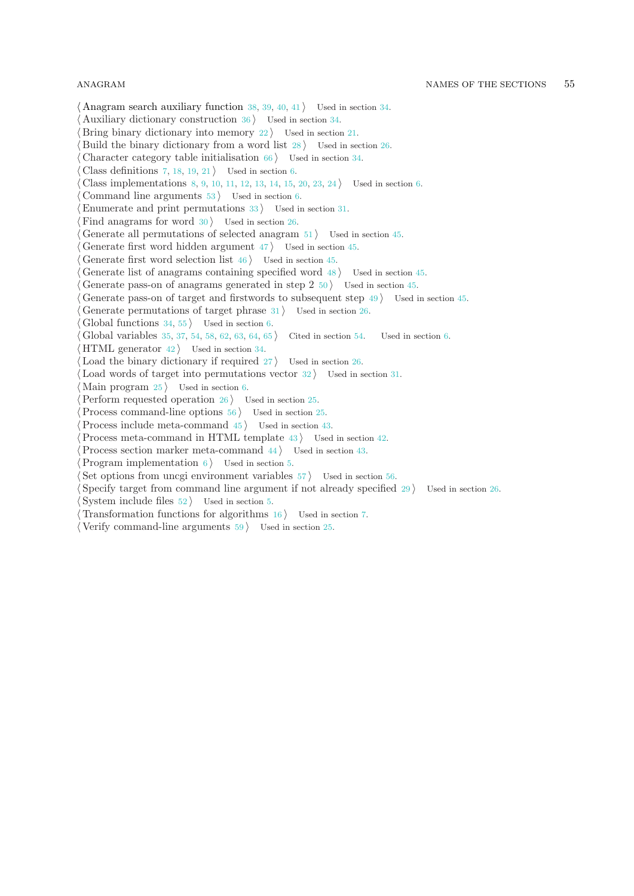$\langle$  Anagram search auxiliary function [38](#page-26-0), [39,](#page-26-0) [40](#page-27-0), [41](#page-27-0)  $\rangle$  Used in section [34](#page-23-0).

Auxiliary dictionary construction Used in section [34](#page-23-0).

Bring binary dictionary into memory Used in section [21.](#page-15-0)

Build the binary dictionary from a word list is Used in section [26.](#page-20-0)

Character category table initialisation Used in section [34](#page-23-0).

Class definitions [7](#page-5-0), [18,](#page-13-0) [19](#page-13-0), [21](#page-15-0)  $\backslash$  Used in section [6.](#page-4-0)

Class implementations [8,](#page-7-0) [9](#page-8-0), [10,](#page-8-0) [11,](#page-9-0) [12](#page-9-0), [13,](#page-10-0) [14](#page-11-0), [15](#page-11-0), [20,](#page-14-0) [23](#page-18-0), [24](#page-18-0) Used in section [6.](#page-4-0)

Command line arguments Used in section [6](#page-4-0).

Enumerate and print permutations Used in section [31.](#page-22-0)

Find anagrams for word Used in section [26](#page-20-0).

Generate all permutations of selected anagram Vsed in section [45.](#page-29-0)

Generate first word hidden argument Used in section  $45$ .

Generate first word selection list Used in section [45](#page-29-0).

Generate list of anagrams containing specified word Used in section  $45$ .

Generate pass-on of anagrams generated in step  $2\,50$  $2\,50$  ised in section [45.](#page-29-0)

Generate pass-on of target and firstwords to subsequent step is Used in section [45](#page-29-0).

Generate permutations of target phrase Used in section [26](#page-20-0).

Global functions  $34, 55$  $34, 55$  Used in section [6.](#page-4-0)

Global variables [35](#page-24-0), [37](#page-26-0), [54,](#page-33-0) [58](#page-38-0), [62,](#page-41-0) [63,](#page-43-0) [64](#page-43-0), [65](#page-44-0) Cited in section [54](#page-33-0). Used in section [6](#page-4-0).

HTML generator Used in section [34.](#page-23-0)

Load the binary dictionary if required Used in section [26](#page-20-0).

Load words of target into permutations vector Used in section [31](#page-22-0).

Main program Used in section [6](#page-4-0).

Perform requested operation Used in section [25.](#page-19-0)

Process command-line options is used in section [25](#page-19-0).

Process include meta-command Used in section  $43$ .

Process meta-command in HTML template Used in section  $42$ .

Process section marker meta-command Used in section [43](#page-28-0).

Program implementation Used in section [5.](#page-4-0)

Set options from uncgi environment variables Used in section [56.](#page-35-0)

Specify target from command line argument if not already specified is Used in section [26.](#page-20-0) System include files Used in section [5.](#page-4-0)

Transformation functions for algorithms Used in section [7.](#page-5-0)

 $\langle$  Verify command-line arguments  $59$  Used in section [25](#page-19-0).